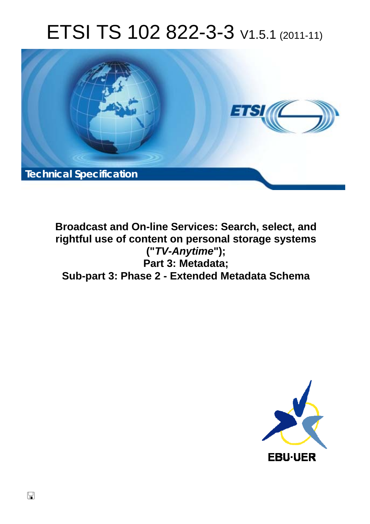# ETSI TS 102 822-3-3 V1.5.1 (2011-11)



**Broadcast and On-line Services: Search, select, and rightful use of content on personal storage systems ("***TV-Anytime***"); Part 3: Metadata; Sub-part 3: Phase 2 - Extended Metadata Schema** 

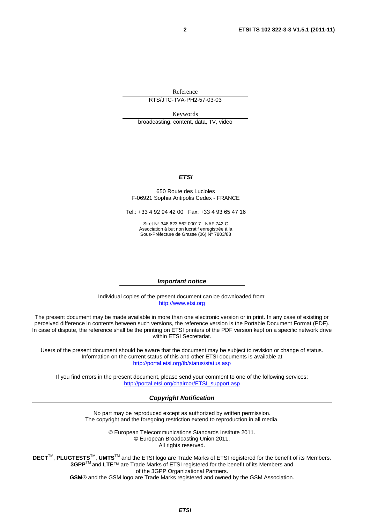Reference

RTS/JTC-TVA-PH2-57-03-03

Keywords broadcasting, content, data, TV, video

#### *ETSI*

#### 650 Route des Lucioles F-06921 Sophia Antipolis Cedex - FRANCE

Tel.: +33 4 92 94 42 00 Fax: +33 4 93 65 47 16

Siret N° 348 623 562 00017 - NAF 742 C Association à but non lucratif enregistrée à la Sous-Préfecture de Grasse (06) N° 7803/88

#### *Important notice*

Individual copies of the present document can be downloaded from: [http://www.etsi.org](http://www.etsi.org/)

The present document may be made available in more than one electronic version or in print. In any case of existing or perceived difference in contents between such versions, the reference version is the Portable Document Format (PDF). In case of dispute, the reference shall be the printing on ETSI printers of the PDF version kept on a specific network drive within ETSI Secretariat.

Users of the present document should be aware that the document may be subject to revision or change of status. Information on the current status of this and other ETSI documents is available at <http://portal.etsi.org/tb/status/status.asp>

If you find errors in the present document, please send your comment to one of the following services: [http://portal.etsi.org/chaircor/ETSI\\_support.asp](http://portal.etsi.org/chaircor/ETSI_support.asp)

#### *Copyright Notification*

No part may be reproduced except as authorized by written permission. The copyright and the foregoing restriction extend to reproduction in all media.

> © European Telecommunications Standards Institute 2011. © European Broadcasting Union 2011. All rights reserved.

**DECT**TM, **PLUGTESTS**TM, **UMTS**TM and the ETSI logo are Trade Marks of ETSI registered for the benefit of its Members. **3GPP**TM and **LTE**™ are Trade Marks of ETSI registered for the benefit of its Members and of the 3GPP Organizational Partners. **GSM**® and the GSM logo are Trade Marks registered and owned by the GSM Association.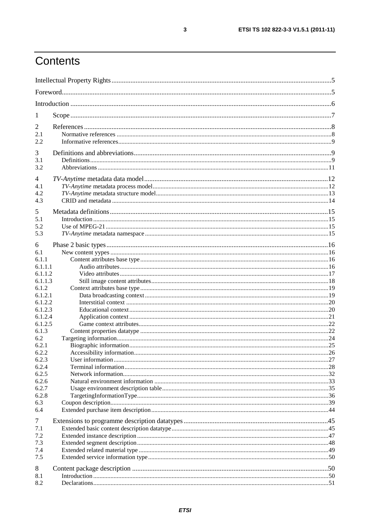# Contents

| 1                     |  |
|-----------------------|--|
| 2                     |  |
| 2.1                   |  |
| 2.2                   |  |
| 3                     |  |
| 3.1                   |  |
| 3.2                   |  |
| 4                     |  |
| 4.1                   |  |
| 4.2<br>4.3            |  |
|                       |  |
| 5                     |  |
| 5.1                   |  |
| 5.2<br>5.3            |  |
|                       |  |
| 6                     |  |
| 6.1                   |  |
| 6.1.1<br>6.1.1.1      |  |
| 6.1.1.2               |  |
| 6.1.1.3               |  |
| 6.1.2                 |  |
| 6.1.2.1               |  |
| 6.1.2.2               |  |
| 6.1.2.3               |  |
| 6.1.2.4               |  |
| 6.1.2.5<br>6.1.3      |  |
| 6.2                   |  |
| 6.2.1                 |  |
| 6.2.2                 |  |
| 6.2.3                 |  |
| 6.2.4                 |  |
| 6.2.5                 |  |
| 6.2.6<br>6.2.7        |  |
| 6.2.8                 |  |
| 6.3                   |  |
| 6.4                   |  |
|                       |  |
| $\overline{7}$<br>7.1 |  |
| 7.2                   |  |
| 7.3                   |  |
| 7.4                   |  |
| 7.5                   |  |
| 8                     |  |
| 8.1                   |  |
| 8.2                   |  |
|                       |  |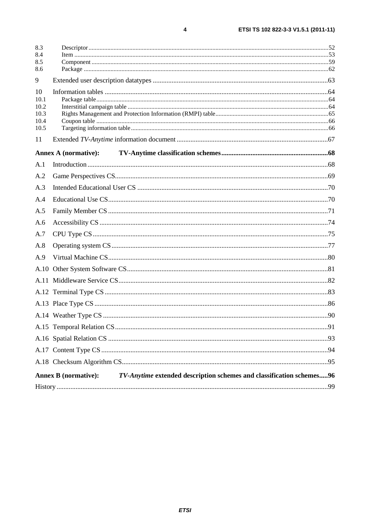| 8.4<br>8.5<br>8.6<br>10<br>10.1<br>10.2<br>10.3<br>10.4<br>10.5<br>11<br><b>Annex A (normative):</b><br>Annex B (normative): TV-Anytime extended description schemes and classification schemes96 | 8.3 |  |
|---------------------------------------------------------------------------------------------------------------------------------------------------------------------------------------------------|-----|--|
|                                                                                                                                                                                                   |     |  |
|                                                                                                                                                                                                   |     |  |
|                                                                                                                                                                                                   | 9   |  |
|                                                                                                                                                                                                   |     |  |
|                                                                                                                                                                                                   |     |  |
|                                                                                                                                                                                                   |     |  |
|                                                                                                                                                                                                   |     |  |
|                                                                                                                                                                                                   |     |  |
|                                                                                                                                                                                                   |     |  |
|                                                                                                                                                                                                   |     |  |
|                                                                                                                                                                                                   | A.1 |  |
|                                                                                                                                                                                                   | A.2 |  |
|                                                                                                                                                                                                   | A.3 |  |
|                                                                                                                                                                                                   | A.4 |  |
|                                                                                                                                                                                                   | A.5 |  |
|                                                                                                                                                                                                   | A.6 |  |
|                                                                                                                                                                                                   | A.7 |  |
|                                                                                                                                                                                                   | A.8 |  |
|                                                                                                                                                                                                   | A.9 |  |
|                                                                                                                                                                                                   |     |  |
|                                                                                                                                                                                                   |     |  |
|                                                                                                                                                                                                   |     |  |
|                                                                                                                                                                                                   |     |  |
|                                                                                                                                                                                                   |     |  |
|                                                                                                                                                                                                   |     |  |
|                                                                                                                                                                                                   |     |  |
|                                                                                                                                                                                                   |     |  |
|                                                                                                                                                                                                   |     |  |
|                                                                                                                                                                                                   |     |  |
|                                                                                                                                                                                                   |     |  |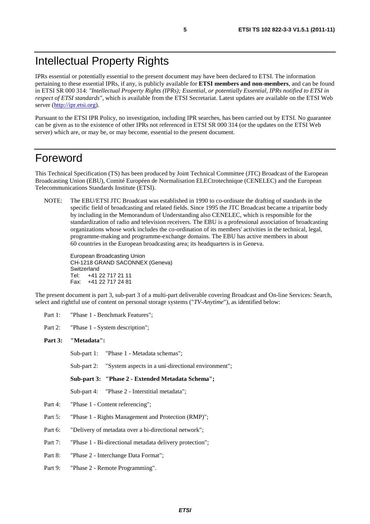IPRs essential or potentially essential to the present document may have been declared to ETSI. The information pertaining to these essential IPRs, if any, is publicly available for **ETSI members and non-members**, and can be found in ETSI SR 000 314: *"Intellectual Property Rights (IPRs); Essential, or potentially Essential, IPRs notified to ETSI in respect of ETSI standards"*, which is available from the ETSI Secretariat. Latest updates are available on the ETSI Web server ([http://ipr.etsi.org\)](http://webapp.etsi.org/IPR/home.asp).

Pursuant to the ETSI IPR Policy, no investigation, including IPR searches, has been carried out by ETSI. No guarantee can be given as to the existence of other IPRs not referenced in ETSI SR 000 314 (or the updates on the ETSI Web server) which are, or may be, or may become, essential to the present document.

### Foreword

This Technical Specification (TS) has been produced by Joint Technical Committee (JTC) Broadcast of the European Broadcasting Union (EBU), Comité Européen de Normalisation ELECtrotechnique (CENELEC) and the European Telecommunications Standards Institute (ETSI).

NOTE: The EBU/ETSI JTC Broadcast was established in 1990 to co-ordinate the drafting of standards in the specific field of broadcasting and related fields. Since 1995 the JTC Broadcast became a tripartite body by including in the Memorandum of Understanding also CENELEC, which is responsible for the standardization of radio and television receivers. The EBU is a professional association of broadcasting organizations whose work includes the co-ordination of its members' activities in the technical, legal, programme-making and programme-exchange domains. The EBU has active members in about 60 countries in the European broadcasting area; its headquarters is in Geneva.

European Broadcasting Union CH-1218 GRAND SACONNEX (Geneva) Switzerland Tel: +41 22 717 21 11 Fax: +41 22 717 24 81

The present document is part 3, sub-part 3 of a multi-part deliverable covering Broadcast and On-line Services: Search, select and rightful use of content on personal storage systems ("*TV-Anytime*"), as identified below:

Part 1: "Phase 1 - Benchmark Features";

Part 2: "Phase 1 - System description";

#### **Part 3: "Metadata":**

Sub-part 1: "Phase 1 - Metadata schemas";

Sub-part 2: "System aspects in a uni-directional environment";

**Sub-part 3: "Phase 2 - Extended Metadata Schema";** 

Sub-part 4: "Phase 2 - Interstitial metadata";

- Part 4: "Phase 1 Content referencing";
- Part 5: "Phase 1 Rights Management and Protection (RMP)";
- Part 6: "Delivery of metadata over a bi-directional network";
- Part 7: "Phase 1 Bi-directional metadata delivery protection";
- Part 8: "Phase 2 Interchange Data Format";
- Part 9: "Phase 2 Remote Programming".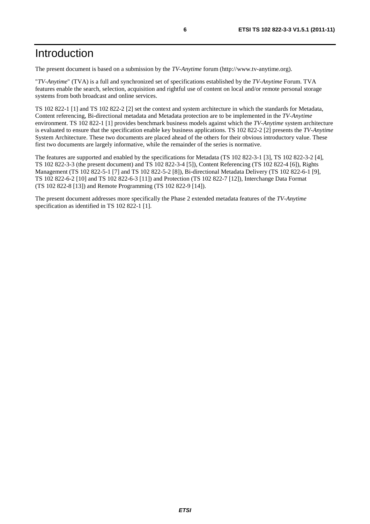# Introduction

The present document is based on a submission by the *TV-Anytime* forum (http://www.tv-anytime.org).

"*TV-Anytime*" (TVA) is a full and synchronized set of specifications established by the *TV-Anytime* Forum. TVA features enable the search, selection, acquisition and rightful use of content on local and/or remote personal storage systems from both broadcast and online services.

TS 102 822-1 [1] and TS 102 822-2 [2] set the context and system architecture in which the standards for Metadata, Content referencing, Bi-directional metadata and Metadata protection are to be implemented in the *TV-Anytime* environment. TS 102 822-1 [1] provides benchmark business models against which the *TV-Anytime* system architecture is evaluated to ensure that the specification enable key business applications. TS 102 822-2 [2] presents the *TV-Anytime* System Architecture. These two documents are placed ahead of the others for their obvious introductory value. These first two documents are largely informative, while the remainder of the series is normative.

The features are supported and enabled by the specifications for Metadata (TS 102 822-3-1 [3], TS 102 822-3-2 [4], TS 102 822-3-3 (the present document) and TS 102 822-3-4 [5]), Content Referencing (TS 102 822-4 [6]), Rights Management (TS 102 822-5-1 [7] and TS 102 822-5-2 [8]), Bi-directional Metadata Delivery (TS 102 822-6-1 [9], TS 102 822-6-2 [10] and TS 102 822-6-3 [11]) and Protection (TS 102 822-7 [12]), Interchange Data Format (TS 102 822-8 [13]) and Remote Programming (TS 102 822-9 [14]).

The present document addresses more specifically the Phase 2 extended metadata features of the *TV-Anytime* specification as identified in TS 102 822-1 [1].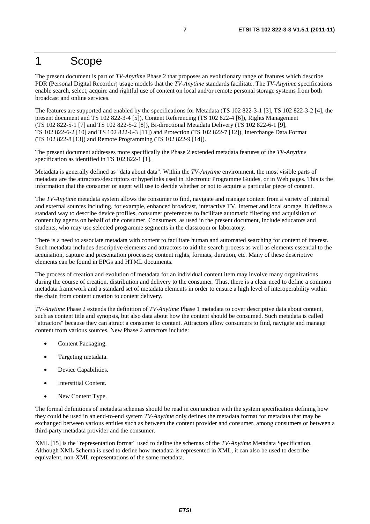### 1 Scope

The present document is part of *TV-Anytime* Phase 2 that proposes an evolutionary range of features which describe PDR (Personal Digital Recorder) usage models that the *TV-Anytime* standards facilitate. The *TV-Anytime* specifications enable search, select, acquire and rightful use of content on local and/or remote personal storage systems from both broadcast and online services.

The features are supported and enabled by the specifications for Metadata (TS 102 822-3-1 [3], TS 102 822-3-2 [4], the present document and TS 102 822-3-4 [5]), Content Referencing (TS 102 822-4 [6]), Rights Management (TS 102 822-5-1 [7] and TS 102 822-5-2 [8]), Bi-directional Metadata Delivery (TS 102 822-6-1 [9], TS 102 822-6-2 [10] and TS 102 822-6-3 [11]) and Protection (TS 102 822-7 [12]), Interchange Data Format (TS 102 822-8 [13]) and Remote Programming (TS 102 822-9 [14]).

The present document addresses more specifically the Phase 2 extended metadata features of the *TV-Anytime* specification as identified in TS 102 822-1 [1].

Metadata is generally defined as "data about data". Within the *TV-Anytime* environment, the most visible parts of metadata are the attractors/descriptors or hyperlinks used in Electronic Programme Guides, or in Web pages. This is the information that the consumer or agent will use to decide whether or not to acquire a particular piece of content.

The *TV-Anytime* metadata system allows the consumer to find, navigate and manage content from a variety of internal and external sources including, for example, enhanced broadcast, interactive TV, Internet and local storage. It defines a standard way to describe device profiles, consumer preferences to facilitate automatic filtering and acquisition of content by agents on behalf of the consumer. Consumers, as used in the present document, include educators and students, who may use selected programme segments in the classroom or laboratory.

There is a need to associate metadata with content to facilitate human and automated searching for content of interest. Such metadata includes descriptive elements and attractors to aid the search process as well as elements essential to the acquisition, capture and presentation processes; content rights, formats, duration, etc. Many of these descriptive elements can be found in EPGs and HTML documents.

The process of creation and evolution of metadata for an individual content item may involve many organizations during the course of creation, distribution and delivery to the consumer. Thus, there is a clear need to define a common metadata framework and a standard set of metadata elements in order to ensure a high level of interoperability within the chain from content creation to content delivery.

*TV-Anytime* Phase 2 extends the definition of *TV-Anytime* Phase 1 metadata to cover descriptive data about content, such as content title and synopsis, but also data about how the content should be consumed. Such metadata is called "attractors" because they can attract a consumer to content. Attractors allow consumers to find, navigate and manage content from various sources. New Phase 2 attractors include:

- Content Packaging.
- Targeting metadata.
- Device Capabilities.
- Interstitial Content.
- New Content Type.

The formal definitions of metadata schemas should be read in conjunction with the system specification defining how they could be used in an end-to-end system *TV-Anytime* only defines the metadata format for metadata that may be exchanged between various entities such as between the content provider and consumer, among consumers or between a third-party metadata provider and the consumer.

XML [15] is the "representation format" used to define the schemas of the *TV-Anytime* Metadata Specification. Although XML Schema is used to define how metadata is represented in XML, it can also be used to describe equivalent, non-XML representations of the same metadata.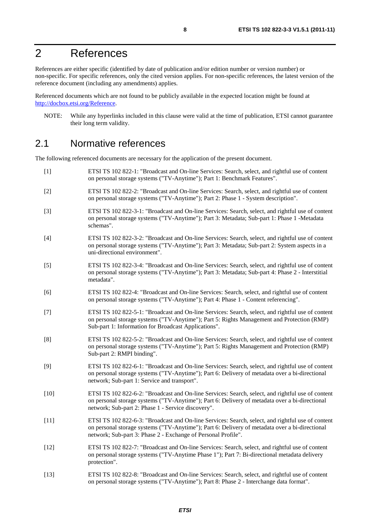# 2 References

References are either specific (identified by date of publication and/or edition number or version number) or non-specific. For specific references, only the cited version applies. For non-specific references, the latest version of the reference document (including any amendments) applies.

Referenced documents which are not found to be publicly available in the expected location might be found at [http://docbox.etsi.org/Reference.](http://docbox.etsi.org/Reference)

NOTE: While any hyperlinks included in this clause were valid at the time of publication, ETSI cannot guarantee their long term validity.

### 2.1 Normative references

The following referenced documents are necessary for the application of the present document.

- [1] ETSI TS 102 822-1: "Broadcast and On-line Services: Search, select, and rightful use of content on personal storage systems ("TV-Anytime"); Part 1: Benchmark Features". [2] ETSI TS 102 822-2: "Broadcast and On-line Services: Search, select, and rightful use of content on personal storage systems ("TV-Anytime"); Part 2: Phase 1 - System description". [3] ETSI TS 102 822-3-1: "Broadcast and On-line Services: Search, select, and rightful use of content on personal storage systems ("TV-Anytime"); Part 3: Metadata; Sub-part 1: Phase 1 -Metadata schemas". [4] ETSI TS 102 822-3-2: "Broadcast and On-line Services: Search, select, and rightful use of content on personal storage systems ("TV-Anytime"); Part 3: Metadata; Sub-part 2: System aspects in a uni-directional environment". [5] ETSI TS 102 822-3-4: "Broadcast and On-line Services: Search, select, and rightful use of content on personal storage systems ("TV-Anytime"); Part 3: Metadata; Sub-part 4: Phase 2 - Interstitial metadata". [6] ETSI TS 102 822-4: "Broadcast and On-line Services: Search, select, and rightful use of content on personal storage systems ("TV-Anytime"); Part 4: Phase 1 - Content referencing". [7] ETSI TS 102 822-5-1: "Broadcast and On-line Services: Search, select, and rightful use of content on personal storage systems ("TV-Anytime"); Part 5: Rights Management and Protection (RMP) Sub-part 1: Information for Broadcast Applications". [8] ETSI TS 102 822-5-2: "Broadcast and On-line Services: Search, select, and rightful use of content on personal storage systems ("TV-Anytime"); Part 5: Rights Management and Protection (RMP) Sub-part 2: RMPI binding". [9] ETSI TS 102 822-6-1: "Broadcast and On-line Services: Search, select, and rightful use of content on personal storage systems ("TV-Anytime"); Part 6: Delivery of metadata over a bi-directional network; Sub-part 1: Service and transport". [10] ETSI TS 102 822-6-2: "Broadcast and On-line Services: Search, select, and rightful use of content on personal storage systems ("TV-Anytime"); Part 6: Delivery of metadata over a bi-directional network; Sub-part 2: Phase 1 - Service discovery". [11] ETSI TS 102 822-6-3: "Broadcast and On-line Services: Search, select, and rightful use of content on personal storage systems ("TV-Anytime"); Part 6: Delivery of metadata over a bi-directional network; Sub-part 3: Phase 2 - Exchange of Personal Profile". [12] ETSI TS 102 822-7: "Broadcast and On-line Services: Search, select, and rightful use of content on personal storage systems ("TV-Anytime Phase 1"); Part 7: Bi-directional metadata delivery protection". [13] ETSI TS 102 822-8: "Broadcast and On-line Services: Search, select, and rightful use of content
	- on personal storage systems ("TV-Anytime"); Part 8: Phase 2 Interchange data format".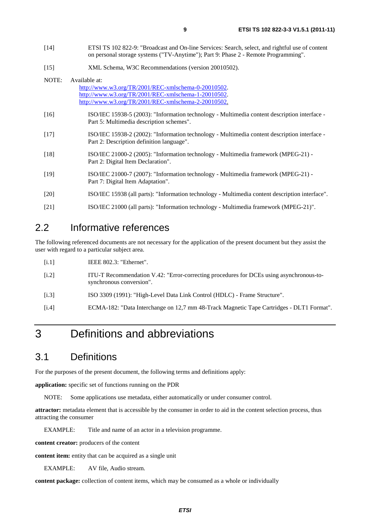- [14] ETSI TS 102 822-9: "Broadcast and On-line Services: Search, select, and rightful use of content on personal storage systems ("TV-Anytime"); Part 9: Phase 2 - Remote Programming".
- [15] XML Schema, W3C Recommendations (version 20010502).

| NOTE:  | Available at:                                                                                                                             |
|--------|-------------------------------------------------------------------------------------------------------------------------------------------|
|        | http://www.w3.org/TR/2001/REC-xmlschema-0-20010502.                                                                                       |
|        | http://www.w3.org/TR/2001/REC-xmlschema-1-20010502.                                                                                       |
|        | http://www.w3.org/TR/2001/REC-xmlschema-2-20010502.                                                                                       |
| [16]   | ISO/IEC 15938-5 (2003): "Information technology - Multimedia content description interface -<br>Part 5: Multimedia description schemes".  |
| $[17]$ | ISO/IEC 15938-2 (2002): "Information technology - Multimedia content description interface -<br>Part 2: Description definition language". |
| $[18]$ | ISO/IEC 21000-2 (2005): "Information technology - Multimedia framework (MPEG-21) -<br>Part 2: Digital Item Declaration".                  |
| $[19]$ | ISO/IEC 21000-7 (2007): "Information technology - Multimedia framework (MPEG-21) -<br>Part 7: Digital Item Adaptation".                   |
| [20]   | ISO/IEC 15938 (all parts): "Information technology - Multimedia content description interface".                                           |
| [21]   | ISO/IEC 21000 (all parts): "Information technology - Multimedia framework (MPEG-21)".                                                     |

### 2.2 Informative references

The following referenced documents are not necessary for the application of the present document but they assist the user with regard to a particular subject area.

| IEEE $802.3$ : "Ethernet". |
|----------------------------|
|                            |

- [i.2] ITU-T Recommendation V.42: "Error-correcting procedures for DCEs using asynchronous-tosynchronous conversion".
- [i.3] ISO 3309 (1991): "High-Level Data Link Control (HDLC) Frame Structure".
- [i.4] ECMA-182: "Data Interchange on 12,7 mm 48-Track Magnetic Tape Cartridges DLT1 Format".

# 3 Definitions and abbreviations

### 3.1 Definitions

For the purposes of the present document, the following terms and definitions apply:

**application:** specific set of functions running on the PDR

NOTE: Some applications use metadata, either automatically or under consumer control.

**attractor:** metadata element that is accessible by the consumer in order to aid in the content selection process, thus attracting the consumer

EXAMPLE: Title and name of an actor in a television programme.

**content creator:** producers of the content

**content item:** entity that can be acquired as a single unit

EXAMPLE: AV file, Audio stream.

**content package:** collection of content items, which may be consumed as a whole or individually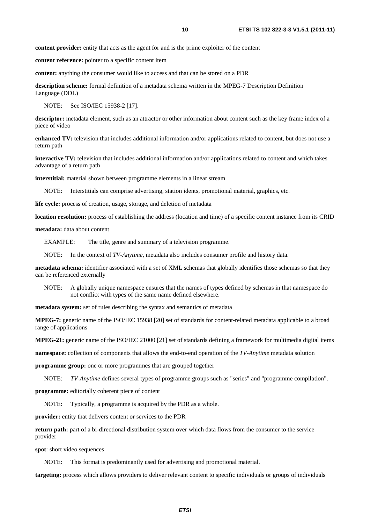**content provider:** entity that acts as the agent for and is the prime exploiter of the content

**content reference:** pointer to a specific content item

**content:** anything the consumer would like to access and that can be stored on a PDR

**description scheme:** formal definition of a metadata schema written in the MPEG-7 Description Definition Language (DDL)

NOTE: See ISO/IEC 15938-2 [17].

**descriptor:** metadata element, such as an attractor or other information about content such as the key frame index of a piece of video

**enhanced TV:** television that includes additional information and/or applications related to content, but does not use a return path

**interactive TV:** television that includes additional information and/or applications related to content and which takes advantage of a return path

**interstitial:** material shown between programme elements in a linear stream

NOTE: Interstitials can comprise advertising, station idents, promotional material, graphics, etc.

**life cycle:** process of creation, usage, storage, and deletion of metadata

**location resolution:** process of establishing the address (location and time) of a specific content instance from its CRID

**metadata:** data about content

EXAMPLE: The title, genre and summary of a television programme.

NOTE: In the context of *TV-Anytime*, metadata also includes consumer profile and history data.

**metadata schema:** identifier associated with a set of XML schemas that globally identifies those schemas so that they can be referenced externally

NOTE: A globally unique namespace ensures that the names of types defined by schemas in that namespace do not conflict with types of the same name defined elsewhere.

**metadata system:** set of rules describing the syntax and semantics of metadata

**MPEG-7:** generic name of the ISO/IEC 15938 [20] set of standards for content-related metadata applicable to a broad range of applications

**MPEG-21:** generic name of the ISO/IEC 21000 [21] set of standards defining a framework for multimedia digital items

**namespace:** collection of components that allows the end-to-end operation of the *TV-Anytime* metadata solution

**programme group:** one or more programmes that are grouped together

NOTE: *TV-Anytime* defines several types of programme groups such as "series" and "programme compilation".

**programme:** editorially coherent piece of content

NOTE: Typically, a programme is acquired by the PDR as a whole.

**provider:** entity that delivers content or services to the PDR

**return path:** part of a bi-directional distribution system over which data flows from the consumer to the service provider

**spot**: short video sequences

NOTE: This format is predominantly used for advertising and promotional material.

**targeting:** process which allows providers to deliver relevant content to specific individuals or groups of individuals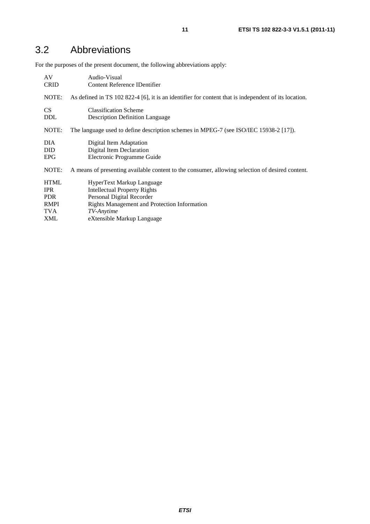# 3.2 Abbreviations

For the purposes of the present document, the following abbreviations apply:

| AV          | Audio-Visual                                                                                         |
|-------------|------------------------------------------------------------------------------------------------------|
| <b>CRID</b> | Content Reference IDentifier                                                                         |
| NOTE:       | As defined in TS 102 822-4 [6], it is an identifier for content that is independent of its location. |
| <b>CS</b>   | <b>Classification Scheme</b>                                                                         |
| <b>DDL</b>  | <b>Description Definition Language</b>                                                               |
| NOTE:       | The language used to define description schemes in MPEG-7 (see ISO/IEC 15938-2 [17]).                |
| DIA.        | Digital Item Adaptation                                                                              |
| <b>DID</b>  | Digital Item Declaration                                                                             |
| <b>EPG</b>  | Electronic Programme Guide                                                                           |
| NOTE:       | A means of presenting available content to the consumer, allowing selection of desired content.      |
| <b>HTML</b> | HyperText Markup Language                                                                            |
| <b>IPR</b>  | <b>Intellectual Property Rights</b>                                                                  |
| <b>PDR</b>  | Personal Digital Recorder                                                                            |
| <b>RMPI</b> | Rights Management and Protection Information                                                         |
| TVA         | TV-Anytime                                                                                           |
| <b>XML</b>  | eXtensible Markup Language                                                                           |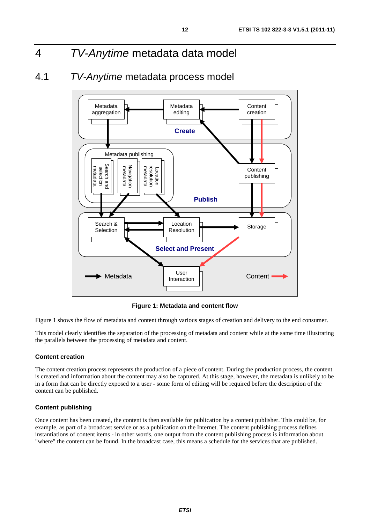# 4 *TV-Anytime* metadata data model

### 4.1 *TV-Anytime* metadata process model



**Figure 1: Metadata and content flow** 

Figure 1 shows the flow of metadata and content through various stages of creation and delivery to the end consumer.

This model clearly identifies the separation of the processing of metadata and content while at the same time illustrating the parallels between the processing of metadata and content.

#### **Content creation**

The content creation process represents the production of a piece of content. During the production process, the content is created and information about the content may also be captured. At this stage, however, the metadata is unlikely to be in a form that can be directly exposed to a user - some form of editing will be required before the description of the content can be published.

#### **Content publishing**

Once content has been created, the content is then available for publication by a content publisher. This could be, for example, as part of a broadcast service or as a publication on the Internet. The content publishing process defines instantiations of content items - in other words, one output from the content publishing process is information about "where" the content can be found. In the broadcast case, this means a schedule for the services that are published.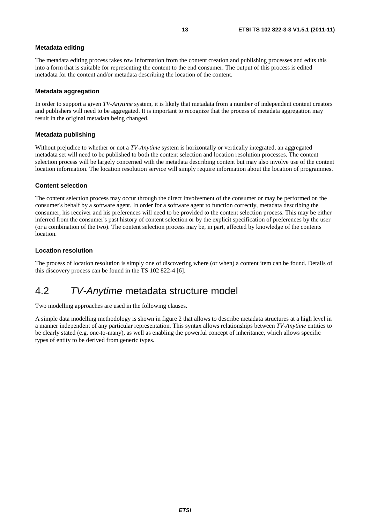#### **Metadata editing**

The metadata editing process takes *raw* information from the content creation and publishing processes and edits this into a form that is suitable for representing the content to the end consumer. The output of this process is edited metadata for the content and/or metadata describing the location of the content.

#### **Metadata aggregation**

In order to support a given *TV-Anytime* system, it is likely that metadata from a number of independent content creators and publishers will need to be aggregated. It is important to recognize that the process of metadata aggregation may result in the original metadata being changed.

#### **Metadata publishing**

Without prejudice to whether or not a *TV-Anytime* system is horizontally or vertically integrated, an aggregated metadata set will need to be published to both the content selection and location resolution processes. The content selection process will be largely concerned with the metadata describing content but may also involve use of the content location information. The location resolution service will simply require information about the location of programmes.

#### **Content selection**

The content selection process may occur through the direct involvement of the consumer or may be performed on the consumer's behalf by a software agent. In order for a software agent to function correctly, metadata describing the consumer, his receiver and his preferences will need to be provided to the content selection process. This may be either inferred from the consumer's past history of content selection or by the explicit specification of preferences by the user (or a combination of the two). The content selection process may be, in part, affected by knowledge of the contents location.

#### **Location resolution**

The process of location resolution is simply one of discovering where (or when) a content item can be found. Details of this discovery process can be found in the TS 102 822-4 [6].

### 4.2 *TV-Anytime* metadata structure model

Two modelling approaches are used in the following clauses.

A simple data modelling methodology is shown in figure 2 that allows to describe metadata structures at a high level in a manner independent of any particular representation. This syntax allows relationships between *TV-Anytime* entities to be clearly stated (e.g. one-to-many), as well as enabling the powerful concept of inheritance, which allows specific types of entity to be derived from generic types.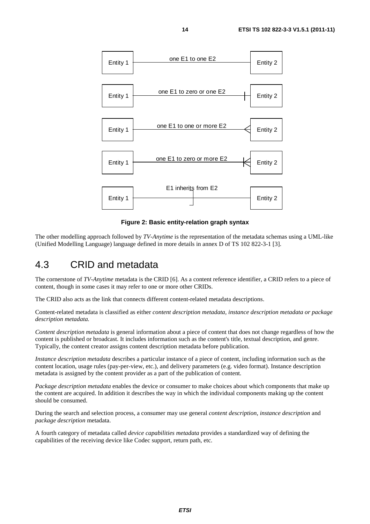

**Figure 2: Basic entity-relation graph syntax** 

The other modelling approach followed by *TV-Anytime* is the representation of the metadata schemas using a UML-like (Unified Modelling Language) language defined in more details in annex D of TS 102 822-3-1 [3].

### 4.3 CRID and metadata

The cornerstone of *TV-Anytime* metadata is the CRID [6]. As a content reference identifier, a CRID refers to a piece of content, though in some cases it may refer to one or more other CRIDs.

The CRID also acts as the link that connects different content-related metadata descriptions.

Content-related metadata is classified as either *content description metadata, instance description metadata or package description metadata.*

*Content description metadata* is general information about a piece of content that does not change regardless of how the content is published or broadcast. It includes information such as the content's title, textual description, and genre. Typically, the content creator assigns content description metadata before publication.

*Instance description metadata* describes a particular instance of a piece of content, including information such as the content location, usage rules (pay-per-view, etc.), and delivery parameters (e.g. video format). Instance description metadata is assigned by the content provider as a part of the publication of content.

*Package description metadata* enables the device or consumer to make choices about which components that make up the content are acquired. In addition it describes the way in which the individual components making up the content should be consumed.

During the search and selection process, a consumer may use general *content description*, *instance description* and *package description* metadata.

A fourth category of metadata called *device capabilities metadata* provides a standardized way of defining the capabilities of the receiving device like Codec support, return path, etc.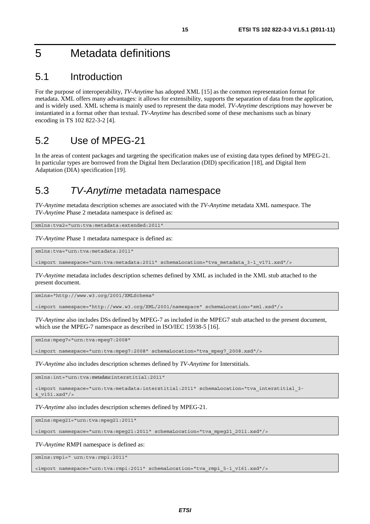# 5 Metadata definitions

### 5.1 Introduction

For the purpose of interoperability, *TV-Anytime* has adopted XML [15] as the common representation format for metadata. XML offers many advantages: it allows for extensibility, supports the separation of data from the application, and is widely used. XML schema is mainly used to represent the data model. *TV-Anytime* descriptions may however be instantiated in a format other than textual. *TV-Anytime* has described some of these mechanisms such as binary encoding in TS 102 822-3-2 [4].

### 5.2 Use of MPEG-21

In the areas of content packages and targeting the specification makes use of existing data types defined by MPEG-21. In particular types are borrowed from the Digital Item Declaration (DID) specification [18], and Digital Item Adaptation (DIA) specification [19].

### 5.3 *TV-Anytime* metadata namespace

*TV-Anytime* metadata description schemes are associated with the *TV-Anytime* metadata XML namespace. The *TV-Anytime* Phase 2 metadata namespace is defined as:

xmlns:tva2="urn:tva:metadata:extended:2011"

*TV-Anytime* Phase 1 metadata namespace is defined as:

xmlns:tva="urn:tva:metadata:2011"

<import namespace="urn:tva:metadata:2011" schemaLocation="tva\_metadata\_3-1\_v171.xsd"/>

*TV-Anytime* metadata includes description schemes defined by XML as included in the XML stub attached to the present document.

xmlns="http://www.w3.org/2001/XMLSchema"

<import namespace="http://www.w3.org/XML/2001/namespace" schemaLocation="xml.xsd"/>

*TV-Anytime* also includes DSs defined by MPEG-7 as included in the MPEG7 stub attached to the present document, which use the MPEG-7 namespace as described in ISO/IEC 15938-5 [16].

xmlns:mpeg7="urn:tva:mpeg7:2008"

<import namespace="urn:tva:mpeg7:2008" schemaLocation="tva\_mpeg7\_2008.xsd"/>

*TV-Anytime* also includes description schemes defined by *TV-Anytime* for Interstitials.

xmlns:int="urn:tva:metadata:interstitial:2011"

<import namespace="urn:tva:metadata:interstitial:2011" schemaLocation="tva\_interstitial\_3- 4\_v151.xsd"/>

*TV-Anytime* also includes description schemes defined by MPEG-21.

xmlns:mpeg21="urn:tva:mpeg21:2011"

<import namespace="urn:tva:mpeg21:2011" schemaLocation="tva\_mpeg21\_2011.xsd"/>

*TV-Anytime* RMPI namespace is defined as:

xmlns:rmpi=" urn:tva:rmpi:2011"

<import namespace="urn:tva:rmpi:2011" schemaLocation="tva\_rmpi\_5-1\_v161.xsd"/>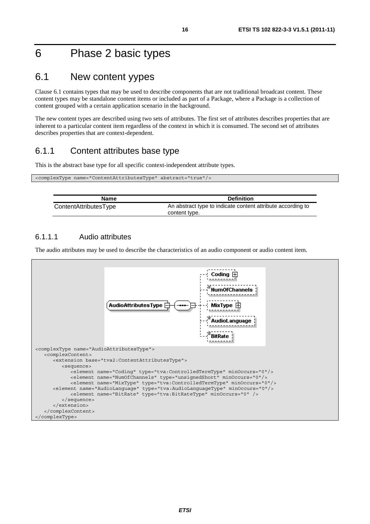# 6 Phase 2 basic types

### 6.1 New content yypes

Clause 6.1 contains types that may be used to describe components that are not traditional broadcast content. These content types may be standalone content items or included as part of a Package, where a Package is a collection of content grouped with a certain application scenario in the background.

The new content types are described using two sets of attributes. The first set of attributes describes properties that are inherent to a particular content item regardless of the context in which it is consumed. The second set of attributes describes properties that are context-dependent.

### 6.1.1 Content attributes base type

This is the abstract base type for all specific context-independent attribute types.

| <complextype abstract="true" name="ContentAttributesType"></complextype> |  |
|--------------------------------------------------------------------------|--|
|                                                                          |  |

| Name                  | <b>Definition</b>                                                            |
|-----------------------|------------------------------------------------------------------------------|
| ContentAttributesType | An abstract type to indicate content attribute according to<br>content type. |

#### 6.1.1.1 Audio attributes

 $\overline{\phantom{a}}$ 

The audio attributes may be used to describe the characteristics of an audio component or audio content item.

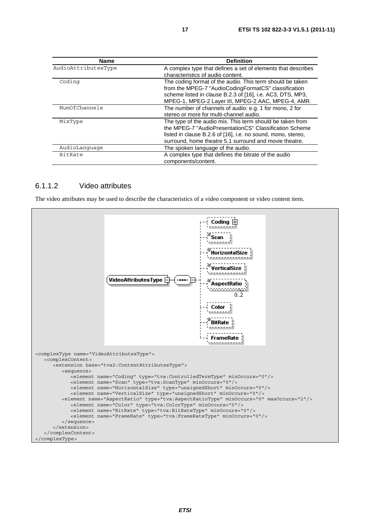| <b>Name</b>         | <b>Definition</b>                                                                                                                                                                                                                             |
|---------------------|-----------------------------------------------------------------------------------------------------------------------------------------------------------------------------------------------------------------------------------------------|
| AudioAttributesType | A complex type that defines a set of elements that describes<br>characteristics of audio content.                                                                                                                                             |
| Coding              | The coding format of the audio. This term should be taken<br>from the MPEG-7 "AudioCodingFormatCS" classification<br>scheme listed in clause B.2.3 of [16], i.e. AC3, DTS, MP3,<br>MPEG-1, MPEG-2 Layer III, MPEG-2 AAC, MPEG-4, AMR.         |
| NumOfChannels       | The number of channels of audio: e.g. 1 for mono, 2 for<br>stereo or more for multi-channel audio.                                                                                                                                            |
| MixType             | The type of the audio mix. This term should be taken from<br>the MPEG-7 "AudioPresentationCS" Classification Scheme<br>listed in clause B.2.6 of [16], i.e. no sound, mono, stereo,<br>surround, home theatre 5.1 surround and movie theatre. |
| AudioLanguage       | The spoken language of the audio.                                                                                                                                                                                                             |
| <b>BitRate</b>      | A complex type that defines the bitrate of the audio<br>components/content.                                                                                                                                                                   |

#### 6.1.1.2 Video attributes

The video attributes may be used to describe the characteristics of a video component or video content item.

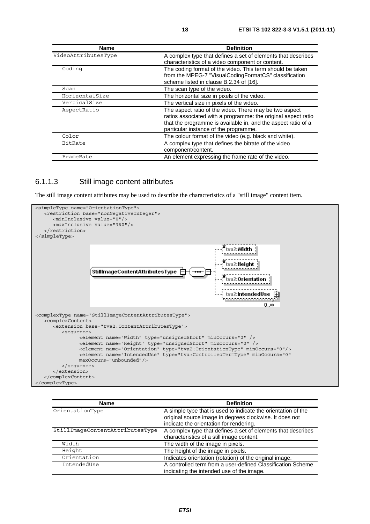| <b>Name</b>         | <b>Definition</b>                                             |
|---------------------|---------------------------------------------------------------|
| VideoAttributesType | A complex type that defines a set of elements that describes  |
|                     | characteristics of a video component or content.              |
| Coding              | The coding format of the video. This term should be taken     |
|                     | from the MPEG-7 "VisualCodingFormatCS" classification         |
|                     | scheme listed in clause B.2.34 of [16].                       |
| Scan                | The scan type of the video.                                   |
| HorizontalSize      | The horizontal size in pixels of the video.                   |
| VerticalSize        | The vertical size in pixels of the video.                     |
| AspectRatio         | The aspect ratio of the video. There may be two aspect        |
|                     | ratios associated with a programme: the original aspect ratio |
|                     | that the programme is available in, and the aspect ratio of a |
|                     | particular instance of the programme.                         |
| Color               | The colour format of the video (e.g. black and white).        |
| BitRate             | A complex type that defines the bitrate of the video          |
|                     | component/content.                                            |
| FrameRate           | An element expressing the frame rate of the video.            |

#### 6.1.1.3 Still image content attributes

The still image content attributes may be used to describe the characteristics of a "still image" content item.



| <b>Name</b>                     | <b>Definition</b>                                                                                                                                                   |
|---------------------------------|---------------------------------------------------------------------------------------------------------------------------------------------------------------------|
| OrientationType                 | A simple type that is used to indicate the orientation of the<br>original source image in degrees clockwise. It does not<br>indicate the orientation for rendering. |
| StillImageContentAttributesType | A complex type that defines a set of elements that describes<br>characteristics of a still image content.                                                           |
| Width                           | The width of the image in pixels.                                                                                                                                   |
| Height                          | The height of the image in pixels.                                                                                                                                  |
| Orientation                     | Indicates orientation (rotation) of the original image.                                                                                                             |
| IntendedUse                     | A controlled term from a user-defined Classification Scheme<br>indicating the intended use of the image.                                                            |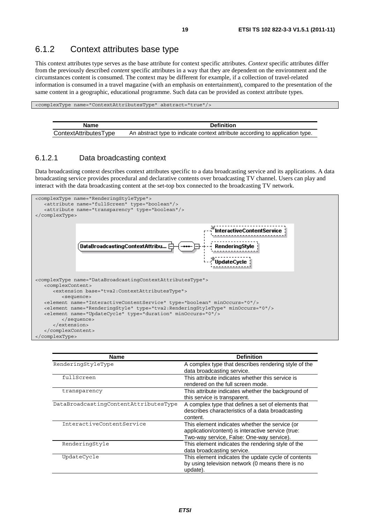### 6.1.2 Context attributes base type

This context attributes type serves as the base attribute for context specific attributes. *Context* specific attributes differ from the previously described *content* specific attributes in a way that they are dependent on the environment and the circumstances content is consumed. The context may be different for example, if a collection of travel-related information is consumed in a travel magazine (with an emphasis on entertainment), compared to the presentation of the same content in a geographic, educational programme. Such data can be provided as context attribute types.

<complexType name="ContextAttributesType" abstract="true"/>

| Name                  | <b>Definition</b>                                                             |
|-----------------------|-------------------------------------------------------------------------------|
| ContextAttributesType | An abstract type to indicate context attribute according to application type. |

#### 6.1.2.1 Data broadcasting context

Data broadcasting context describes context attributes specific to a data broadcasting service and its applications. A data broadcasting service provides procedural and declarative contents over broadcasting TV channel. Users can play and interact with the data broadcasting content at the set-top box connected to the broadcasting TV network.



| <b>Name</b>                           | <b>Definition</b>                                                                                                                                 |
|---------------------------------------|---------------------------------------------------------------------------------------------------------------------------------------------------|
| RenderingStyleType                    | A complex type that describes rendering style of the<br>data broadcasting service.                                                                |
| fullScreen                            | This attribute indicates whether this service is<br>rendered on the full screen mode.                                                             |
| transparency                          | This attribute indicates whether the background of<br>this service is transparent.                                                                |
| DataBroadcastingContentAttributesType | A complex type that defines a set of elements that<br>describes characteristics of a data broadcasting<br>content.                                |
| InteractiveContentService             | This element indicates whether the service (or<br>application/content) is interactive service (true:<br>Two-way service, False: One-way service). |
| RenderingStyle                        | This element indicates the rendering style of the<br>data broadcasting service.                                                                   |
| UpdateCycle                           | This element indicates the update cycle of contents<br>by using television network (0 means there is no<br>update).                               |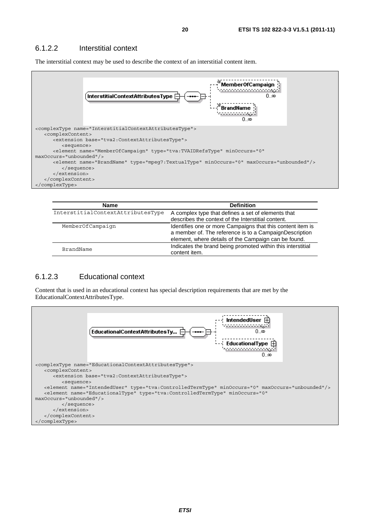#### 6.1.2.2 Interstitial context

The interstitial context may be used to describe the context of an interstitial content item.



| <b>Name</b>                       | <b>Definition</b>                                           |
|-----------------------------------|-------------------------------------------------------------|
| InterstitialContextAttributesType | A complex type that defines a set of elements that          |
|                                   | describes the context of the Interstitial content.          |
| MemberOfCampaign                  | Identifies one or more Campaigns that this content item is  |
|                                   | a member of. The reference is to a CampaignDescription      |
|                                   | element, where details of the Campaign can be found.        |
| BrandName                         | Indicates the brand being promoted within this interstitial |
|                                   | content item.                                               |

#### 6.1.2.3 Educational context

Content that is used in an educational context has special description requirements that are met by the EducationalContextAttributesType.

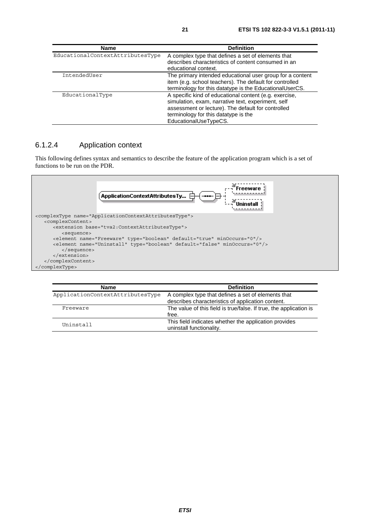| <b>Name</b>                      | <b>Definition</b>                                                                                                                                                                                                                   |
|----------------------------------|-------------------------------------------------------------------------------------------------------------------------------------------------------------------------------------------------------------------------------------|
| EducationalContextAttributesType | A complex type that defines a set of elements that<br>describes characteristics of content consumed in an<br>educational context.                                                                                                   |
| IntendedUser                     | The primary intended educational user group for a content<br>item (e.g. school teachers). The default for controlled<br>terminology for this datatype is the EducationalUserCS.                                                     |
| EducationalType                  | A specific kind of educational content (e.g. exercise,<br>simulation, exam, narrative text, experiment, self<br>assessment or lecture). The default for controlled<br>terminology for this datatype is the<br>EducationalUseTypeCS. |

#### 6.1.2.4 Application context

This following defines syntax and semantics to describe the feature of the application program which is a set of functions to be run on the PDR.



| <b>Name</b>                      | <b>Definition</b>                                                                 |
|----------------------------------|-----------------------------------------------------------------------------------|
| ApplicationContextAttributesType | A complex type that defines a set of elements that                                |
|                                  | describes characteristics of application content.                                 |
| Freeware                         | The value of this field is true/false. If true, the application is                |
|                                  | free.                                                                             |
| Uninstall                        | This field indicates whether the application provides<br>uninstall functionality. |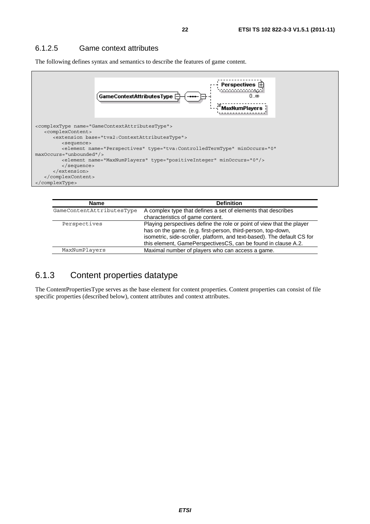#### 6.1.2.5 Game context attributes

The following defines syntax and semantics to describe the features of game content.



| <b>Name</b>               | <b>Definition</b>                                                                                                                                                                                                                                                                 |
|---------------------------|-----------------------------------------------------------------------------------------------------------------------------------------------------------------------------------------------------------------------------------------------------------------------------------|
| GameContentAttributesType | A complex type that defines a set of elements that describes<br>characteristics of game content.                                                                                                                                                                                  |
| Perspectives              | Playing perspectives define the role or point of view that the player<br>has on the game. (e.g. first-person, third-person, top-down,<br>isometric, side-scroller, platform, and text-based). The default CS for<br>this element, GamePerspectivesCS, can be found in clause A.2. |
| MaxNumPlayers             | Maximal number of players who can access a game.                                                                                                                                                                                                                                  |

### 6.1.3 Content properties datatype

The ContentPropertiesType serves as the base element for content properties. Content properties can consist of file specific properties (described below), content attributes and context attributes.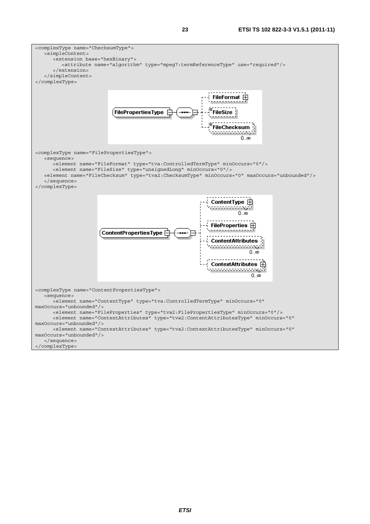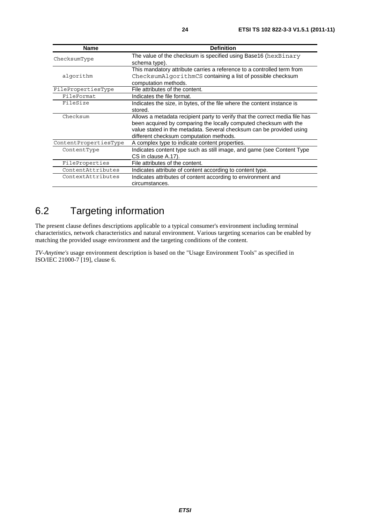| <b>Name</b>           | <b>Definition</b>                                                           |
|-----------------------|-----------------------------------------------------------------------------|
| ChecksumType          | The value of the checksum is specified using Base16 (hexBinary              |
|                       | schema type).                                                               |
|                       | This mandatory attribute carries a reference to a controlled term from      |
| algorithm             | ChecksumAlgorithmCS containing a list of possible checksum                  |
|                       | computation methods.                                                        |
| FilePropertiesType    | File attributes of the content.                                             |
| FileFormat            | Indicates the file format.                                                  |
| FileSize              | Indicates the size, in bytes, of the file where the content instance is     |
|                       | stored.                                                                     |
| Checksum              | Allows a metadata recipient party to verify that the correct media file has |
|                       | been acquired by comparing the locally computed checksum with the           |
|                       | value stated in the metadata. Several checksum can be provided using        |
|                       | different checksum computation methods.                                     |
| ContentPropertiesType | A complex type to indicate content properties.                              |
| ContentType           | Indicates content type such as still image, and game (see Content Type      |
|                       | CS in clause A.17).                                                         |
| FileProperties        | File attributes of the content.                                             |
| ContentAttributes     | Indicates attribute of content according to content type.                   |
| ContextAttributes     | Indicates attributes of content according to environment and                |
|                       | circumstances.                                                              |

# 6.2 Targeting information

The present clause defines descriptions applicable to a typical consumer's environment including terminal characteristics, network characteristics and natural environment. Various targeting scenarios can be enabled by matching the provided usage environment and the targeting conditions of the content.

*TV-Anytime's* usage environment description is based on the "Usage Environment Tools" as specified in ISO/IEC 21000-7 [19], clause 6.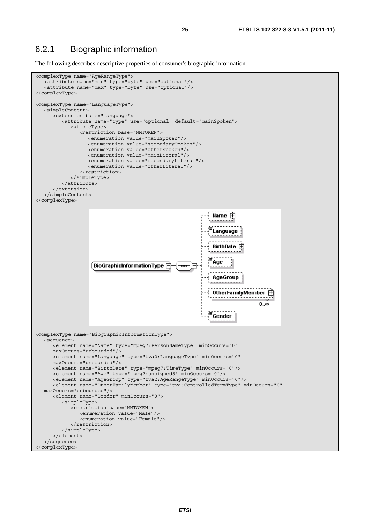### 6.2.1 Biographic information

The following describes descriptive properties of consumer's biographic information.

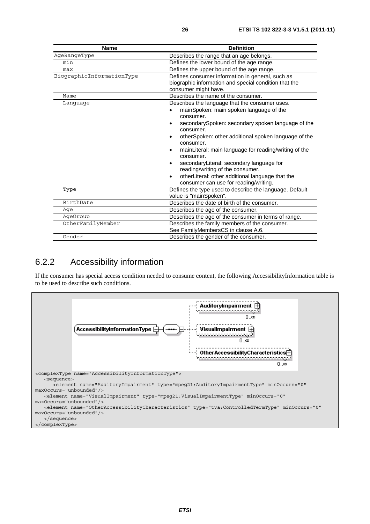| <b>Name</b>               | <b>Definition</b>                                                                                                                                                                                                                                                                                                                                                                                                                                                                                                                                         |
|---------------------------|-----------------------------------------------------------------------------------------------------------------------------------------------------------------------------------------------------------------------------------------------------------------------------------------------------------------------------------------------------------------------------------------------------------------------------------------------------------------------------------------------------------------------------------------------------------|
| AgeRangeType              | Describes the range that an age belongs.                                                                                                                                                                                                                                                                                                                                                                                                                                                                                                                  |
| min                       | Defines the lower bound of the age range.                                                                                                                                                                                                                                                                                                                                                                                                                                                                                                                 |
| max                       | Defines the upper bound of the age range.                                                                                                                                                                                                                                                                                                                                                                                                                                                                                                                 |
| BiographicInformationType | Defines consumer information in general, such as<br>biographic information and special condition that the<br>consumer might have.                                                                                                                                                                                                                                                                                                                                                                                                                         |
| Name                      | Describes the name of the consumer.                                                                                                                                                                                                                                                                                                                                                                                                                                                                                                                       |
| Language                  | Describes the language that the consumer uses.<br>mainSpoken: main spoken language of the<br>consumer.<br>secondarySpoken: secondary spoken language of the<br>٠<br>consumer.<br>otherSpoken: other additional spoken language of the<br>$\bullet$<br>consumer.<br>mainLiteral: main language for reading/writing of the<br>$\bullet$<br>consumer.<br>secondaryLiteral: secondary language for<br>$\bullet$<br>reading/writing of the consumer.<br>otherLiteral: other additional language that the<br>$\bullet$<br>consumer can use for reading/writing. |
| Type                      | Defines the type used to describe the language. Default<br>value is "mainSpoken".                                                                                                                                                                                                                                                                                                                                                                                                                                                                         |
| BirthDate                 | Describes the date of birth of the consumer.                                                                                                                                                                                                                                                                                                                                                                                                                                                                                                              |
| Aqe                       | Describes the age of the consumer.                                                                                                                                                                                                                                                                                                                                                                                                                                                                                                                        |
| AgeGroup                  | Describes the age of the consumer in terms of range.                                                                                                                                                                                                                                                                                                                                                                                                                                                                                                      |
| OtherFamilyMember         | Describes the family members of the consumer.<br>See FamilyMembersCS in clause A.6.                                                                                                                                                                                                                                                                                                                                                                                                                                                                       |
| Gender                    | Describes the gender of the consumer.                                                                                                                                                                                                                                                                                                                                                                                                                                                                                                                     |

### 6.2.2 Accessibility information

If the consumer has special access condition needed to consume content, the following AccessibilityInformation table is to be used to describe such conditions.

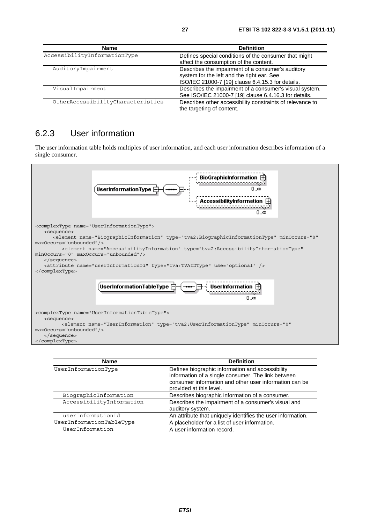| <b>Name</b>                       | <b>Definition</b>                                                                                                                                    |
|-----------------------------------|------------------------------------------------------------------------------------------------------------------------------------------------------|
| AccessibilityInformationType      | Defines special conditions of the consumer that might<br>affect the consumption of the content.                                                      |
| AuditoryImpairment                | Describes the impairment of a consumer's auditory<br>system for the left and the right ear. See<br>ISO/IEC 21000-7 [19] clause 6.4.15.3 for details. |
| VisualImpairment                  | Describes the impairment of a consumer's visual system.<br>See ISO/IEC 21000-7 [19] clause 6.4.16.3 for details.                                     |
| OtherAccessibilityCharacteristics | Describes other accessibility constraints of relevance to<br>the targeting of content.                                                               |

### 6.2.3 User information

The user information table holds multiples of user information, and each user information describes information of a single consumer.



| <b>Name</b>              | <b>Definition</b>                                                                                                                                                                           |
|--------------------------|---------------------------------------------------------------------------------------------------------------------------------------------------------------------------------------------|
| UserInformationType      | Defines biographic information and accessibility<br>information of a single consumer. The link between<br>consumer information and other user information can be<br>provided at this level. |
| BiographicInformation    | Describes biographic information of a consumer.                                                                                                                                             |
| AccessibilityInformation | Describes the impairment of a consumer's visual and<br>auditory system.                                                                                                                     |
| userInformationId        | An attribute that uniquely identifies the user information.                                                                                                                                 |
| UserInformationTableType | A placeholder for a list of user information.                                                                                                                                               |
| UserInformation          | A user information record.                                                                                                                                                                  |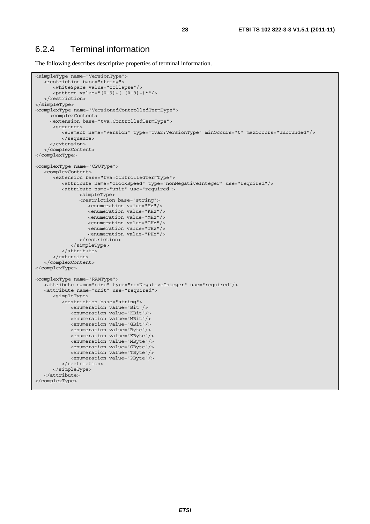### 6.2.4 Terminal information

The following describes descriptive properties of terminal information.

```
<simpleType name="VersionType"> 
    <restriction base="string"> 
       <whiteSpace value="collapse"/> 
       <pattern value="[0-9]+(.[0-9]+)*"/> 
    </restriction> 
</simpleType> 
<complexType name="VersionedControlledTermType"> 
      <complexContent> 
      <extension base="tva:ControlledTermType"> 
       <sequence> 
         -element name="Version" type="tva2:VersionType" minOccurs="0" maxOccurs="unbounded"/>
          </sequence> 
      </extension> 
    </complexContent> 
</complexType> 
<complexType name="CPUType"> 
   <complexContent> 
       <extension base="tva:ControlledTermType"> 
          <attribute name="clockSpeed" type="nonNegativeInteger" use="required"/> 
          <attribute name="unit" use="required"> 
                 <simpleType> 
                 <restriction base="string"> 
                    <enumeration value="Hz"/> 
                    <enumeration value="KHz"/> 
                    <enumeration value="MHz"/> 
                    <enumeration value="GHz"/> 
                    <enumeration value="THz"/> 
                    <enumeration value="PHz"/> 
                 </restriction> 
             </simpleType> 
          </attribute> 
       </extension> 
    </complexContent> 
</complexType> 
<complexType name="RAMType"> 
   <attribute name="size" type="nonNegativeInteger" use="required"/> 
    <attribute name="unit" use="required"> 
       <simpleType> 
          <restriction base="string"> 
             <enumeration value="Bit"/> 
             <enumeration value="KBit"/> 
             <enumeration value="MBit"/> 
             <enumeration value="GBit"/> 
             <enumeration value="Byte"/> 
             <enumeration value="KByte"/> 
             <enumeration value="MByte"/> 
             <enumeration value="GByte"/> 
             <enumeration value="TByte"/> 
             <enumeration value="PByte"/> 
          </restriction> 
       </simpleType> 
    </attribute> 
</complexType>
```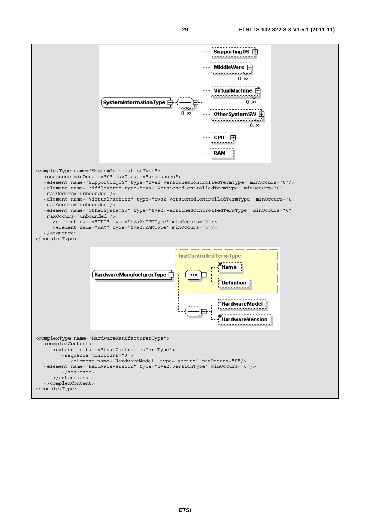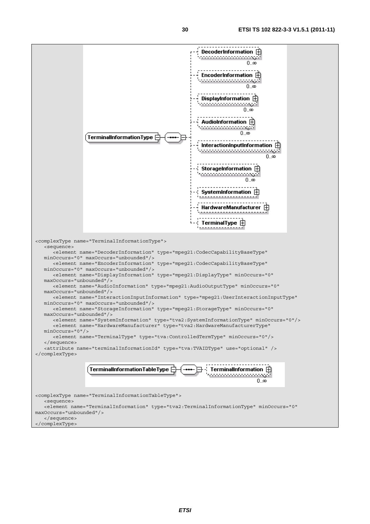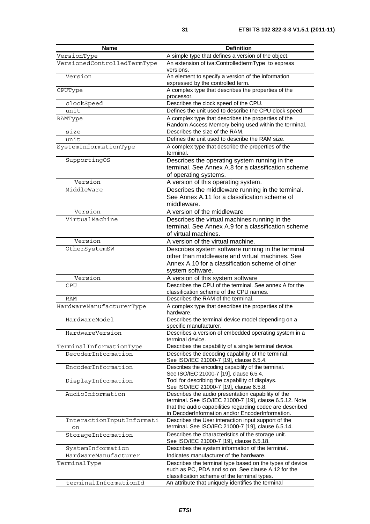| <b>Name</b>                     | <b>Definition</b>                                                                                                                                                                                                              |
|---------------------------------|--------------------------------------------------------------------------------------------------------------------------------------------------------------------------------------------------------------------------------|
| VersionType                     | A simple type that defines a version of the object.                                                                                                                                                                            |
| VersionedControlledTermType     | An extension of tva:ControlledtermType to express<br>versions.                                                                                                                                                                 |
| Version                         | An element to specify a version of the information<br>expressed by the controlled term.                                                                                                                                        |
| CPUType                         | A complex type that describes the properties of the<br>processor.                                                                                                                                                              |
| clockSpeed                      | Describes the clock speed of the CPU.                                                                                                                                                                                          |
| unit                            | Defines the unit used to describe the CPU clock speed.                                                                                                                                                                         |
| RAMType                         | A complex type that describes the properties of the<br>Random Access Memory being used within the terminal.                                                                                                                    |
| size                            | Describes the size of the RAM.                                                                                                                                                                                                 |
| unit                            | Defines the unit used to describe the RAM size.                                                                                                                                                                                |
| SystemInformationType           | A complex type that describe the properties of the<br>terminal.                                                                                                                                                                |
| SupportingOS                    | Describes the operating system running in the<br>terminal. See Annex A.8 for a classification scheme<br>of operating systems.                                                                                                  |
| Version                         | A version of this operating system.                                                                                                                                                                                            |
| MiddleWare                      | Describes the middleware running in the terminal.<br>See Annex A.11 for a classification scheme of<br>middleware.                                                                                                              |
| Version                         | A version of the middleware                                                                                                                                                                                                    |
| VirtualMachine                  | Describes the virtual machines running in the<br>terminal. See Annex A.9 for a classification scheme                                                                                                                           |
| Version                         | of virtual machines.                                                                                                                                                                                                           |
| OtherSystemSW                   | A version of the virtual machine.<br>Describes system software running in the terminal                                                                                                                                         |
|                                 | other than middleware and virtual machines. See<br>Annex A.10 for a classification scheme of other<br>system software.                                                                                                         |
| Version                         | A version of this system software                                                                                                                                                                                              |
| <b>CPU</b>                      | Describes the CPU of the terminal. See annex A for the<br>classification scheme of the CPU names.                                                                                                                              |
| <b>RAM</b>                      | Describes the RAM of the terminal.                                                                                                                                                                                             |
| HardwareManufacturerType        | A complex type that describes the properties of the<br>hardware.                                                                                                                                                               |
| HardwareModel                   | Describes the terminal device model depending on a<br>specific manufacturer.                                                                                                                                                   |
| HardwareVersion                 | Describes a version of embedded operating system in a<br>terminal device.                                                                                                                                                      |
| TerminalInformationType         | Describes the capability of a single terminal device.                                                                                                                                                                          |
| DecoderInformation              | Describes the decoding capability of the terminal.<br>See ISO/IEC 21000-7 [19], clause 6.5.4.                                                                                                                                  |
| EncoderInformation              | Describes the encoding capability of the terminal.<br>See ISO/IEC 21000-7 [19], clause 6.5.4.                                                                                                                                  |
| DisplayInformation              | Tool for describing the capability of displays.<br>See ISO/IEC 21000-7 [19], clause 6.5.8.                                                                                                                                     |
| AudioInformation                | Describes the audio presentation capability of the<br>terminal. See ISO/IEC 21000-7 [19], clause 6.5.12. Note<br>that the audio capabilities regarding codec are described<br>in DecoderInformation and/or EncoderInformation. |
| InteractionInputInformati<br>on | Describes the User interaction input support of the<br>terminal. See ISO/IEC 21000-7 [19], clause 6.5.14.                                                                                                                      |
| StorageInformation              | Describes the characteristics of the storage unit.<br>See ISO/IEC 21000-7 [19], clause 6.5.18.                                                                                                                                 |
| SystemInformation               | Describes the system information of the terminal.                                                                                                                                                                              |
| HardwareManufacturer            | Indicates manufacturer of the hardware.                                                                                                                                                                                        |
| TerminalType                    | Describes the terminal type based on the types of device<br>such as PC, PDA and so on. See clause A.12 for the                                                                                                                 |
| terminalInformationId           | classification scheme of the terminal types.<br>An attribute that uniquely identifies the terminal                                                                                                                             |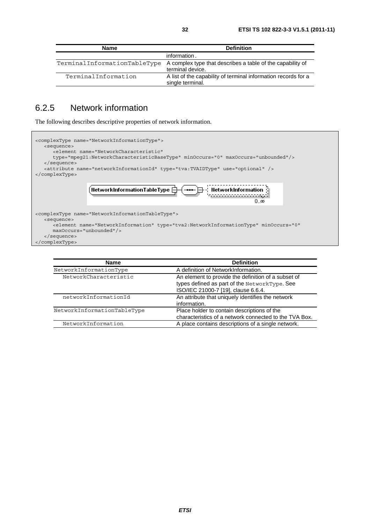| <b>Name</b>                  | <b>Definition</b>                                                                  |
|------------------------------|------------------------------------------------------------------------------------|
|                              | information.                                                                       |
| TerminalInformationTableType | A complex type that describes a table of the capability of<br>terminal device.     |
| TerminalInformation          | A list of the capability of terminal information records for a<br>single terminal. |

# 6.2.5 Network information

The following describes descriptive properties of network information.

| <complextype name="NetworkInformationType"><br/><sequence><br/><element_name="networkcharacteristic"<br>type="mpeq21:NetworkCharacteristicBaseType" minOccurs="0" maxOccurs="unbounded"/&gt;<br/><math>\langle</math> sequence&gt;<br/><attribute name="networkInformationId" type="tva:TVAIDType" use="optional"></attribute><br/><math>\langle</math> complexType&gt;</element_name="networkcharacteristic"<br></sequence></complextype> |  |
|--------------------------------------------------------------------------------------------------------------------------------------------------------------------------------------------------------------------------------------------------------------------------------------------------------------------------------------------------------------------------------------------------------------------------------------------|--|
| 「----- - - - - - - NetworkInformation<br>$H$ etworkinformationTableType $\boxdot$<br>$0\infty$                                                                                                                                                                                                                                                                                                                                             |  |
| <complextype name="NetworkInformationTableType"><br/><sequence><br/><element <br="" minoccurs="0" name="NetworkInformation" type="tva2:NetworkInformationType"><math>maxOccurs = "unbounded"</math><br/><math>\langle</math> sequence&gt;<br/></element></sequence></complextype>                                                                                                                                                          |  |

| <b>Name</b>                 | <b>Definition</b>                                                                                                                           |
|-----------------------------|---------------------------------------------------------------------------------------------------------------------------------------------|
| NetworkInformationType      | A definition of NetworkInformation.                                                                                                         |
| NetworkCharacteristic       | An element to provide the definition of a subset of<br>types defined as part of the NetworkType. See<br>ISO/IEC 21000-7 [19], clause 6.6.4. |
| networkInformationId        | An attribute that uniquely identifies the network<br>information.                                                                           |
| NetworkInformationTableType | Place holder to contain descriptions of the<br>characteristics of a network connected to the TVA Box.                                       |
| NetworkInformation          | A place contains descriptions of a single network.                                                                                          |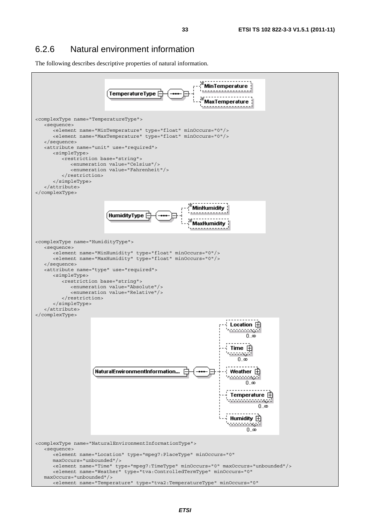The following describes descriptive properties of natural information.

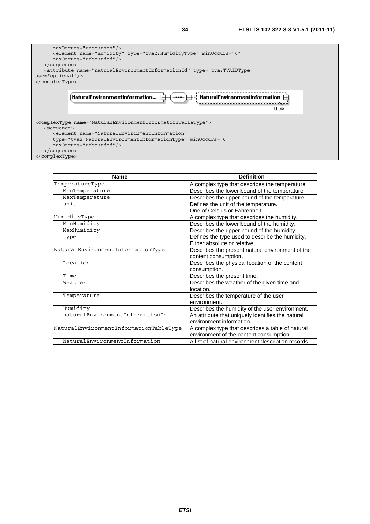

| <b>Name</b>                            | <b>Definition</b>                                  |
|----------------------------------------|----------------------------------------------------|
| TemperatureType                        | A complex type that describes the temperature      |
| MinTemperature                         | Describes the lower bound of the temperature.      |
| MaxTemperature                         | Describes the upper bound of the temperature.      |
| unit                                   | Defines the unit of the temperature.               |
|                                        | One of Celsius or Fahrenheit.                      |
| HumidityType                           | A complex type that describes the humidity.        |
| MinHumidity                            | Describes the lower bound of the humidity.         |
| MaxHumidity                            | Describes the upper bound of the humidity.         |
| type                                   | Defines the type used to describe the humidity.    |
|                                        | Either absolute or relative.                       |
| NaturalEnvironmentInformationType      | Describes the present natural environment of the   |
|                                        | content consumption.                               |
| Location                               | Describes the physical location of the content     |
|                                        | consumption.                                       |
| Time                                   | Describes the present time.                        |
| Weather                                | Describes the weather of the given time and        |
|                                        | location.                                          |
| Temperature                            | Describes the temperature of the user              |
|                                        | environment.                                       |
| Humidity                               | Describes the humidity of the user environment.    |
| naturalEnvironmentInformationId        | An attribute that uniquely identifies the natural  |
|                                        | environment information.                           |
| NaturalEnvironmentInformationTableType | A complex type that describes a table of natural   |
|                                        | environment of the content consumption.            |
| NaturalEnvironmentInformation          | A list of natural environment description records. |
|                                        |                                                    |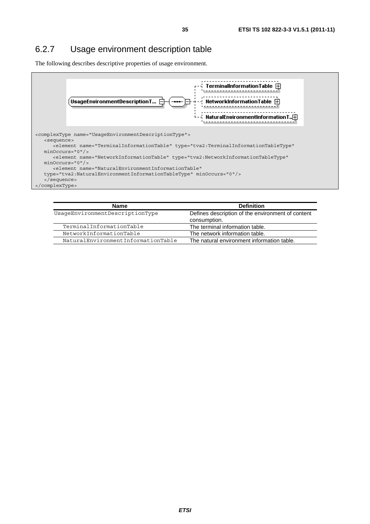### 6.2.7 Usage environment description table

The following describes descriptive properties of usage environment.



| Name                               | <b>Definition</b>                                                 |
|------------------------------------|-------------------------------------------------------------------|
| UsageEnvironmentDescriptionType    | Defines description of the environment of content<br>consumption. |
| TerminalInformationTable           | The terminal information table.                                   |
| NetworkInformationTable            | The network information table.                                    |
| NaturalEnvironmentInformationTable | The natural environment information table.                        |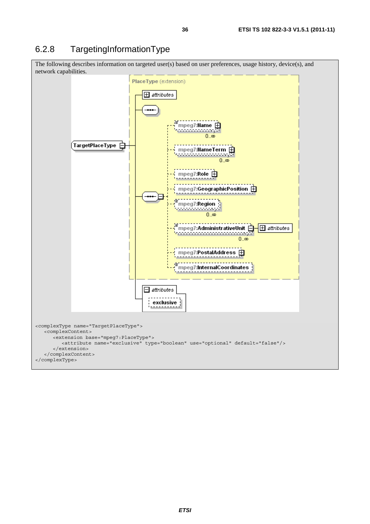# 6.2.8 TargetingInformationType

The following describes information on targeted user(s) based on user preferences, usage history, device(s), and network capabilities.

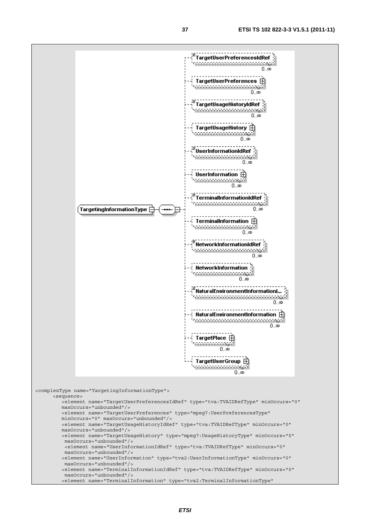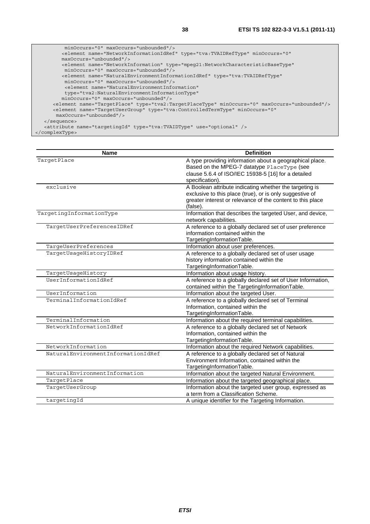| $minOccurs = "0" maxOccurs = "unbounded"$                                                              |
|--------------------------------------------------------------------------------------------------------|
| <element <="" minoccurs="0" name="NetworkInformationIdRef" td="" type="tva:TVAIDRefType"></element>    |
| maxOccurs="unbounded"/>                                                                                |
| <element <="" name="NetworkInformation" td="" type="mpeq21:NetworkCharacteristicBaseType"></element>   |
| minOccurs="0" maxOccurs="unbounded"/>                                                                  |
| <element <="" name="NaturalEnvironmentInformationIdRef" td="" type="tva:TVAIDRefType"></element>       |
| $minOccurs = "0" maxOccurs = "unbounded"$                                                              |
| <element <="" name="NaturalEnvironmentInformation" td=""></element>                                    |
| type="tva2:NaturalEnvironmentInformationType"                                                          |
| $minOccurs = "0" maxOccurs = "unbounded"$                                                              |
| <element maxoccurs="unbounded" minoccurs="0" name="TargetPlace" type="tva2:TargetPlaceType"></element> |
| <element <="" minoccurs="0" name="TarqetUserGroup" td="" type="tva:ControlledTermType"></element>      |
| maxOccurs="unbounded"/>                                                                                |
| $\langle$ sequence>                                                                                    |
| <attribute name="targetingId" type="tva:TVAIDType" use="optional"></attribute>                         |
|                                                                                                        |

<sup>&</sup>lt;/complexType>

| <b>Name</b>                        | <b>Definition</b>                                                                                       |
|------------------------------------|---------------------------------------------------------------------------------------------------------|
| TargetPlace                        | A type providing information about a geographical place.<br>Based on the MPEG-7 datatype PlaceType (see |
|                                    | clause 5.6.4 of ISO/IEC 15938-5 [16] for a detailed                                                     |
|                                    | specification).                                                                                         |
| exclusive                          | A Boolean attribute indicating whether the targeting is                                                 |
|                                    | exclusive to this place (true), or is only suggestive of                                                |
|                                    | greater interest or relevance of the content to this place                                              |
|                                    | (false).                                                                                                |
| TargetingInformationType           | Information that describes the targeted User, and device,                                               |
|                                    | network capabilities.                                                                                   |
| TargetUserPreferencesIDRef         | A reference to a globally declared set of user preference                                               |
|                                    | information contained within the                                                                        |
|                                    | TargetingInformationTable.                                                                              |
| TargeUserPreferences               | Information about user preferences.                                                                     |
| TargetUsageHistoryIDRef            | A reference to a globally declared set of user usage                                                    |
|                                    | history information contained within the                                                                |
|                                    | TargetingInformationTable.                                                                              |
| TargetUsageHistory                 | Information about usage history.                                                                        |
| UserInformationIdRef               | A reference to a globally declared set of User Information,                                             |
|                                    | contained within the TargetingInformationTable.                                                         |
| UserInformation                    | Information about the targeted User.                                                                    |
| TerminalInformationIdRef           | A reference to a globally declared set of Terminal                                                      |
|                                    | Information, contained within the                                                                       |
|                                    | TargetingInformationTable.                                                                              |
| TerminalInformation                | Information about the required terminal capabilities.                                                   |
| NetworkInformationIdRef            | A reference to a globally declared set of Network                                                       |
|                                    | Information, contained within the                                                                       |
|                                    | TargetingInformationTable.                                                                              |
| NetworkInformation                 | Information about the required Network capabilities.                                                    |
| NaturalEnvironmentInformationIdRef | A reference to a globally declared set of Natural                                                       |
|                                    | Environment Information, contained within the                                                           |
|                                    | TargetingInformationTable.                                                                              |
| NaturalEnvironmentInformation      | Information about the targeted Natural Environment.                                                     |
| TargetPlace                        | Information about the targeted geographical place.                                                      |
| TargetUserGroup                    | Information about the targeted user group, expressed as                                                 |
|                                    | a term from a Classification Scheme.                                                                    |
| targetingId                        | A unique identifier for the Targeting Information.                                                      |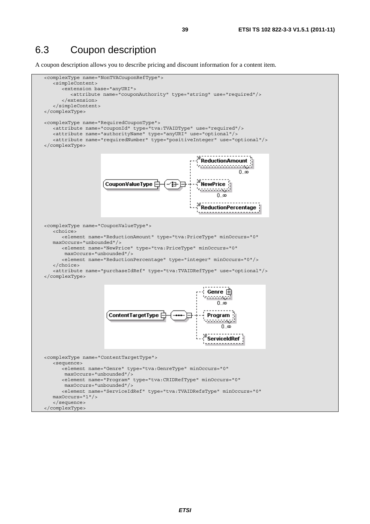#### 6.3 Coupon description

A coupon description allows you to describe pricing and discount information for a content item.

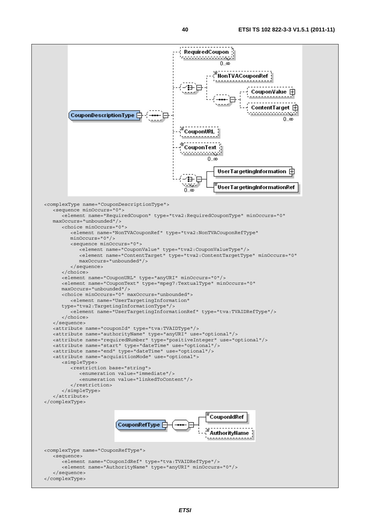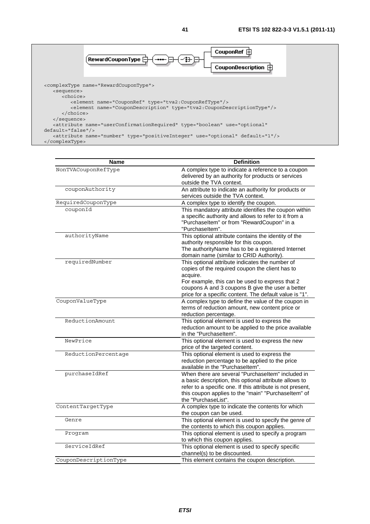

| Name                  | <b>Definition</b>                                                                                           |
|-----------------------|-------------------------------------------------------------------------------------------------------------|
| NonTVACouponRefType   | A complex type to indicate a reference to a coupon                                                          |
|                       | delivered by an authority for products or services                                                          |
|                       | outside the TVA context.                                                                                    |
| couponAuthority       | An attribute to indicate an authority for products or                                                       |
|                       | services outside the TVA context.                                                                           |
| RequiredCouponType    | A complex type to identify the coupon.                                                                      |
| couponId              | This mandatory attribute identifies the coupon within                                                       |
|                       | a specific authority and allows to refer to it from a                                                       |
|                       | "PurchaseItem" or from "RewardCoupon" in a                                                                  |
|                       | "Purchaseltem".                                                                                             |
| authorityName         | This optional attribute contains the identity of the                                                        |
|                       | authority responsible for this coupon.                                                                      |
|                       | The authorityName has to be a registered Internet<br>domain name (similar to CRID Authority).               |
| requiredNumber        | This optional attribute indicates the number of                                                             |
|                       | copies of the required coupon the client has to                                                             |
|                       | acquire.                                                                                                    |
|                       | For example, this can be used to express that 2                                                             |
|                       | coupons A and 3 coupons B give the user a better                                                            |
|                       | price for a specific content. The default value is "1".                                                     |
| CouponValueType       | A complex type to define the value of the coupon in                                                         |
|                       | terms of reduction amount, new content price or                                                             |
|                       | reduction percentage.                                                                                       |
| ReductionAmount       | This optional element is used to express the                                                                |
|                       | reduction amount to be applied to the price available                                                       |
|                       | in the "Purchaseltem".                                                                                      |
| NewPrice              | This optional element is used to express the new                                                            |
|                       | price of the targeted content.                                                                              |
| ReductionPercentage   | This optional element is used to express the                                                                |
|                       | reduction percentage to be applied to the price                                                             |
|                       | available in the "Purchaseltem".                                                                            |
| purchaseIdRef         | When there are several "Purchaseltem" included in<br>a basic description, this optional attribute allows to |
|                       | refer to a specific one. If this attribute is not present,                                                  |
|                       | this coupon applies to the "main" "Purchaseltem" of                                                         |
|                       | the "PurchaseList".                                                                                         |
| ContentTargetType     | A complex type to indicate the contents for which                                                           |
|                       | the coupon can be used.                                                                                     |
| Genre                 | This optional element is used to specify the genre of                                                       |
|                       | the contents to which this coupon applies.                                                                  |
| Program               | This optional element is used to specify a program                                                          |
|                       | to which this coupon applies.                                                                               |
| ServiceIdRef          | This optional element is used to specify specific                                                           |
|                       | channel(s) to be discounted.                                                                                |
| CouponDescriptionType | This element contains the coupon description.                                                               |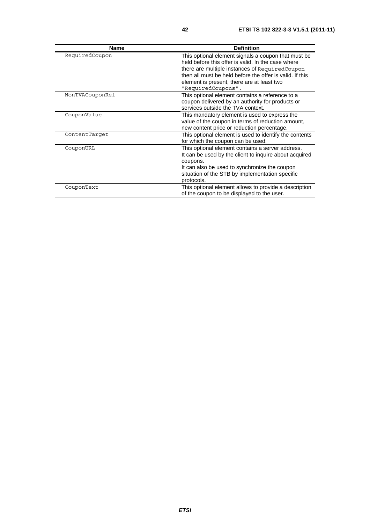| <b>Name</b>     | <b>Definition</b>                                                                                                                                                                                                                                                                            |
|-----------------|----------------------------------------------------------------------------------------------------------------------------------------------------------------------------------------------------------------------------------------------------------------------------------------------|
| RequiredCoupon  | This optional element signals a coupon that must be<br>held before this offer is valid. In the case where<br>there are multiple instances of Required Coupon<br>then all must be held before the offer is valid. If this<br>element is present, there are at least two<br>"RequiredCoupons". |
| NonTVACouponRef | This optional element contains a reference to a<br>coupon delivered by an authority for products or<br>services outside the TVA context.                                                                                                                                                     |
| CouponValue     | This mandatory element is used to express the<br>value of the coupon in terms of reduction amount,<br>new content price or reduction percentage.                                                                                                                                             |
| ContentTarget   | This optional element is used to identify the contents<br>for which the coupon can be used.                                                                                                                                                                                                  |
| CouponURL       | This optional element contains a server address.<br>It can be used by the client to inquire about acquired<br>coupons.<br>It can also be used to synchronize the coupon<br>situation of the STB by implementation specific<br>protocols.                                                     |
| CouponText      | This optional element allows to provide a description<br>of the coupon to be displayed to the user.                                                                                                                                                                                          |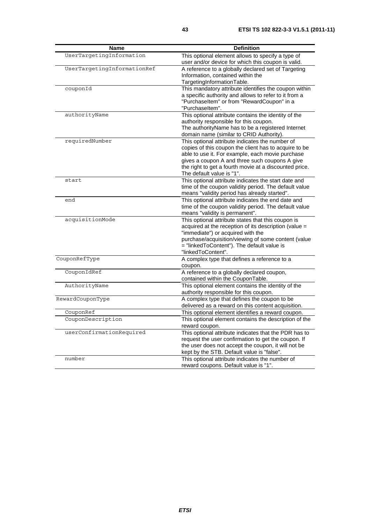| <b>Name</b>                 | <b>Definition</b>                                                                                                                                                                                                                                                                                     |
|-----------------------------|-------------------------------------------------------------------------------------------------------------------------------------------------------------------------------------------------------------------------------------------------------------------------------------------------------|
| UserTargetingInformation    | This optional element allows to specify a type of<br>user and/or device for which this coupon is valid.                                                                                                                                                                                               |
| UserTargetingInformationRef | A reference to a globally declared set of Targeting<br>Information, contained within the<br>TargetingInformationTable.                                                                                                                                                                                |
| couponId                    | This mandatory attribute identifies the coupon within<br>a specific authority and allows to refer to it from a<br>"PurchaseItem" or from "RewardCoupon" in a<br>"Purchaseltem".                                                                                                                       |
| authorityName               | This optional attribute contains the identity of the<br>authority responsible for this coupon.<br>The authorityName has to be a registered Internet<br>domain name (similar to CRID Authority).                                                                                                       |
| requiredNumber              | This optional attribute indicates the number of<br>copies of this coupon the client has to acquire to be<br>able to use it. For example, each movie purchase<br>gives a coupon A and three such coupons A give<br>the right to get a fourth movie at a discounted price.<br>The default value is "1". |
| start                       | This optional attribute indicates the start date and<br>time of the coupon validity period. The default value<br>means "validity period has already started".                                                                                                                                         |
| end                         | This optional attribute indicates the end date and<br>time of the coupon validity period. The default value<br>means "validity is permanent".                                                                                                                                                         |
| acquisitionMode             | This optional attribute states that this coupon is<br>acquired at the reception of its description (value =<br>"immediate") or acquired with the<br>purchase/acquisition/viewing of some content (value<br>= "linkedToContent"). The default value is<br>"linkedToContent".                           |
| CouponRefType               | A complex type that defines a reference to a<br>coupon.                                                                                                                                                                                                                                               |
| CouponIdRef                 | A reference to a globally declared coupon,<br>contained within the CouponTable.                                                                                                                                                                                                                       |
| AuthorityName               | This optional element contains the identity of the<br>authority responsible for this coupon.                                                                                                                                                                                                          |
| RewardCouponType            | A complex type that defines the coupon to be<br>delivered as a reward on this content acquisition.                                                                                                                                                                                                    |
| CouponRef                   | This optional element identifies a reward coupon.                                                                                                                                                                                                                                                     |
| CouponDescription           | This optional element contains the description of the<br>reward coupon.                                                                                                                                                                                                                               |
| userConfirmationRequired    | This optional attribute indicates that the PDR has to<br>request the user confirmation to get the coupon. If<br>the user does not accept the coupon, it will not be<br>kept by the STB. Default value is "false".                                                                                     |
| number                      | This optional attribute indicates the number of<br>reward coupons. Default value is "1".                                                                                                                                                                                                              |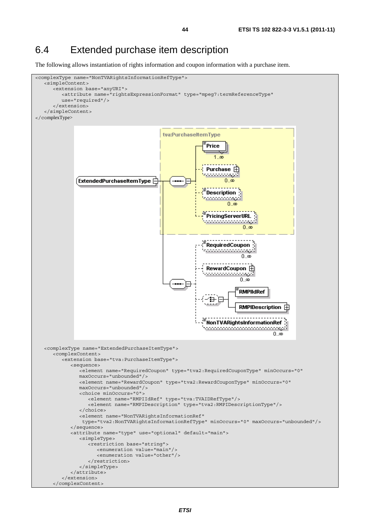#### 6.4 Extended purchase item description

The following allows instantiation of rights information and coupon information with a purchase item.

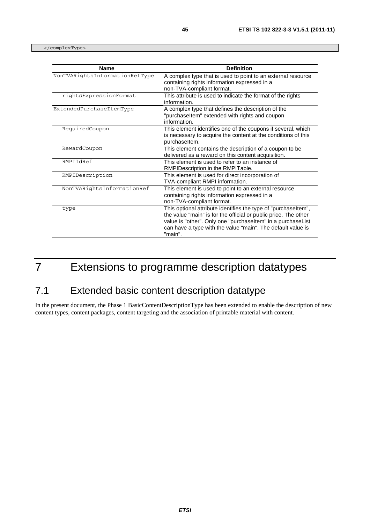</complexType>

| <b>Name</b>                    | <b>Definition</b>                                                                                                                                                                                                                                                          |
|--------------------------------|----------------------------------------------------------------------------------------------------------------------------------------------------------------------------------------------------------------------------------------------------------------------------|
| NonTVARightsInformationRefType | A complex type that is used to point to an external resource<br>containing rights information expressed in a<br>non-TVA-compliant format.                                                                                                                                  |
| rightsExpressionFormat         | This attribute is used to indicate the format of the rights<br>information.                                                                                                                                                                                                |
| ExtendedPurchaseItemType       | A complex type that defines the description of the<br>"purchaseltem" extended with rights and coupon<br>information.                                                                                                                                                       |
| RequiredCoupon                 | This element identifies one of the coupons if several, which<br>is necessary to acquire the content at the conditions of this<br>purchaseltem.                                                                                                                             |
| RewardCoupon                   | This element contains the description of a coupon to be<br>delivered as a reward on this content acquisition.                                                                                                                                                              |
| RMPIIdRef                      | This element is used to refer to an instance of<br>RMPIDescription in the RMPITable.                                                                                                                                                                                       |
| RMPIDescription                | This element is used for direct incorporation of<br>TVA-compliant RMPI information.                                                                                                                                                                                        |
| NonTVARightsInformationRef     | This element is used to point to an external resource<br>containing rights information expressed in a<br>non-TVA-compliant format.                                                                                                                                         |
| type                           | This optional attribute identifies the type of "purchaseltem",<br>the value "main" is for the official or public price. The other<br>value is "other". Only one "purchaseltem" in a purchaseList<br>can have a type with the value "main". The default value is<br>"main". |

# 7 Extensions to programme description datatypes

## 7.1 Extended basic content description datatype

In the present document, the Phase 1 BasicContentDescriptionType has been extended to enable the description of new content types, content packages, content targeting and the association of printable material with content.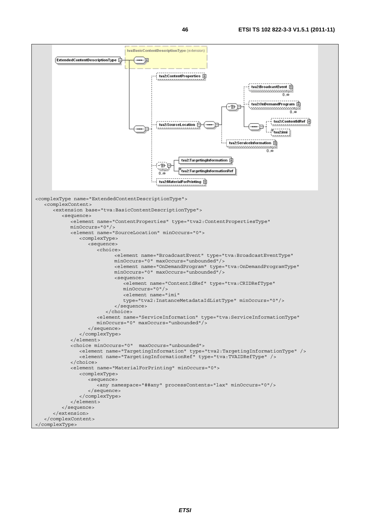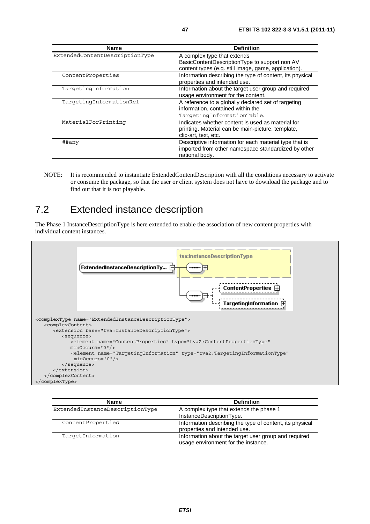| <b>Name</b>                    | <b>Definition</b>                                        |
|--------------------------------|----------------------------------------------------------|
| ExtendedContentDescriptionType | A complex type that extends                              |
|                                | BasicContentDescriptionType to support non AV            |
|                                | content types (e.g. still image, game, application).     |
| ContentProperties              | Information describing the type of content, its physical |
|                                | properties and intended use.                             |
| TargetingInformation           | Information about the target user group and required     |
|                                | usage environment for the content.                       |
| TargetingInformationRef        | A reference to a globally declared set of targeting      |
|                                | information, contained within the                        |
|                                | TargetingInformationTable.                               |
| MaterialForPrinting            | Indicates whether content is used as material for        |
|                                | printing. Material can be main-picture, template,        |
|                                | clip-art, text, etc.                                     |
| ##any                          | Descriptive information for each material type that is   |
|                                | imported from other namespace standardized by other      |
|                                | national body.                                           |

NOTE: It is recommended to instantiate ExtendedContentDescription with all the conditions necessary to activate or consume the package, so that the user or client system does not have to download the package and to find out that it is not playable.

## 7.2 Extended instance description

The Phase 1 InstanceDescriptionType is here extended to enable the association of new content properties with individual content instances.



| <b>Name</b>                     | <b>Definition</b>                                                                           |
|---------------------------------|---------------------------------------------------------------------------------------------|
| ExtendedInstanceDescriptionType | A complex type that extends the phase 1<br>InstanceDescriptionType.                         |
| ContentProperties               | Information describing the type of content, its physical<br>properties and intended use.    |
| TargetInformation               | Information about the target user group and required<br>usage environment for the instance. |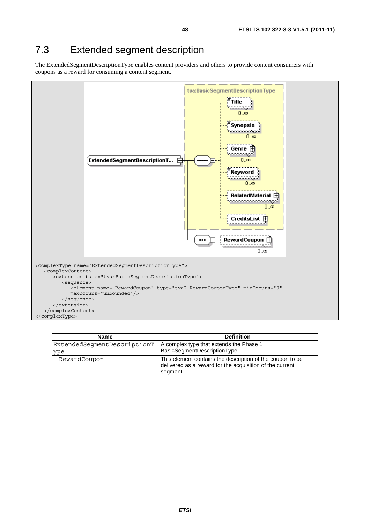## 7.3 Extended segment description

The ExtendedSegmentDescriptionType enables content providers and others to provide content consumers with coupons as a reward for consuming a content segment.



| <b>Name</b>                 | <b>Definition</b>                                                                                                                 |
|-----------------------------|-----------------------------------------------------------------------------------------------------------------------------------|
| ExtendedSeqmentDescriptionT | A complex type that extends the Phase 1                                                                                           |
| ype                         | BasicSegmentDescriptionType.                                                                                                      |
| RewardCoupon                | This element contains the description of the coupon to be<br>delivered as a reward for the acquisition of the current<br>segment. |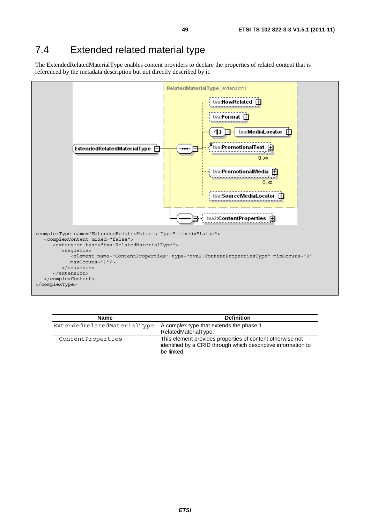## 7.4 Extended related material type

The ExtendedRelatedMaterialType enables content providers to declare the properties of related content that is referenced by the metadata description but not directly described by it.



| <b>Name</b>                 | <b>Definition</b>                                                                                                                        |
|-----------------------------|------------------------------------------------------------------------------------------------------------------------------------------|
| ExtendedrelatedMaterialType | A complex type that extends the phase 1                                                                                                  |
|                             | RelatedMaterialType.                                                                                                                     |
| ContentProperties           | This element provides properties of content otherwise not<br>identified by a CRID through which descriptive information to<br>be linked. |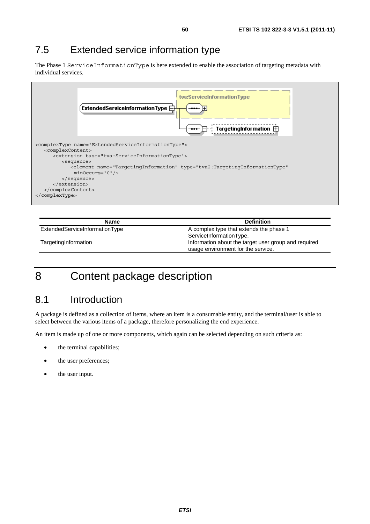## 7.5 Extended service information type

The Phase 1 ServiceInformationType is here extended to enable the association of targeting metadata with individual services.

| TargetingInformation $\boxplus$                                                                                                                                                                 |
|-------------------------------------------------------------------------------------------------------------------------------------------------------------------------------------------------|
|                                                                                                                                                                                                 |
| <complextype name="ExtendedServiceInformationType"><br/><complexcontent><br/><extension base="tva:ServiceInformationType"><br/><sequence></sequence></extension></complexcontent></complextype> |
| <element <br="" name="TargetingInformation" type="tva2:TargetingInformationType"><math>minOccurs = "0"</math></element>                                                                         |
| $\langle$ sequence><br>                                                                                                                                                                         |
|                                                                                                                                                                                                 |
|                                                                                                                                                                                                 |

| Name                           | <b>Definition</b>                                                                          |
|--------------------------------|--------------------------------------------------------------------------------------------|
| ExtendedServiceInformationType | A complex type that extends the phase 1<br>ServiceInformationType.                         |
| TargetingInformation           | Information about the target user group and required<br>usage environment for the service. |

# 8 Content package description

## 8.1 Introduction

A package is defined as a collection of items, where an item is a consumable entity, and the terminal/user is able to select between the various items of a package, therefore personalizing the end experience.

An item is made up of one or more components, which again can be selected depending on such criteria as:

- the terminal capabilities;
- the user preferences;
- the user input.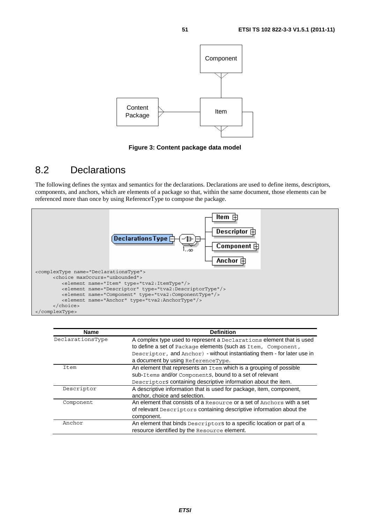

**Figure 3: Content package data model** 

#### 8.2 Declarations

The following defines the syntax and semantics for the declarations. Declarations are used to define items, descriptors, components, and anchors, which are elements of a package so that, within the same document, those elements can be referenced more than once by using ReferenceType to compose the package.



| <b>Name</b>      | <b>Definition</b>                                                       |
|------------------|-------------------------------------------------------------------------|
| DeclarationsType | A complex type used to represent a Declarations element that is used    |
|                  | to define a set of Package elements (such as Item, Component,           |
|                  | Descriptor, and Anchor) - without instantiating them - for later use in |
|                  | a document by using ReferenceType.                                      |
| Item             | An element that represents an Item which is a grouping of possible      |
|                  | sub-Items and/or Components, bound to a set of relevant                 |
|                  | Descriptors containing descriptive information about the item.          |
| Descriptor       | A descriptive information that is used for package, item, component,    |
|                  | anchor, choice and selection.                                           |
| Component        | An element that consists of a Resource or a set of Anchors with a set   |
|                  | of relevant Descriptors containing descriptive information about the    |
|                  | component.                                                              |
| Anchor           | An element that binds Descriptors to a specific location or part of a   |
|                  | resource identified by the Resource element.                            |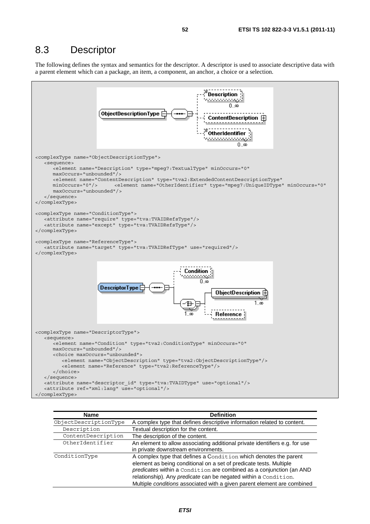#### 8.3 Descriptor

The following defines the syntax and semantics for the descriptor. A descriptor is used to associate descriptive data with a parent element which can a package, an item, a component, an anchor, a choice or a selection.



| <b>Name</b>           | <b>Definition</b>                                                           |
|-----------------------|-----------------------------------------------------------------------------|
| ObjectDescriptionType | A complex type that defines descriptive information related to content.     |
| Description           | Textual description for the content.                                        |
| ContentDescription    | The description of the content.                                             |
| OtherIdentifier       | An element to allow associating additional private identifiers e.g. for use |
|                       | in private downstream environments.                                         |
| ConditionType         | A complex type that defines a Condition which denotes the parent            |
|                       | element as being conditional on a set of predicate tests. Multiple          |
|                       | predicates within a Condition are combined as a conjunction (an AND         |
|                       | relationship). Any predicate can be negated within a Condition.             |
|                       | Multiple conditions associated with a given parent element are combined     |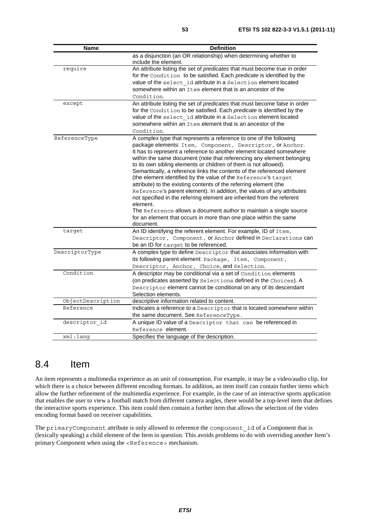| <b>Name</b>       | <b>Definition</b>                                                          |
|-------------------|----------------------------------------------------------------------------|
|                   | as a disjunction (an OR relationship) when determining whether to          |
|                   | include the element.                                                       |
| require           | An attribute listing the set of predicates that must become true in order  |
|                   | for the Condition to be satisfied. Each predicate is identified by the     |
|                   | value of the select id attribute in a Selection element located            |
|                   | somewhere within an Item element that is an ancestor of the                |
|                   | Condition.                                                                 |
| except            | An attribute listing the set of predicates that must become false in order |
|                   | for the Condition to be satisfied. Each predicate is identified by the     |
|                   | value of the select id attribute in a Selection element located            |
|                   | somewhere within an Item element that is an ancestor of the                |
|                   | Condition.                                                                 |
| ReferenceType     | A complex type that represents a reference to one of the following         |
|                   | package elements: Item, Component, Descriptor, or Anchor.                  |
|                   | It has to represent a reference to another element located somewhere       |
|                   | within the same document (note that referencing any element belonging      |
|                   | to its own sibling elements or children of them is not allowed).           |
|                   | Semantically, a reference links the contents of the referenced element     |
|                   | (the element identified by the value of the Reference's target             |
|                   | attribute) to the existing contents of the referring element (the          |
|                   | Reference's parent element). In addition, the values of any attributes     |
|                   | not specified in the referring element are inherited from the referent     |
|                   | element.                                                                   |
|                   | The Reference allows a document author to maintain a single source         |
|                   | for an element that occurs in more than one place within the same          |
|                   | document.                                                                  |
| target            | An ID identifying the referent element. For example, ID of Item,           |
|                   | Descriptor, Component, Or Anchor defined in Declarations can               |
|                   | be an ID for target to be referenced.                                      |
| DescriptorType    | A complex type to define Descriptor that associates information with       |
|                   | its following parent element: Package, Item, Component,                    |
|                   | Descriptor, Anchor, Choice, and Selection.                                 |
| Condition         | A descriptor may be conditional via a set of Condition elements            |
|                   | (on predicates asserted by Selections defined in the Choices). A           |
|                   | Descriptor element cannot be conditional on any of its descendant          |
|                   | Selection elements.                                                        |
| ObjectDescription | descriptive information related to content.                                |
| Reference         | Indicates a reference to a Descriptor that is located somewhere within     |
|                   | the same document. See ReferenceType.                                      |
| descriptor id     | A unique ID value of a Descriptor that can be referenced in                |
|                   | Reference element.                                                         |
| xml:lang          | Specifies the language of the description.                                 |

#### 8.4 Item

An item represents a multimedia experience as an unit of consumption. For example, it may be a video/audio clip, for which there is a choice between different encoding formats. In addition, an item itself can contain further items which allow the further refinement of the multimedia experience. For example, in the case of an interactive sports application that enables the user to view a football match from different camera angles, there would be a top-level item that defines the interactive sports experience. This item could then contain a further item that allows the selection of the video encoding format based on receiver capabilities.

The primaryComponent attribute is only allowed to reference the component id of a Component that is (lexically speaking) a child element of the Item in question. This avoids problems to do with overriding another Item's primary Component when using the <Reference> mechanism.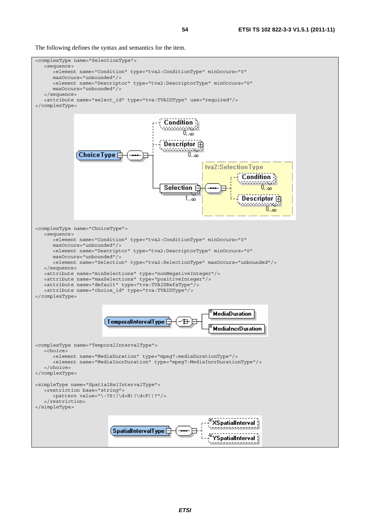The following defines the syntax and semantics for the item.

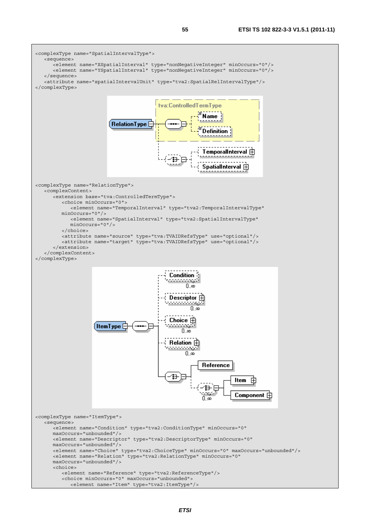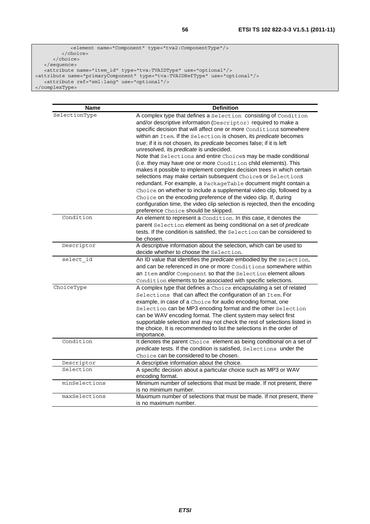```
 <element name="Component" type="tva2:ComponentType"/> 
          </choice> 
      </choice> 
   </sequence> 
 <attribute name="item_id" type="tva:TVAIDType" use="optional"/> 
<attribute name="primaryComponent" type="tva:TVAIDRefType" use="optional"/> 
 <attribute ref="xml:lang" use="optional"/> 
</complexType>
```

| <b>Name</b>   | <b>Definition</b>                                                                                                                                |
|---------------|--------------------------------------------------------------------------------------------------------------------------------------------------|
| SelectionType | A complex type that defines a Selection consisting of Condition                                                                                  |
|               | and/or descriptive information (Descriptor) required to make a                                                                                   |
|               | specific decision that will affect one or more Conditions somewhere                                                                              |
|               | within an Item. If the Selection is chosen, its predicate becomes                                                                                |
|               | true; if it is not chosen, its predicate becomes false; if it is left                                                                            |
|               | unresolved, its predicate is undecided.                                                                                                          |
|               | Note that Selections and entire Choices may be made conditional                                                                                  |
|               | (i.e. they may have one or more Condition child elements). This                                                                                  |
|               | makes it possible to implement complex decision trees in which certain                                                                           |
|               | selections may make certain subsequent Choices or Selections                                                                                     |
|               | redundant. For example, a PackageTable document might contain a                                                                                  |
|               | Choice on whether to include a supplemental video clip, followed by a                                                                            |
|               | Choice on the encoding preference of the video clip. If, during                                                                                  |
|               | configuration time, the video clip selection is rejected, then the encoding                                                                      |
| Condition     | preference Choice should be skipped.                                                                                                             |
|               | An element to represent a Condition. In this case, it denotes the                                                                                |
|               | parent Selection element as being conditional on a set of predicate<br>tests. If the condition is satisfied, the Selection can be considered to  |
|               | be chosen.                                                                                                                                       |
| Descriptor    | A descriptive information about the selection, which can be used to                                                                              |
|               | decide whether to choose the Selection.                                                                                                          |
| select id     | An ID value that identifies the predicate embodied by the Selection,                                                                             |
|               | and can be referenced in one or more Conditions somewhere within                                                                                 |
|               | an Item and/or Component so that the Selection element allows                                                                                    |
|               | Condition elements to be associated with specific selections.                                                                                    |
| ChoiceType    | A complex type that defines a Choice encapsulating a set of related                                                                              |
|               | Selections that can affect the configuration of an Item. For                                                                                     |
|               | example, in case of a Choice for audio encoding format, one                                                                                      |
|               | Selection can be MP3 encoding format and the other Selection                                                                                     |
|               | can be WAV encoding format. The client system may select first                                                                                   |
|               | supportable selection and may not check the rest of selections listed in<br>the choice. It is recommended to list the selections in the order of |
|               | importance.                                                                                                                                      |
| Condition     | It denotes the parent Choice element as being conditional on a set of                                                                            |
|               | predicate tests. If the condition is satisfied, Selections under the                                                                             |
|               | Choice can be considered to be chosen.                                                                                                           |
| Descriptor    | A descriptive information about the choice.                                                                                                      |
| Selection     | A specific decision about a particular choice such as MP3 or WAV                                                                                 |
|               | encoding format.                                                                                                                                 |
| minSelections | Minimum number of selections that must be made. If not present, there                                                                            |
|               | is no minimum number.                                                                                                                            |
| maxSelections | Maximum number of selections that must be made. If not present, there                                                                            |
|               | is no maximum number.                                                                                                                            |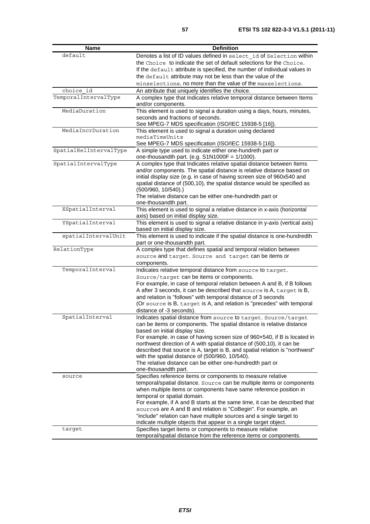| <b>Name</b>            | <b>Definition</b>                                                                                                                                  |
|------------------------|----------------------------------------------------------------------------------------------------------------------------------------------------|
| default                | Denotes a list of ID values defined in select id of Selection within                                                                               |
|                        | the Choice to indicate the set of default selections for the Choice.                                                                               |
|                        | If the default attribute is specified, the number of individual values in                                                                          |
|                        | the default attribute may not be less than the value of the                                                                                        |
|                        | minselections, no more than the value of the maxselections.                                                                                        |
| choice id              | An attribute that uniquely identifies the choice.                                                                                                  |
| TemporalIntervalType   | A complex type that Indicates relative temporal distance between Items                                                                             |
|                        | and/or components.                                                                                                                                 |
| MediaDuration          | This element is used to signal a duration using a days, hours, minutes,                                                                            |
|                        | seconds and fractions of seconds.                                                                                                                  |
| MediaIncrDuration      | See MPEG-7 MDS specification (ISO/IEC 15938-5 [16]).<br>This element is used to signal a duration using declared                                   |
|                        | mediaTimeUnits                                                                                                                                     |
|                        | See MPEG-7 MDS specification (ISO/IEC 15938-5 [16]).                                                                                               |
| SpatialRelIntervalType | A simple type used to indicate either one-hundreth part or                                                                                         |
|                        | one-thousandth part. (e.g. $S1N1000F = 1/1000$ ).                                                                                                  |
| SpatialIntervalType    | A complex type that Indicates relative spatial distance between Items                                                                              |
|                        | and/or components. The spatial distance is relative distance based on                                                                              |
|                        | initial display size (e.g. in case of having screen size of 960x540 and                                                                            |
|                        | spatial distance of (500,10), the spatial distance would be specified as                                                                           |
|                        | $(500/960, 10/540)$ .)<br>The relative distance can be either one-hundredth part or                                                                |
|                        | one-thousandth part.                                                                                                                               |
| XSpatialInterval       | This element is used to signal a relative distance in x-axis (horizontal                                                                           |
|                        | axis) based on initial display size.                                                                                                               |
| YSpatialInterval       | This element is used to signal a relative distance in y-axis (vertical axis)                                                                       |
|                        | based on initial display size.                                                                                                                     |
| spatialIntervalUnit    | This element is used to indicate if the spatial distance is one-hundredth                                                                          |
|                        | part or one-thousandth part.                                                                                                                       |
| RelationType           | A complex type that defines spatial and temporal relation between                                                                                  |
|                        | source and target. Source and target can be items or<br>components.                                                                                |
| TemporalInterval       | Indicates relative temporal distance from source to target.                                                                                        |
|                        | Source/target can be items or components.                                                                                                          |
|                        | For example, in case of temporal relation between A and B, if B follows                                                                            |
|                        | A after 3 seconds, it can be described that source is A, target is B,                                                                              |
|                        | and relation is "follows" with temporal distance of 3 seconds                                                                                      |
|                        | (Or source is B, target is A, and relation is "precedes" with temporal                                                                             |
|                        | distance of -3 seconds).                                                                                                                           |
| SpatialInterval        | Indicates spatial distance from source to target. Source/target                                                                                    |
|                        | can be items or components. The spatial distance is relative distance                                                                              |
|                        | based on initial display size.                                                                                                                     |
|                        | For example. in case of having screen size of 960x540, if B is located in<br>northwest direction of A with spatial distance of (500,10), it can be |
|                        | described that source is A, target is B, and spatial relation is "northwest"                                                                       |
|                        | with the spatial distance of (500/960, 10/540).                                                                                                    |
|                        | The relative distance can be either one-hundredth part or                                                                                          |
|                        | one-thousandth part.                                                                                                                               |
| source                 | Specifies reference items or components to measure relative                                                                                        |
|                        | temporal/spatial distance. Source can be multiple items or components                                                                              |
|                        | when multiple items or components have same reference position in                                                                                  |
|                        | temporal or spatial domain.                                                                                                                        |
|                        | For example, if A and B starts at the same time, it can be described that                                                                          |
|                        | sources are A and B and relation is "CoBegin". For example, an<br>"include" relation can have multiple sources and a single target to              |
|                        | indicate multiple objects that appear in a single target object.                                                                                   |
| target                 | Specifies target items or components to measure relative                                                                                           |
|                        | temporal/spatial distance from the reference items or components.                                                                                  |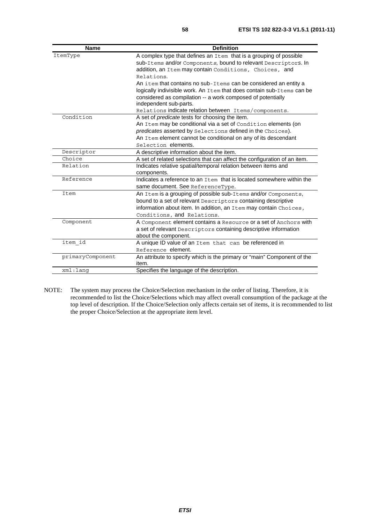| <b>Name</b>      | <b>Definition</b>                                                         |
|------------------|---------------------------------------------------------------------------|
| ItemType         | A complex type that defines an Item that is a grouping of possible        |
|                  | sub-Items and/or Components, bound to relevant Descriptors. In            |
|                  | addition, an Item may contain Conditions, Choices, and                    |
|                  | Relations.                                                                |
|                  | An item that contains no sub-Items can be considered an entity a          |
|                  | logically indivisible work. An Item that does contain sub-Items can be    |
|                  | considered as compilation -- a work composed of potentially               |
|                  | independent sub-parts.                                                    |
|                  | Relations indicate relation between Items/components.                     |
| Condition        | A set of <i>predicate</i> tests for choosing the item.                    |
|                  | An Item may be conditional via a set of Condition elements (on            |
|                  | predicates asserted by Selections defined in the Choices).                |
|                  | An Item element cannot be conditional on any of its descendant            |
|                  | Selection elements.                                                       |
| Descriptor       | A descriptive information about the item.                                 |
| Choice           | A set of related selections that can affect the configuration of an item. |
| Relation         | Indicates relative spatial/temporal relation between items and            |
|                  | components.                                                               |
| Reference        | Indicates a reference to an Item that is located somewhere within the     |
|                  | same document. See ReferenceType.                                         |
| Item             | An Item is a grouping of possible sub-Items and/or Components,            |
|                  | bound to a set of relevant Descriptors containing descriptive             |
|                  | information about item. In addition, an Item may contain Choices,         |
|                  | Conditions, and Relations.                                                |
| Component        | A Component element contains a Resource or a set of Anchors with          |
|                  | a set of relevant Descriptors containing descriptive information          |
|                  | about the component.                                                      |
| item id          | A unique ID value of an Item that can be referenced in                    |
|                  | Reference element.                                                        |
| primaryComponent | An attribute to specify which is the primary or "main" Component of the   |
|                  | item.                                                                     |
| xml:lanq         | Specifies the language of the description.                                |

NOTE: The system may process the Choice/Selection mechanism in the order of listing. Therefore, it is recommended to list the Choice/Selections which may affect overall consumption of the package at the top level of description. If the Choice/Selection only affects certain set of items, it is recommended to list the proper Choice/Selection at the appropriate item level.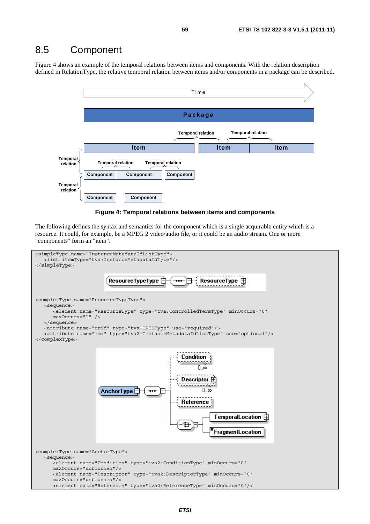#### 8.5 Component

Figure 4 shows an example of the temporal relations between items and components. With the relation description defined in RelationType, the relative temporal relation between items and/or components in a package can be described.





The following defines the syntax and semantics for the component which is a single acquirable entity which is a resource. It could, for example, be a MPEG 2 video/audio file, or it could be an audio stream. One or more "components" form an "item".

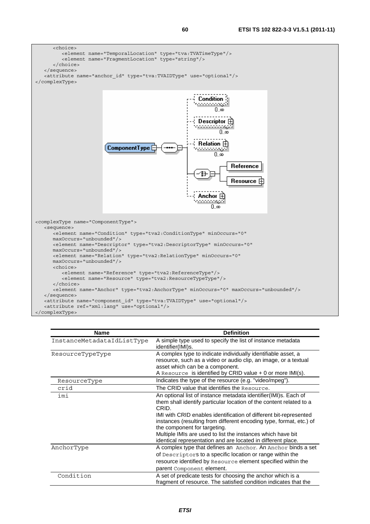

| <b>Name</b>                | <b>Definition</b>                                                                                                                                                                                                                                                                                                                                                                                                                                          |
|----------------------------|------------------------------------------------------------------------------------------------------------------------------------------------------------------------------------------------------------------------------------------------------------------------------------------------------------------------------------------------------------------------------------------------------------------------------------------------------------|
| InstanceMetadataIdListType | A simple type used to specify the list of instance metadata<br>identifier(IMI)s.                                                                                                                                                                                                                                                                                                                                                                           |
| ResourceTypeType           | A complex type to indicate individually identifiable asset, a<br>resource, such as a video or audio clip, an image, or a textual<br>asset which can be a component.<br>A Resource is identified by CRID value $+$ 0 or more IMI(s).                                                                                                                                                                                                                        |
| ResourceType               | Indicates the type of the resource (e.g. "video/mpeg").                                                                                                                                                                                                                                                                                                                                                                                                    |
| crid                       | The CRID value that identifies the Resource.                                                                                                                                                                                                                                                                                                                                                                                                               |
| imi                        | An optional list of instance metadata identifier(IMI)s. Each of<br>them shall identify particular location of the content related to a<br>CRID.<br>IMI with CRID enables identification of different bit-represented<br>instances (resulting from different encoding type, format, etc.) of<br>the component for targeting.<br>Multiple IMIs are used to list the instances which have bit<br>identical representation and are located in different place. |
| AnchorType                 | A complex type that defines an Anchor. An Anchor binds a set<br>of Descriptors to a specific location or range within the<br>resource identified by Resource element specified within the<br>parent Component element.                                                                                                                                                                                                                                     |
| Condition                  | A set of predicate tests for choosing the anchor which is a<br>fragment of resource. The satisfied condition indicates that the                                                                                                                                                                                                                                                                                                                            |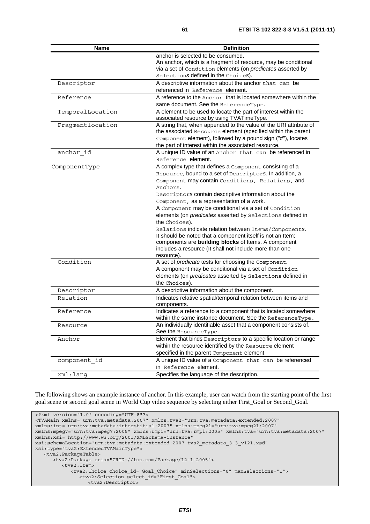| <b>Name</b>      | <b>Definition</b>                                                                |
|------------------|----------------------------------------------------------------------------------|
|                  | anchor is selected to be consumed.                                               |
|                  | An anchor, which is a fragment of resource, may be conditional                   |
|                  | via a set of Condition elements (on predicates asserted by                       |
|                  | Selections defined in the Choices).                                              |
| Descriptor       | A descriptive information about the anchor that can be                           |
|                  | referenced in Reference element.                                                 |
| Reference        | A reference to the Anchor that is located somewhere within the                   |
|                  | same document. See the ReferenceType.                                            |
| TemporalLocation | A element to be used to locate the part of interest within the                   |
|                  | associated resource by using TVATimeType.                                        |
| Fragmentlocation | A string that, when appended to the value of the URI attribute of                |
|                  | the associated Resource element (specified within the parent                     |
|                  | Component element), followed by a pound sign ("#"), locates                      |
|                  | the part of interest within the associated resource.                             |
| anchor id        | A unique ID value of an Anchor that can be referenced in                         |
|                  | Reference element.                                                               |
| ComponentType    | A complex type that defines a Component consisting of a                          |
|                  | Resource, bound to a set of Descriptors. In addition, a                          |
|                  | Component may contain Conditions, Relations, and                                 |
|                  | Anchors.                                                                         |
|                  | Descriptors contain descriptive information about the                            |
|                  | Component, as a representation of a work.                                        |
|                  | A Component may be conditional via a set of Condition                            |
|                  | elements (on <i>predicates</i> asserted by Selections defined in                 |
|                  | the Choices).                                                                    |
|                  | Relations indicate relation between Items/Components.                            |
|                  | It should be noted that a component itself is not an Item;                       |
|                  | components are building blocks of Items. A component                             |
|                  | includes a resource (It shall not include more than one<br>resource).            |
| Condition        | A set of <i>predicate</i> tests for choosing the Component.                      |
|                  | A component may be conditional via a set of Condition                            |
|                  | elements (on predicates asserted by Selections defined in                        |
|                  | the Choices).                                                                    |
| Descriptor       | A descriptive information about the component.                                   |
| Relation         | Indicates relative spatial/temporal relation between items and                   |
|                  | components.                                                                      |
| Reference        | Indicates a reference to a component that is located somewhere                   |
|                  | within the same instance document. See the ReferenceType.                        |
| Resource         | An individually identifiable asset that a component consists of.                 |
|                  | See the ResourceType.                                                            |
| Anchor           | Element that binds Descriptors to a specific location or range                   |
|                  | within the resource identified by the Resource element                           |
|                  | specified in the parent Component element.                                       |
|                  |                                                                                  |
| component id     | A unique ID value of a Component that can be referenced<br>in Reference element. |
|                  |                                                                                  |
| xml:lang         | Specifies the language of the description.                                       |

The following shows an example instance of anchor. In this example, user can watch from the starting point of the first goal scene or second goal scene in World Cup video sequence by selecting either First\_Goal or Second\_Goal.

```
<?xml version="1.0" encoding="UTF-8"?> 
<TVAMain xmlns="urn:tva:metadata:2007" xmlns:tva2="urn:tva:metadata:extended:2007" 
xmlns:int="urn:tva:metadata:interstitial:2007" xmlns:mpeg21="urn:tva:mpeg21:2007" 
xmlns:mpeg7="urn:tva:mpeg7:2005" xmlns:rmpi="urn:tva:rmpi:2005" xmlns:tva="urn:tva:metadata:2007" 
xmlns:xsi="http://www.w3.org/2001/XMLSchema-instance" 
xsi:schemaLocation="urn:tva:metadata:extended:2007 tva2_metadata_3-3_v121.xsd" 
xsi:type="tva2:ExtendedTVAMainType"> 
   <tva2:PackageTable> 
      <tva2:Package crid="CRID://foo.com/Package/12-1-2005"> 
          <tva2:Item> 
             <tva2:Choice choice_id="Goal_Choice" minSelections="0" maxSelections="1"> 
                <tva2:Selection select_id="First_Goal"> 
                  <tva2:Descriptor>
```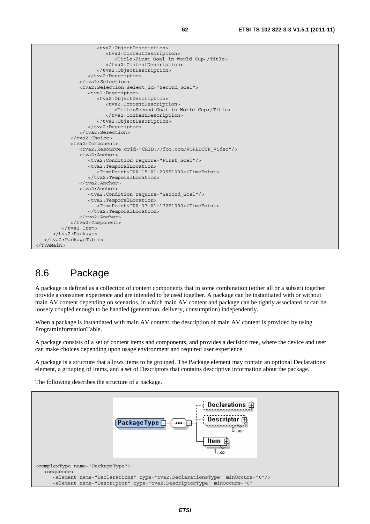

#### 8.6 Package

A package is defined as a collection of content components that in some combination (either all or a subset) together provide a consumer experience and are intended to be used together. A package can be instantiated with or without main AV content depending on scenarios, in which main AV content and package can be tightly associated or can be loosely coupled enough to be handled (generation, delivery, consumption) independently.

When a package is instantiated with main AV content, the description of main AV content is provided by using ProgramInformationTable.

A package consists of a set of content items and components, and provides a decision tree, where the device and user can make choices depending upon usage environment and required user experience.

A package is a structure that allows items to be grouped. The Package element may contain an optional Declarations element, a grouping of Items, and a set of Descriptors that contains descriptive information about the package.

The following describes the structure of a package.

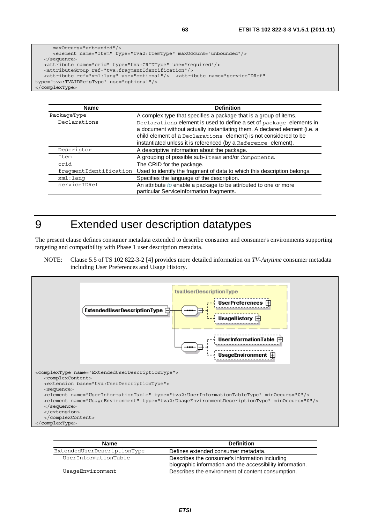```
 maxOccurs="unbounded"/> 
       <element name="Item" type="tva2:ItemType" maxOccurs="unbounded"/> 
    </sequence> 
    <attribute name="crid" type="tva:CRIDType" use="required"/> 
    <attributeGroup ref="tva:fragmentIdentification"/> 
   <attribute ref="xml:lang" use="optional"/> <attribute name="serviceIDRef" 
type="tva:TVAIDRefsType" use="optional"/> 
</complexType>
```

| <b>Name</b>            | <b>Definition</b>                                                                                                                                                                                                                                                                       |
|------------------------|-----------------------------------------------------------------------------------------------------------------------------------------------------------------------------------------------------------------------------------------------------------------------------------------|
| PackageType            | A complex type that specifies a package that is a group of items.                                                                                                                                                                                                                       |
| Declarations           | Declarations element is used to define a set of package elements in<br>a document without actually instantiating them. A declared element (i.e. a<br>child element of a Declarations element) is not considered to be<br>instantiated unless it is referenced (by a Reference element). |
| Descriptor             | A descriptive information about the package.                                                                                                                                                                                                                                            |
| Item                   | A grouping of possible sub-Items and/or Components.                                                                                                                                                                                                                                     |
| crid                   | The CRID for the package.                                                                                                                                                                                                                                                               |
| fraqmentIdentification | Used to identify the fragment of data to which this description belongs.                                                                                                                                                                                                                |
| xml:lanq               | Specifies the language of the description.                                                                                                                                                                                                                                              |
| serviceIDRef           | An attribute to enable a package to be attributed to one or more<br>particular ServiceInformation fragments.                                                                                                                                                                            |

## 9 Extended user description datatypes

The present clause defines consumer metadata extended to describe consumer and consumer's environments supporting targeting and compatibility with Phase 1 user description metadata.

NOTE: Clause 5.5 of TS 102 822-3-2 [4] provides more detailed information on *TV-Anytime* consumer metadata including User Preferences and Usage History.



| <b>Name</b>                 | <b>Definition</b>                                                                                           |
|-----------------------------|-------------------------------------------------------------------------------------------------------------|
| ExtendedUserDescriptionType | Defines extended consumer metadata.                                                                         |
| UserInformationTable        | Describes the consumer's information including<br>biographic information and the accessibility information. |
| UsaqeEnvironment            | Describes the environment of content consumption.                                                           |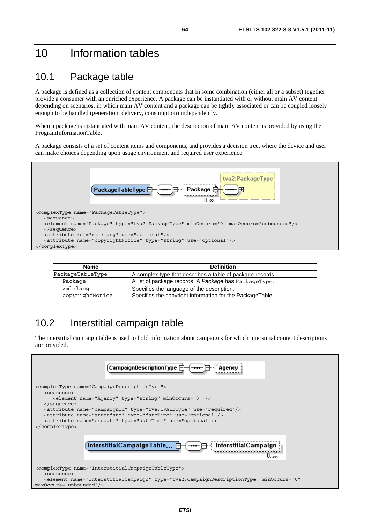## 10 Information tables

#### 10.1 Package table

A package is defined as a collection of content components that in some combination (either all or a subset) together provide a consumer with an enriched experience. A package can be instantiated with or without main AV content depending on scenarios, in which main AV content and a package can be tightly associated or can be coupled loosely enough to be handled (generation, delivery, consumption) independently.

When a package is instantiated with main AV content, the description of main AV content is provided by using the ProgramInformationTable.

A package consists of a set of content items and components, and provides a decision tree, where the device and user can make choices depending upon usage environment and required user experience.



| <b>Name</b>      | <b>Definition</b>                                         |  |
|------------------|-----------------------------------------------------------|--|
| PackageTableType | A complex type that describes a table of package records. |  |
| Package          | A list of package records. A Package has PackageType.     |  |
| xml:lang         | Specifies the language of the description.                |  |
| copyrightNotice  | Specifies the copyright information for the PackageTable. |  |

#### 10.2 Interstitial campaign table

The interstitial campaign table is used to hold information about campaigns for which interstitial content descriptions are provided.

| $\Box$ CampaignDescriptionType $\Box$<br>Agency                                                                                                                                                                                                                                                                                                                                                                                           |
|-------------------------------------------------------------------------------------------------------------------------------------------------------------------------------------------------------------------------------------------------------------------------------------------------------------------------------------------------------------------------------------------------------------------------------------------|
| <complextype name="CampaignDescriptionType"><br/><sequence><br/><element minoccurs="0" name="Agency" type="string"></element><br/><math>\langle</math> sequence&gt;<br/><attribute name="campaignId" type="tva:TVAIDType" use="required"></attribute><br/><attribute name="startdate" type="dateTime" use="optional"></attribute><br/><attribute name="enddate" type="dateTime" use="optional"></attribute><br/></sequence></complextype> |
| $($ Interstitial ${\sf C}$ ampaign ${\sf Table} \ominus$<br>. ന                                                                                                                                                                                                                                                                                                                                                                           |
| <complextype name="InterstitialCampaignTableType"><br/><sequence><br/><element <br="" minoccurs="0" name="InterstitialCampaign" type="tva2:CampaignDescriptionType"><math>maxOccurs="unbounded"</math></element></sequence></complextype>                                                                                                                                                                                                 |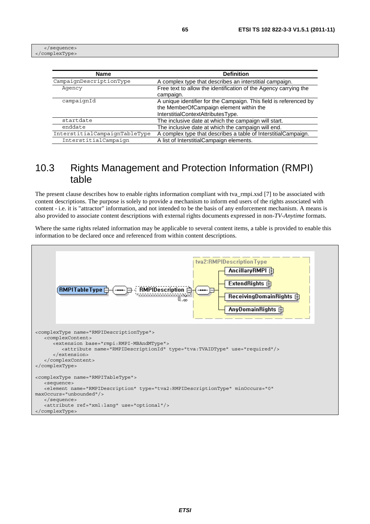</sequence> </complexType>

| <b>Name</b>                   | <b>Definition</b>                                                 |
|-------------------------------|-------------------------------------------------------------------|
| CampaignDescriptionType       | A complex type that describes an interstitial campaign.           |
| Agency                        | Free text to allow the identification of the Agency carrying the  |
|                               | campaign.                                                         |
| campaignId                    | A unique identifier for the Campaign. This field is referenced by |
|                               | the MemberOfCampaign element within the                           |
|                               | InterstitialContextAttributesType.                                |
| startdate                     | The inclusive date at which the campaign will start.              |
| enddate                       | The inclusive date at which the campaign will end.                |
| InterstitialCampaignTableType | A complex type that describes a table of InterstitialCampaign.    |
| InterstitialCampaign          | A list of InterstitialCampaign elements.                          |

#### 10.3 Rights Management and Protection Information (RMPI) table

The present clause describes how to enable rights information compliant with tva\_rmpi.xsd [7] to be associated with content descriptions. The purpose is solely to provide a mechanism to inform end users of the rights associated with content - i.e. it is "attractor" information, and not intended to be the basis of any enforcement mechanism. A means is also provided to associate content descriptions with external rights documents expressed in non-*TV-Anytime* formats.

Where the same rights related information may be applicable to several content items, a table is provided to enable this information to be declared once and referenced from within content descriptions.

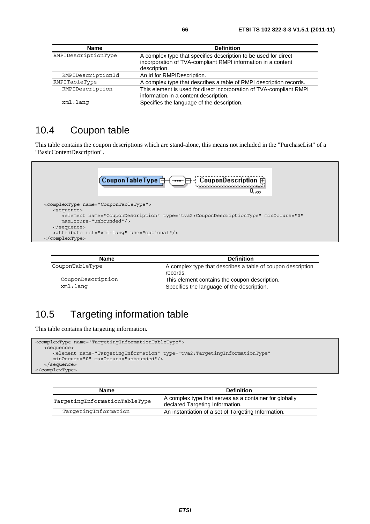| <b>Name</b>         | <b>Definition</b>                                                                                                                               |
|---------------------|-------------------------------------------------------------------------------------------------------------------------------------------------|
| RMPIDescriptionType | A complex type that specifies description to be used for direct<br>incorporation of TVA-compliant RMPI information in a content<br>description. |
| RMPIDescriptionId   | An id for RMPIDescription.                                                                                                                      |
| RMPITableType       | A complex type that describes a table of RMPI description records.                                                                              |
| RMPIDescription     | This element is used for direct incorporation of TVA-compliant RMPI<br>information in a content description.                                    |
| xml:lang            | Specifies the language of the description.                                                                                                      |

#### 10.4 Coupon table

This table contains the coupon descriptions which are stand-alone, this means not included in the "PurchaseList" of a "BasicContentDescription".



| Name              | <b>Definition</b>                                                       |
|-------------------|-------------------------------------------------------------------------|
| CouponTableType   | A complex type that describes a table of coupon description<br>records. |
| CouponDescription | This element contains the coupon description.                           |
| xml:lanq          | Specifies the language of the description.                              |

## 10.5 Targeting information table

This table contains the targeting information.

```
<complexType name="TargetingInformationTableType"> 
   <sequence> 
       <element name="TargetingInformation" type="tva2:TargetingInformationType" 
      minOccurs="0" maxOccurs="unbounded"/> 
    </sequence> 
</complexType>
```

| <b>Name</b>                   | <b>Definition</b>                                                                         |
|-------------------------------|-------------------------------------------------------------------------------------------|
| TargetingInformationTableType | A complex type that serves as a container for globally<br>declared Targeting Information. |
| TargetingInformation          | An instantiation of a set of Targeting Information.                                       |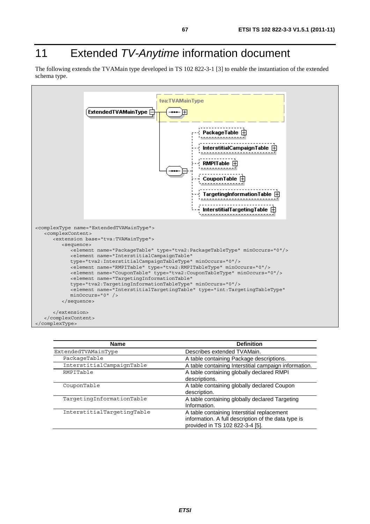# 11 Extended *TV-Anytime* information document

The following extends the TVAMain type developed in TS 102 822-3-1 [3] to enable the instantiation of the extended schema type.



| <b>Name</b>                | <b>Definition</b>                                     |
|----------------------------|-------------------------------------------------------|
| ExtendedTVAMainType        | Describes extended TVAMain.                           |
| PackageTable               | A table containing Package descriptions.              |
| InterstitialCampaignTable  | A table containing Interstitial campaign information. |
| RMPITable                  | A table containing globally declared RMPI             |
|                            | descriptions.                                         |
| CouponTable                | A table containing globally declared Coupon           |
|                            | description.                                          |
| TargetingInformationTable  | A table containing globally declared Targeting        |
|                            | Information.                                          |
| InterstitialTargetingTable | A table containing Interstitial replacement           |
|                            | information. A full description of the data type is   |
|                            | provided in TS 102 822-3-4 [5].                       |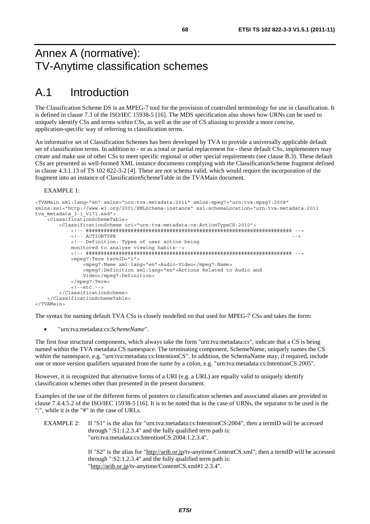## Annex A (normative): TV-Anytime classification schemes

# A.1 Introduction

The Classification Scheme DS is an MPEG-7 tool for the provision of controlled terminology for use in classification. It is defined in clause 7.3 of the ISO/IEC 15938-5 [16]. The MDS specification also shows how URNs can be used to uniquely identify CSs and terms within CSs, as well as the use of CS aliasing to provide a more concise, application-specific way of referring to classification terms.

An informative set of Classification Schemes has been developed by TVA to provide a universally applicable default set of classification terms. In addition to - or as a total or partial replacement for - these default CSs, implementers may create and make use of other CSs to meet specific regional or other special requirements (see clause B.3). These default CSs are presented as well-formed XML instance documents complying with the ClassificationScheme fragment defined in clause 4.3.1.13 of TS 102 822-3-2 [4]. These are not schema valid, which would require the incorporation of the fragment into an instance of ClassificationSchemeTable in the TVAMain document.

#### EXAMPLE 1:

```
<TVAMain xml:lang="en" xmlns="urn:tva:metadata:2011" xmlns:mpeg7="urn:tva:mpeg7:2008" 
xmlns:xsi="http://www.w3.org/2001/XMLSchema-instance" xsi:schemaLocation="urn:tva:metadata:2011 
tva metadata 3-1 v171.xsd">
     <ClassificationSchemeTable> 
         <ClassificationScheme uri="urn:tva:metadata:cs:ActionTypeCS:2010"> 
             <!-- ##################################################################### --> 
            \epsilon = - a CTIONTYPE \epsilon <!-- Definition: Types of user action being 
             monitored to analyse viewing habits--> 
             <!-- ##################################################################### --> 
             <mpeg7:Term termID="1"> 
                 <mpeg7:Name xml:lang="en">Audio-Video</mpeg7:Name> 
                 <mpeg7:Definition xml:lang="en">Actions Related to Audio and 
                 Video</mpeg7:Definition> 
             </mpeg7:Term> 
             <!--etc.--> 
         </ClassificationScheme> 
     </ClassificationSchemeTable> 
</TVAMain>
```
The syntax for naming default TVA CSs is closely modelled on that used for MPEG-7 CSs and takes the form:

• "urn:tva:metadata:cs:*SchemeName*".

The first four structural components, which always take the form "urn:tva:metadata:cs", indicate that a CS is being named within the TVA metadata CS namespace. The terminating component, SchemeName, uniquely names the CS within the namespace, e.g. "urn:tva:metadata:cs:IntentionCS". In addition, the SchemaName may, if required, include one or more version qualifiers separated from the name by a colon, e.g. "urn:tva:metadata:cs:IntentionCS:2005".

However, it is recognized that alternative forms of a URI (e.g. a URL) are equally valid to uniquely identify classification schemes other than presented in the present document.

Examples of the use of the different forms of pointers to classification schemes and associated aliases are provided in clause 7.4.4.5.2 of the ISO/IEC 15938-5 [16]. It is to be noted that in the case of URNs, the separator to be used is the ":", while it is the "#" in the case of URLs.

EXAMPLE 2: If "S1" is the alias for "urn:tva:metadata:cs:IntentionCS:2004", then a termID will be accessed through ":S1:1.2.3.4" and the fully qualified term path is: "urn:tva:metadata:cs:IntentionCS:2004:1.2.3.4".

> If "S2" is the alias for "http://arib.or.jp/tv-anytime/ContentCS.xml", then a termID will be accessed through ":S2:1.2.3.4" and the fully qualified term path is: "http://arib.or.jp/tv-anytime/ContentCS.xml#1.2.3.4".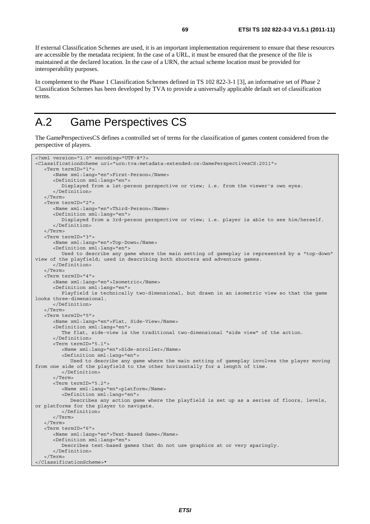If external Classification Schemes are used, it is an important implementation requirement to ensure that these resources are accessible by the metadata recipient. In the case of a URL, it must be ensured that the presence of the file is maintained at the declared location. In the case of a URN, the actual scheme location must be provided for interoperability purposes.

In complement to the Phase 1 Classification Schemes defined in TS 102 822-3-1 [3], an informative set of Phase 2 Classification Schemes has been developed by TVA to provide a universally applicable default set of classification terms.

# A.2 Game Perspectives CS

The GamePerspectivesCS defines a controlled set of terms for the classification of games content considered from the perspective of players.

```
<?xml version="1.0" encoding="UTF-8"?> 
<ClassificationScheme uri="urn:tva:metadata:extended:cs:GamePerspectivesCS:2011"> 
    <Term termID="1"> 
       <Name xml:lang="en">First-Person</Name> 
       <Definition xml:lang="en"> 
          Displayed from a 1st-person perspective or view; i.e. from the viewer's own eyes. 
       </Definition> 
    </Term> 
    <Term termID="2"> 
       <Name xml:lang="en">Third-Person</Name> 
       <Definition xml:lang="en"> 
          Displayed from a 3rd-person perspective or view; i.e. player is able to see him/herself. 
       </Definition> 
    </Term> 
    <Term termID="3"> 
       <Name xml:lang="en">Top-Down</Name> 
       <Definition xml:lang="en"> 
          Used to describe any game where the main setting of gameplay is represented by a "top-down" 
view of the playfield; used in describing both shooters and adventure games. 
       </Definition> 
    </Term> 
    <Term termID="4"> 
       <Name xml:lang="en">Isometric</Name> 
       <Definition xml:lang="en"> 
          Playfield is technically two-dimensional, but drawn in an isometric view so that the game 
looks three-dimensional. 
       </Definition> 
    </Term> 
    <Term termID="5"> 
       <Name xml:lang="en">Flat, Side-View</Name> 
       <Definition xml:lang="en"> 
          The flat, side-view is the traditional two-dimensional "side view" of the action. 
       </Definition> 
       <Term termID="5.1"> 
          <Name xml:lang="en">Side-scroller</Name> 
          <Definition xml:lang="en"> 
             Used to describe any game where the main setting of gameplay involves the player moving 
from one side of the playfield to the other horizontally for a length of time. 
          </Definition> 
       </Term> 
       <Term termID="5.2"> 
          <Name xml:lang="en">platform</Name> 
          <Definition xml:lang="en"> 
             Describes any action game where the playfield is set up as a series of floors, levels, 
or platforms for the player to navigate. 
          </Definition> 
       </Term> 
    </Term> 
    <Term termID="6"> 
       <Name xml:lang="en">Text-Based Game</Name> 
       <Definition xml:lang="en"> 
          Describes text-based games that do not use graphics at or very sparingly. 
       </Definition> 
    </Term> 
</ClassificationScheme>*
```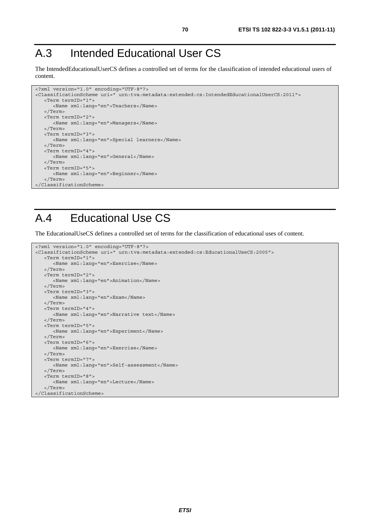# A.3 Intended Educational User CS

The IntendedEducationalUserCS defines a controlled set of terms for the classification of intended educational users of content.

```
<?xml version="1.0" encoding="UTF-8"?> 
<ClassificationScheme uri=" urn:tva:metadata:extended:cs:IntendedEducationalUserCS:2011"> 
    <Term termID="1"> 
       <Name xml:lang="en">Teachers</Name> 
    </Term> 
    <Term termID="2"> 
       <Name xml:lang="en">Managers</Name> 
    </Term> 
    <Term termID="3"> 
      <Name xml:lang="en">Special learners</Name> 
    </Term> 
    <Term termID="4"> 
      <Name xml:lang="en">General</Name> 
    </Term> 
    <Term termID="5"> 
      <Name xml:lang="en">Beginner</Name> 
    </Term> 
</ClassificationScheme>
```
## A.4 Educational Use CS

The EducationalUseCS defines a controlled set of terms for the classification of educational uses of content.

```
<?xml version="1.0" encoding="UTF-8"?> 
<ClassificationScheme uri=" urn:tva:metadata:extended:cs:EducationalUseCS:2005"> 
    <Term termID="1"> 
       <Name xml:lang="en">Exercise</Name> 
    </Term> 
    <Term termID="2"> 
       <Name xml:lang="en">Animation</Name> 
    </Term> 
    <Term termID="3"> 
       <Name xml:lang="en">Exam</Name> 
    </Term> 
    <Term termID="4"> 
       <Name xml:lang="en">Narrative text</Name> 
    </Term> 
    <Term termID="5"> 
       <Name xml:lang="en">Experiment</Name> 
    </Term> 
    <Term termID="6"> 
       <Name xml:lang="en">Exercise</Name> 
   \sim/Term\sim <Term termID="7"> 
      <Name xml:lang="en">Self-assessment</Name> 
    </Term> 
    <Term termID="8"> 
       <Name xml:lang="en">Lecture</Name> 
    </Term> 
</ClassificationScheme>
```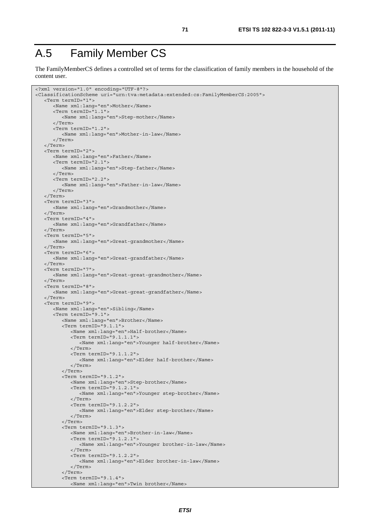## A.5 Family Member CS

The FamilyMemberCS defines a controlled set of terms for the classification of family members in the household of the content user.

```
<?xml version="1.0" encoding="UTF-8"?> 
<ClassificationScheme uri="urn:tva:metadata:extended:cs:FamilyMemberCS:2005"> 
    <Term termID="1"> 
       <Name xml:lang="en">Mother</Name> 
       <Term termID="1.1"> 
          <Name xml:lang="en">Step-mother</Name> 
       </Term> 
       <Term termID="1.2"> 
          <Name xml:lang="en">Mother-in-law</Name> 
       </Term> 
    </Term> 
    <Term termID="2"> 
       <Name xml:lang="en">Father</Name> 
       <Term termID="2.1"> 
          <Name xml:lang="en">Step-father</Name> 
       </Term> 
       <Term termID="2.2"> 
          <Name xml:lang="en">Father-in-law</Name> 
       </Term> 
    </Term> 
    <Term termID="3"> 
       <Name xml:lang="en">Grandmother</Name> 
    </Term> 
    <Term termID="4"> 
       <Name xml:lang="en">Grandfather</Name> 
    </Term> 
    <Term termID="5"> 
       <Name xml:lang="en">Great-grandmother</Name> 
    </Term> 
    <Term termID="6"> 
       <Name xml:lang="en">Great-grandfather</Name> 
    </Term> 
    <Term termID="7"> 
       <Name xml:lang="en">Great-great-grandmother</Name> 
    </Term> 
    <Term termID="8"> 
       <Name xml:lang="en">Great-great-grandfather</Name> 
    </Term> 
    <Term termID="9"> 
       <Name xml:lang="en">Sibling</Name> 
       <Term termID="9.1"> 
          <Name xml:lang="en">Brother</Name> 
          <Term termID="9.1.1"> 
              <Name xml:lang="en">Half-brother</Name> 
             <Term termID="9.1.1.1"> 
                 <Name xml:lang="en">Younger half-brother</Name> 
              </Term> 
              <Term termID="9.1.1.2"> 
                 <Name xml:lang="en">Elder half-brother</Name> 
              </Term> 
          </Term> 
          <Term termID="9.1.2"> 
             <Name xml:lang="en">Step-brother</Name> 
              <Term termID="9.1.2.1"> 
                 <Name xml:lang="en">Younger step-brother</Name> 
              </Term> 
              <Term termID="9.1.2.2"> 
                 <Name xml:lang="en">Elder step-brother</Name> 
              </Term> 
          </Term> 
          <Term termID="9.1.3"> 
              <Name xml:lang="en">Brother-in-law</Name> 
              <Term termID="9.1.2.1"> 
                 <Name xml:lang="en">Younger brother-in-law</Name> 
              </Term> 
             <Term termID="9.1.2.2"> 
                <Name xml:lang="en">Elder brother-in-law</Name> 
             </Term> 
          </Term> 
          <Term termID="9.1.4"> 
             <Name xml:lang="en">Twin brother</Name>
```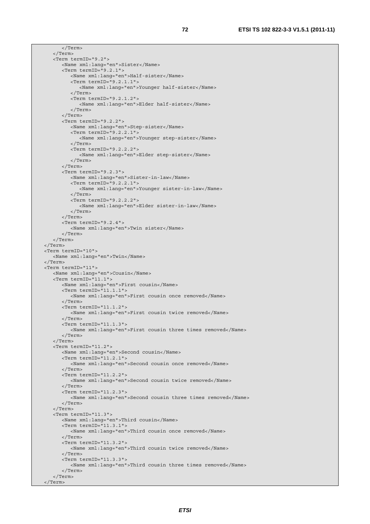```
 </Term> 
    </Term> 
    <Term termID="9.2"> 
       <Name xml:lang="en">Sister</Name> 
       <Term termID="9.2.1"> 
          <Name xml:lang="en">Half-sister</Name> 
          <Term termID="9.2.1.1"> 
             <Name xml:lang="en">Younger half-sister</Name> 
          </Term> 
          <Term termID="9.2.1.2"> 
             <Name xml:lang="en">Elder half-sister</Name> 
          </Term> 
       </Term> 
       <Term termID="9.2.2"> 
          <Name xml:lang="en">Step-sister</Name> 
          <Term termID="9.2.2.1"> 
             <Name xml:lang="en">Younger step-sister</Name> 
          </Term> 
          <Term termID="9.2.2.2"> 
             <Name xml:lang="en">Elder step-sister</Name> 
          </Term> 
       </Term> 
       <Term termID="9.2.3"> 
          <Name xml:lang="en">Sister-in-law</Name> 
          <Term termID="9.2.2.1"> 
             <Name xml:lang="en">Younger sister-in-law</Name> 
          </Term> 
          <Term termID="9.2.2.2"> 
             <Name xml:lang="en">Elder sister-in-law</Name> 
          </Term> 
       </Term> 
       <Term termID="9.2.4"> 
          <Name xml:lang="en">Twin sister</Name> 
       </Term> 
    </Term> 
 </Term> 
 <Term termID="10"> 
    <Name xml:lang="en">Twin</Name> 
 </Term> 
 <Term termID="11"> 
    <Name xml:lang="en">Cousin</Name> 
    <Term termID="11.1"> 
       <Name xml:lang="en">First cousin</Name> 
       <Term termID="11.1.1"> 
          <Name xml:lang="en">First cousin once removed</Name> 
       </Term> 
       <Term termID="11.1.2"> 
          <Name xml:lang="en">First cousin twice removed</Name> 
       </Term> 
       <Term termID="11.1.3"> 
          <Name xml:lang="en">First cousin three times removed</Name> 
       </Term> 
    </Term> 
    <Term termID="11.2"> 
       <Name xml:lang="en">Second cousin</Name> 
       <Term termID="11.2.1"> 
          <Name xml:lang="en">Second cousin once removed</Name> 
       </Term> 
       <Term termID="11.2.2"> 
          <Name xml:lang="en">Second cousin twice removed</Name> 
       </Term> 
       <Term termID="11.2.3"> 
          <Name xml:lang="en">Second cousin three times removed</Name> 
       </Term> 
    </Term> 
    <Term termID="11.3"> 
       <Name xml:lang="en">Third cousin</Name> 
       <Term termID="11.3.1"> 
          <Name xml:lang="en">Third cousin once removed</Name> 
       </Term> 
       <Term termID="11.3.2"> 
          <Name xml:lang="en">Third cousin twice removed</Name> 
       </Term> 
       <Term termID="11.3.3"> 
          <Name xml:lang="en">Third cousin three times removed</Name> 
       </Term> 
    </Term> 
 </Term>
```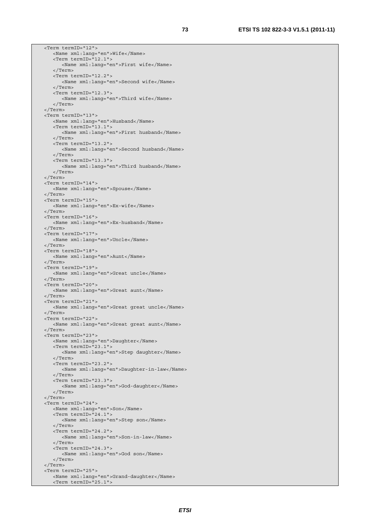<Term termID="12"> <Name xml:lang="en">Wife</Name> <Term termID="12.1"> <Name xml:lang="en">First wife</Name> </Term> <Term termID="12.2"> <Name xml:lang="en">Second wife</Name> </Term> <Term termID="12.3"> <Name xml:lang="en">Third wife</Name> </Term> </Term> <Term termID="13"> <Name xml:lang="en">Husband</Name> <Term termID="13.1"> <Name xml:lang="en">First husband</Name> </Term> <Term termID="13.2"> <Name xml:lang="en">Second husband</Name> </Term> <Term termID="13.3"> <Name xml:lang="en">Third husband</Name> </Term> </Term> <Term termID="14"> <Name xml:lang="en">Spouse</Name> </Term> <Term termID="15"> <Name xml:lang="en">Ex-wife</Name> </Term> <Term termID="16"> <Name xml:lang="en">Ex-husband</Name> </Term> <Term termID="17"> <Name xml:lang="en">Uncle</Name> </Term> <Term termID="18"> <Name xml:lang="en">Aunt</Name> </Term> <Term termID="19"> <Name xml:lang="en">Great uncle</Name> </Term> <Term termID="20"> <Name xml:lang="en">Great aunt</Name> </Term> <Term termID="21"> <Name xml:lang="en">Great great uncle</Name> </Term> <Term termID="22"> <Name xml:lang="en">Great great aunt</Name> </Term> <Term termID="23"> <Name xml:lang="en">Daughter</Name> <Term termID="23.1"> <Name xml:lang="en">Step daughter</Name> </Term> <Term termID="23.2"> <Name xml:lang="en">Daughter-in-law</Name> </Term> <Term termID="23.3"> <Name xml:lang="en">God-daughter</Name> </Term> </Term> <Term termID="24"> <Name xml:lang="en">Son</Name> <Term termID="24.1"> <Name xml:lang="en">Step son</Name> </Term> <Term termID="24.2"> <Name xml:lang="en">Son-in-law</Name> </Term> <Term termID="24.3"> <Name xml:lang="en">God son</Name> </Term> </Term> <Term termID="25"> <Name xml:lang="en">Grand-daughter</Name> <Term termID="25.1">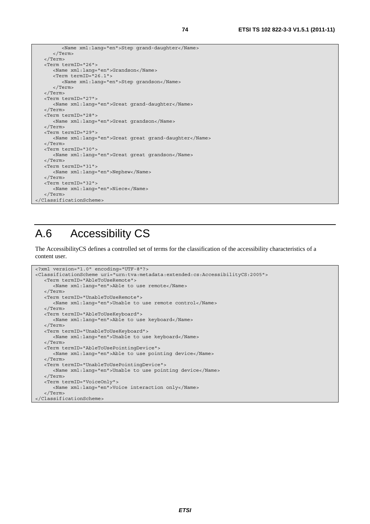```
 <Name xml:lang="en">Step grand-daughter</Name> 
       </Term> 
    </Term> 
    <Term termID="26"> 
       <Name xml:lang="en">Grandson</Name> 
       <Term termID="26.1"> 
          <Name xml:lang="en">Step grandson</Name> 
       </Term> 
   </Term> 
   <Term termID="27"> 
       <Name xml:lang="en">Great grand-daughter</Name> 
    </Term> 
   <Term termID="28"> 
      <Name xml:lang="en">Great grandson</Name> 
    </Term> 
    <Term termID="29"> 
       <Name xml:lang="en">Great great grand-daughter</Name> 
    </Term> 
   <Term termID="30"> 
      <Name xml:lang="en">Great great grandson</Name> 
    </Term> 
   <Term termID="31"> 
      <Name xml:lang="en">Nephew</Name> 
    </Term> 
    <Term termID="32"> 
      <Name xml:lang="en">Niece</Name> 
    </Term> 
</ClassificationScheme>
```
## A.6 Accessibility CS

The AccessibilityCS defines a controlled set of terms for the classification of the accessibility characteristics of a content user.

```
<?xml version="1.0" encoding="UTF-8"?> 
<ClassificationScheme uri="urn:tva:metadata:extended:cs:AccessibilityCS:2005"> 
    <Term termID="AbleToUseRemote"> 
       <Name xml:lang="en">Able to use remote</Name> 
    </Term> 
    <Term termID="UnableToUseRemote"> 
      <Name xml:lang="en">Unable to use remote control</Name> 
    </Term> 
    <Term termID="AbleToUseKeyboard"> 
      <Name xml:lang="en">Able to use keyboard</Name> 
    </Term> 
    <Term termID="UnableToUseKeyboard"> 
      <Name xml:lang="en">Unable to use keyboard</Name> 
    </Term> 
    <Term termID="AbleToUsePointingDevice"> 
       <Name xml:lang="en">Able to use pointing device</Name> 
    </Term> 
    <Term termID="UnableToUsePointingDevice"> 
      <Name xml:lang="en">Unable to use pointing device</Name> 
    </Term> 
    <Term termID="VoiceOnly"> 
       <Name xml:lang="en">Voice interaction only</Name> 
    </Term> 
</ClassificationScheme>
```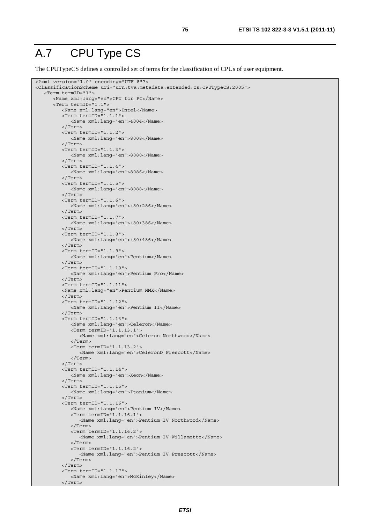#### A.7 CPU Type CS

The CPUTypeCS defines a controlled set of terms for the classification of CPUs of user equipment.

```
<?xml version="1.0" encoding="UTF-8"?> 
<ClassificationScheme uri="urn:tva:metadata:extended:cs:CPUTypeCS:2005"> 
    <Term termID="1"> 
       <Name xml:lang="en">CPU for PC</Name> 
       <Term termID="1.1"> 
          <Name xml:lang="en">Intel</Name> 
          <Term termID="1.1.1"> 
              <Name xml:lang="en">4004</Name> 
          </Term> 
          <Term termID="1.1.2"> 
             <Name xml:lang="en">8008</Name> 
          </Term> 
          <Term termID="1.1.3"> 
             <Name xml:lang="en">8080</Name> 
          </Term> 
          <Term termID="1.1.4"> 
              <Name xml:lang="en">8086</Name> 
          </Term> 
          <Term termID="1.1.5"> 
             <Name xml:lang="en">8088</Name> 
          </Term> 
          <Term termID="1.1.6"> 
              <Name xml:lang="en">(80)286</Name> 
          </Term> 
          <Term termID="1.1.7"> 
             <Name xml:lang="en">(80)386</Name> 
           </Term> 
          <Term termID="1.1.8"> 
             <Name xml:lang="en">(80)486</Name> 
          </Term> 
          <Term termID="1.1.9"> 
              <Name xml:lang="en">Pentium</Name> 
          </Term> 
          <Term termID="1.1.10"> 
              <Name xml:lang="en">Pentium Pro</Name> 
          </Term> 
          <Term termID="1.1.11"> 
          <Name xml:lang="en">Pentium MMX</Name> 
          </Term> 
          <Term termID="1.1.12"> 
              <Name xml:lang="en">Pentium II</Name> 
          </Term> 
         -Term termID="1.1.13">
             <Name xml:lang="en">Celeron</Name> 
             <Term termID="1.1.13.1"> 
                 <Name xml:lang="en">Celeron Northwood</Name> 
              </Term> 
              <Term termID="1.1.13.2"> 
                 <Name xml:lang="en">CeleronD Prescott</Name> 
              </Term> 
          </Term> 
          <Term termID="1.1.14"> 
              <Name xml:lang="en">Xeon</Name> 
          </Term> 
          <Term termID="1.1.15"> 
             <Name xml:lang="en">Itanium</Name> 
           </Term> 
          <Term termID="1.1.16"> 
              <Name xml:lang="en">Pentium IV</Name> 
              <Term termID="1.1.16.1"> 
                 <Name xml:lang="en">Pentium IV Northwood</Name> 
              </Term> 
              <Term termID="1.1.16.2"> 
                 <Name xml:lang="en">Pentium IV Willamette</Name> 
              </Term> 
              <Term termID="1.1.16.2"> 
                 <Name xml:lang="en">Pentium IV Prescott</Name> 
              </Term> 
          </Term> 
          <Term termID="1.1.17"> 
              <Name xml:lang="en">McKinley</Name> 
          </Term>
```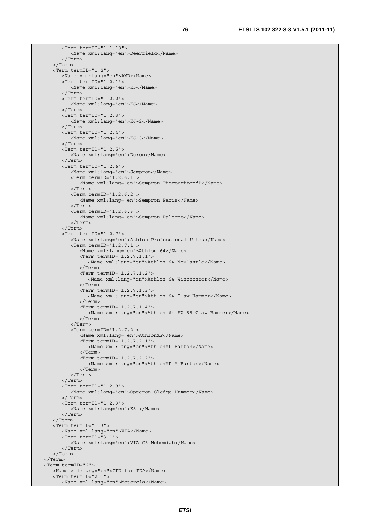```
 <Term termID="1.1.18"> 
          <Name xml:lang="en">Deerfield</Name> 
       </Term> 
    </Term> 
    <Term termID="1.2"> 
       <Name xml:lang="en">AMD</Name> 
       <Term termID="1.2.1"> 
          <Name xml:lang="en">K5</Name> 
       </Term> 
       <Term termID="1.2.2"> 
          <Name xml:lang="en">K6</Name> 
       </Term> 
       <Term termID="1.2.3"> 
          <Name xml:lang="en">K6-2</Name> 
       </Term> 
       <Term termID="1.2.4"> 
          <Name xml:lang="en">K6-3</Name> 
       </Term> 
       <Term termID="1.2.5"> 
          <Name xml:lang="en">Duron</Name> 
       </Term> 
       <Term termID="1.2.6"> 
          <Name xml:lang="en">Sempron</Name> 
          <Term termID="1.2.6.1"> 
              <Name xml:lang="en">Sempron ThoroughbredB</Name> 
          </Term> 
          <Term termID="1.2.6.2"> 
              <Name xml:lang="en">Sempron Paris</Name> 
          </Term> 
          <Term termID="1.2.6.3"> 
             <Name xml:lang="en">Sempron Palermo</Name> 
          </Term> 
       </Term> 
       <Term termID="1.2.7"> 
          <Name xml:lang="en">Athlon Professional Ultra</Name> 
          <Term termID="1.2.7.1"> 
              <Name xml:lang="en">Athlon 64</Name> 
              <Term termID="1.2.7.1.1"> 
                 <Name xml:lang="en">Athlon 64 NewCastle</Name> 
              </Term> 
              <Term termID="1.2.7.1.2"> 
                 <Name xml:lang="en">Athlon 64 Winchester</Name> 
              </Term> 
              <Term termID="1.2.7.1.3"> 
                <Name xml:lang="en">Athlon 64 Claw-Hammer</Name> 
              </Term> 
              <Term termID="1.2.7.1.4"> 
                 <Name xml:lang="en">Athlon 64 FX 55 Claw-Hammer</Name> 
              </Term> 
          </Term> 
          <Term termID="1.2.7.2"> 
              <Name xml:lang="en">AthlonXP</Name> 
              <Term termID="1.2.7.2.1"> 
                 <Name xml:lang="en">AthlonXP Barton</Name> 
              </Term> 
              <Term termID="1.2.7.2.2"> 
                 <Name xml:lang="en">AthlonXP M Barton</Name> 
              </Term> 
          </Term> 
       </Term> 
       <Term termID="1.2.8"> 
          <Name xml:lang="en">Opteron Sledge-Hammer</Name> 
       </Term> 
       <Term termID="1.2.9"> 
          <Name xml:lang="en">K8 </Name> 
       </Term> 
    </Term> 
    <Term termID="1.3"> 
       <Name xml:lang="en">VIA</Name> 
       <Term termID="3.1"> 
          <Name xml:lang="en">VIA C3 Nehemiah</Name> 
       </Term> 
    </Term> 
 </Term> 
 <Term termID="2"> 
   <Name xml:lang="en">CPU for PDA</Name> 
    <Term termID="2.1"> 
       <Name xml:lang="en">Motorola</Name>
```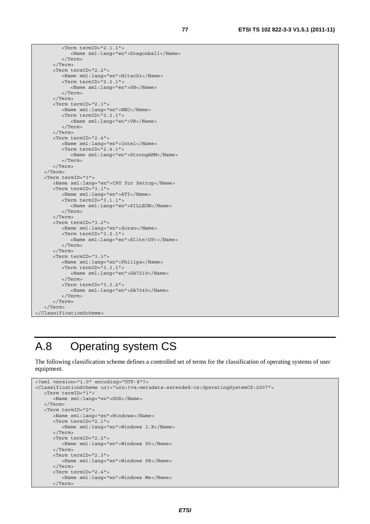```
 <Term termID="2.1.1"> 
              <Name xml:lang="en">Dragonball</Name> 
          </Term> 
       </Term> 
       <Term termID="2.2"> 
          <Name xml:lang="en">Hitachi</Name> 
          <Term termID="2.2.1"> 
              <Name xml:lang="en">SH</Name> 
          </Term> 
       </Term> 
       <Term termID="2.3"> 
          <Name xml:lang="en">NEC</Name> 
          <Term termID="2.3.1"> 
             <Name xml:lang="en">VR</Name> 
          </Term> 
       </Term> 
       <Term termID="2.4"> 
          <Name xml:lang="en">Intel</Name> 
          <Term termID="2.4.1"> 
             <Name xml:lang="en">StrongARM</Name> 
          </Term> 
       </Term> 
    </Term> 
    <Term termID="3"> 
       <Name xml:lang="en">CPU for Settop</Name> 
       <Term termID="3.1"> 
          <Name xml:lang="en">ATI</Name> 
          <Term termID="3.1.1"> 
              <Name xml:lang="en">XILLEON</Name> 
          </Term> 
       </Term> 
       <Term termID="3.2"> 
          <Name xml:lang="en">Zoran</Name> 
          <Term termID="3.2.1"> 
             <Name xml:lang="en">Elite(G9)</Name> 
          </Term> 
       </Term> 
       <Term termID="3.3"> 
          <Name xml:lang="en">Philips</Name> 
          <Term termID="3.3.1"> 
             <Name xml:lang="en">SA7219</Name> 
          </Term> 
          <Term termID="3.3.2"> 
             <Name xml:lang="en">SA7240</Name> 
          </Term> 
       </Term> 
    </Term> 
</ClassificationScheme>
```
## A.8 Operating system CS

The following classification scheme defines a controlled set of terms for the classification of operating systems of user equipment.

```
<?xml version="1.0" encoding="UTF-8"?> 
<ClassificationScheme uri="urn:tva:metadata:extended:cs:OperatingSystemCS:2007"> 
    <Term termID="1"> 
       <Name xml:lang="en">DOS</Name> 
    </Term> 
    <Term termID="2"> 
       <Name xml:lang="en">Windows</Name> 
       <Term termID="2.1"> 
          <Name xml:lang="en">Windows 3.X</Name> 
       </Term> 
       <Term termID="2.2"> 
          <Name xml:lang="en">Windows 95</Name> 
       </Term> 
       <Term termID="2.3"> 
          <Name xml:lang="en">Windows 98</Name> 
       </Term> 
       <Term termID="2.4"> 
          <Name xml:lang="en">Windows Me</Name> 
       </Term>
```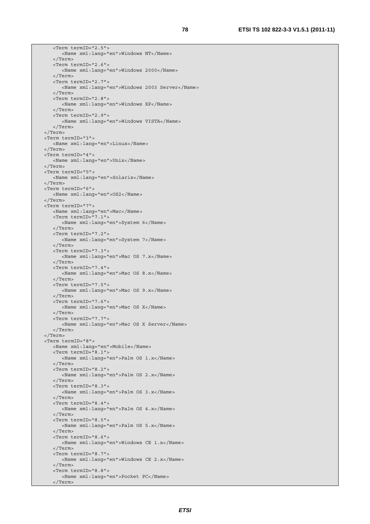<Term termID="2.5"> <Name xml:lang="en">Windows NT</Name> </Term> <Term termID="2.6"> <Name xml:lang="en">Windows 2000</Name> </Term> <Term termID="2.7"> <Name xml:lang="en">Windows 2003 Server</Name> </Term> <Term termID="2.8"> <Name xml:lang="en">Windows XP</Name> </Term> <Term termID="2.9"> <Name xml:lang="en">Windows VISTA</Name> </Term> </Term> <Term termID="3"> <Name xml:lang="en">Linux</Name> </Term> <Term termID="4"> <Name xml:lang="en">Unix</Name> </Term> <Term termID="5"> <Name xml:lang="en">Solaris</Name> </Term> <Term termID="6"> <Name xml:lang="en">OS2</Name> </Term> <Term termID="7"> <Name xml:lang="en">Mac</Name> <Term termID="7.1"> <Name xml:lang="en">System 6</Name> </Term> <Term termID="7.2"> <Name xml:lang="en">System 7</Name> </Term> <Term termID="7.3"> <Name xml:lang="en">Mac OS 7.x</Name> </Term> <Term termID="7.4"> <Name xml:lang="en">Mac OS 8.x</Name> </Term> <Term termID="7.5"> <Name xml:lang="en">Mac OS 9.x</Name> </Term> <Term termID="7.6"> <Name xml:lang="en">Mac OS X</Name> </Term> <Term termID="7.7"> <Name xml:lang="en">Mac OS X Server</Name> </Term> </Term> <Term termID="8"> <Name xml:lang="en">Mobile</Name> <Term termID="8.1"> <Name xml:lang="en">Palm OS 1.x</Name> </Term> <Term termID="8.2"> <Name xml:lang="en">Palm OS 2.x</Name> </Term> <Term termID="8.3"> <Name xml:lang="en">Palm OS 3.x</Name> </Term> <Term termID="8.4"> <Name xml:lang="en">Palm OS 4.x</Name> </Term> <Term termID="8.5"> <Name xml:lang="en">Palm OS 5.x</Name> </Term> <Term termID="8.6"> <Name xml:lang="en">Windows CE 1.x</Name> </Term> <Term termID="8.7"> <Name xml:lang="en">Windows CE 2.x</Name> </Term> <Term termID="8.8"> <Name xml:lang="en">Pocket PC</Name> </Term>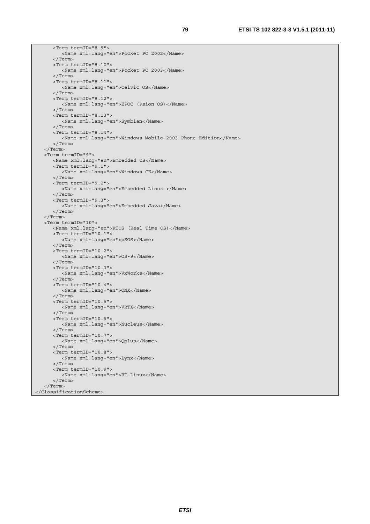```
 <Term termID="8.9"> 
          <Name xml:lang="en">Pocket PC 2002</Name> 
       </Term> 
       <Term termID="8.10"> 
          <Name xml:lang="en">Pocket PC 2003</Name> 
       </Term> 
       <Term termID="8.11"> 
          <Name xml:lang="en">Celvic OS</Name> 
       </Term> 
       <Term termID="8.12"> 
          <Name xml:lang="en">EPOC (Psion OS)</Name> 
       </Term> 
       <Term termID="8.13"> 
          <Name xml:lang="en">Symbian</Name> 
       </Term> 
       <Term termID="8.14"> 
          <Name xml:lang="en">Windows Mobile 2003 Phone Edition</Name> 
       </Term> 
    </Term> 
    <Term termID="9"> 
       <Name xml:lang="en">Embedded OS</Name> 
       <Term termID="9.1"> 
          <Name xml:lang="en">Windows CE</Name> 
       </Term> 
       <Term termID="9.2"> 
          <Name xml:lang="en">Embedded Linux </Name> 
       </Term> 
       <Term termID="9.3"> 
          <Name xml:lang="en">Embedded Java</Name> 
       </Term> 
    </Term> 
    <Term termID="10"> 
       <Name xml:lang="en">RTOS (Real Time OS)</Name> 
       <Term termID="10.1"> 
          <Name xml:lang="en">pSOS</Name> 
       </Term> 
       <Term termID="10.2"> 
          <Name xml:lang="en">OS-9</Name> 
       </Term> 
       <Term termID="10.3"> 
          <Name xml:lang="en">VxWorks</Name> 
       </Term> 
       <Term termID="10.4"> 
          <Name xml:lang="en">QNX</Name> 
       </Term> 
       <Term termID="10.5"> 
          <Name xml:lang="en">VRTX</Name> 
       </Term> 
       <Term termID="10.6"> 
          <Name xml:lang="en">Nucleus</Name> 
       </Term> 
       <Term termID="10.7"> 
          <Name xml:lang="en">Qplus</Name> 
      \angle/Term\sim <Term termID="10.8"> 
          <Name xml:lang="en">Lynx</Name> 
       </Term> 
       <Term termID="10.9"> 
          <Name xml:lang="en">RT-Linux</Name> 
       </Term> 
    </Term> 
</ClassificationScheme>
```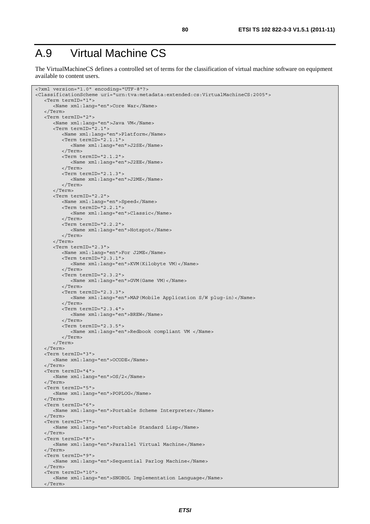## A.9 Virtual Machine CS

The VirtualMachineCS defines a controlled set of terms for the classification of virtual machine software on equipment available to content users.

```
<?xml version="1.0" encoding="UTF-8"?> 
<ClassificationScheme uri="urn:tva:metadata:extended:cs:VirtualMachineCS:2005"> 
    <Term termID="1"> 
       <Name xml:lang="en">Core War</Name> 
    </Term> 
    <Term termID="2"> 
       <Name xml:lang="en">Java VM</Name> 
       <Term termID="2.1"> 
          <Name xml:lang="en">Platform</Name> 
          <Term termID="2.1.1"> 
             <Name xml:lang="en">J2SE</Name> 
          </Term> 
          <Term termID="2.1.2"> 
             <Name xml:lang="en">J2EE</Name> 
          </Term> 
          <Term termID="2.1.3"> 
              <Name xml:lang="en">J2ME</Name> 
          </Term> 
       </Term> 
       <Term termID="2.2"> 
          <Name xml:lang="en">Speed</Name> 
          <Term termID="2.2.1"> 
              <Name xml:lang="en">Classic</Name> 
          </Term> 
          <Term termID="2.2.2"> 
             <Name xml:lang="en">Hotspot</Name> 
          </Term> 
       </Term> 
       <Term termID="2.3"> 
          <Name xml:lang="en">For J2ME</Name> 
          <Term termID="2.3.1"> 
             <Name xml:lang="en">KVM(Kilobyte VM)</Name> 
          </Term> 
          <Term termID="2.3.2"> 
              <Name xml:lang="en">GVM(Game VM)</Name> 
          </Term> 
          <Term termID="2.3.3"> 
             <Name xml:lang="en">MAP(Mobile Application S/W plug-in)</Name> 
          </Term> 
          <Term termID="2.3.4"> 
             <Name xml:lang="en">BREW</Name> 
           </Term> 
          <Term termID="2.3.5"> 
              <Name xml:lang="en">Redbook compliant VM </Name> 
          </Term> 
       </Term> 
    </Term> 
    <Term termID="3"> 
       <Name xml:lang="en">OCODE</Name> 
    </Term> 
    <Term termID="4"> 
       <Name xml:lang="en">OS/2</Name> 
    </Term> 
    <Term termID="5"> 
       <Name xml:lang="en">POPLOG</Name> 
    </Term> 
    <Term termID="6"> 
       <Name xml:lang="en">Portable Scheme Interpreter</Name> 
    </Term> 
    <Term termID="7"> 
       <Name xml:lang="en">Portable Standard Lisp</Name> 
    </Term> 
    <Term termID="8"> 
       <Name xml:lang="en">Parallel Virtual Machine</Name> 
    </Term> 
    <Term termID="9"> 
       <Name xml:lang="en">Sequential Parlog Machine</Name> 
    </Term> 
    <Term termID="10"> 
       <Name xml:lang="en">SNOBOL Implementation Language</Name> 
    </Term>
```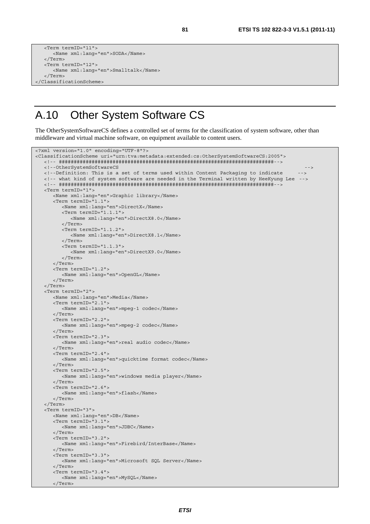```
 <Term termID="11"> 
       <Name xml:lang="en">SODA</Name> 
    </Term> 
    <Term termID="12"> 
       <Name xml:lang="en">Smalltalk</Name> 
    </Term> 
</ClassificationScheme>
```
#### A.10 Other System Software CS

The OtherSystemSoftwareCS defines a controlled set of terms for the classification of system software, other than middleware and virtual machine software, on equipment available to content users.

```
<?xml version="1.0" encoding="UTF-8"?> 
<ClassificationScheme uri="urn:tva:metadata:extended:cs:OtherSystemSoftwareCS:2005"> 
    <!-- ########################################################################--> 
    <!--OtherSystemSoftwareCS --> 
   <!--Definition: This is a set of terms used within Content Packaging to indicate --> 
   <!-- what kind of system software are needed in the Terminal written by HeeKyung Lee --> 
    <!-- ########################################################################--> 
    <Term termID="1"> 
       <Name xml:lang="en">Graphic library</Name> 
       <Term termID="1.1"> 
          <Name xml:lang="en">DirectX</Name> 
          <Term termID="1.1.1"> 
             <Name xml:lang="en">DirectX8.0</Name> 
          </Term> 
          <Term termID="1.1.2"> 
             <Name xml:lang="en">DirectX8.1</Name> 
          </Term> 
          <Term termID="1.1.3"> 
             <Name xml:lang="en">DirectX9.0</Name> 
          </Term> 
       </Term> 
       <Term termID="1.2"> 
         <Name xml:lang="en">OpenGL</Name> 
       </Term> 
    </Term> 
    <Term termID="2"> 
       <Name xml:lang="en">Media</Name> 
       <Term termID="2.1"> 
          <Name xml:lang="en">mpeg-1 codec</Name> 
       </Term> 
       <Term termID="2.2"> 
          <Name xml:lang="en">mpeg-2 codec</Name> 
       </Term> 
       <Term termID="2.3"> 
          <Name xml:lang="en">real audio codec</Name> 
       </Term> 
      \epsilonTerm \tan\text{ID} = "2.4" <Name xml:lang="en">quicktime format codec</Name> 
       </Term> 
       <Term termID="2.5"> 
          <Name xml:lang="en">windows media player</Name> 
       </Term> 
       <Term termID="2.6"> 
         <Name xml:lang="en">flash</Name> 
       </Term> 
    </Term> 
    <Term termID="3"> 
       <Name xml:lang="en">DB</Name> 
       <Term termID="3.1"> 
          <Name xml:lang="en">JDBC</Name> 
       </Term> 
       <Term termID="3.2"> 
          <Name xml:lang="en">Firebird/InterBase</Name> 
       </Term> 
       <Term termID="3.3"> 
          <Name xml:lang="en">Microsoft SQL Server</Name> 
       </Term> 
       <Term termID="3.4"> 
          <Name xml:lang="en">MySQL</Name> 
       </Term>
```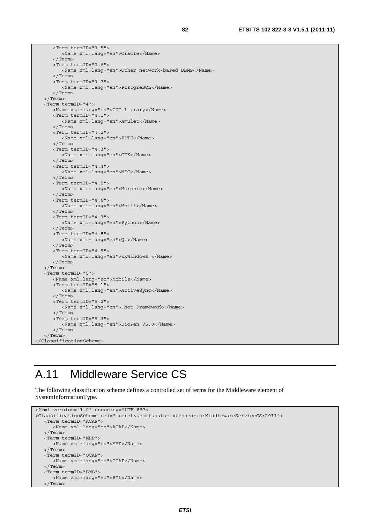<Term termID="3.5"> <Name xml:lang="en">Oracle</Name> </Term> <Term termID="3.6"> <Name xml:lang="en">Other network-based DBMS</Name> </Term> <Term termID="3.7"> <Name xml:lang="en">PostgreSQL</Name> </Term> </Term> <Term termID="4"> <Name xml:lang="en">GUI Library</Name> <Term termID="4.1"> <Name xml:lang="en">Amulet</Name> </Term> <Term termID="4.2"> <Name xml:lang="en">FLTK</Name> </Term> <Term termID="4.3"> <Name xml:lang="en">GTK</Name> </Term> <Term termID="4.4"> <Name xml:lang="en">MFC</Name> </Term> <Term termID="4.5"> <Name xml:lang="en">Morphic</Name> </Term> <Term termID="4.6"> <Name xml:lang="en">Motif</Name> </Term> <Term termID="4.7"> <Name xml:lang="en">Python</Name> </Term> <Term termID="4.8"> <Name xml:lang="en">Qt</Name> </Term> <Term termID="4.9"> <Name xml:lang="en">wxWindows </Name> </Term> </Term> <Term termID="5"> <Name xml:lang="en">Mobile</Name> <Term termID="5.1"> <Name xml:lang="en">ActiveSync</Name> </Term> <Term termID="5.2"> <Name xml:lang="en">.Net Framework</Name> </Term> <Term termID="5.3"> <Name xml:lang="en">DioPen V5.0</Name> </Term> </Term> </ClassificationScheme>

#### A.11 Middleware Service CS

The following classification scheme defines a controlled set of terms for the Middleware element of SystemInformationType.

```
<?xml version="1.0" encoding="UTF-8"?> 
<ClassificationScheme uri=" urn:tva:metadata:extended:cs:MiddlewareServiceCS:2011"> 
   <Term termID="ACAP"> 
       <Name xml:lang="en">ACAP</Name> 
    </Term> 
    <Term termID="MHP"> 
       <Name xml:lang="en">MHP</Name> 
    </Term> 
    <Term termID="OCAP"> 
       <Name xml:lang="en">OCAP</Name> 
    </Term> 
    <Term termID="BML"> 
      <Name xml:lang="en">BML</Name> 
    </Term>
```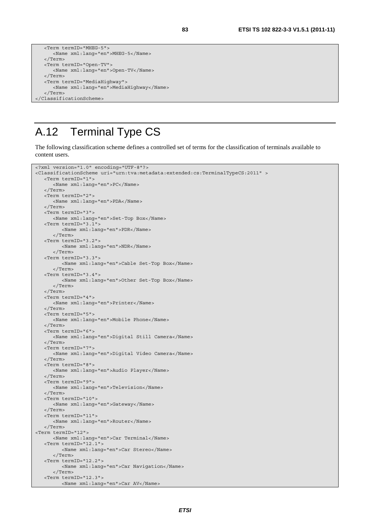```
 <Term termID="MHEG-5"> 
       <Name xml:lang="en">MHEG-5</Name> 
   </Term> 
   <Term termID="Open-TV"> 
      <Name xml:lang="en">Open-TV</Name> 
   </Term> 
   <Term termID="MediaHighway"> 
      <Name xml:lang="en">MediaHighway</Name> 
   </Term> 
</ClassificationScheme>
```
## A.12 Terminal Type CS

The following classification scheme defines a controlled set of terms for the classification of terminals available to content users.

```
<?xml version="1.0" encoding="UTF-8"?> 
<ClassificationScheme uri="urn:tva:metadata:extended:cs:TerminalTypeCS:2011" > 
    <Term termID="1"> 
       <Name xml:lang="en">PC</Name> 
    </Term> 
    <Term termID="2"> 
       <Name xml:lang="en">PDA</Name> 
    </Term> 
    <Term termID="3"> 
       <Name xml:lang="en">Set-Top Box</Name> 
    <Term termID="3.1"> 
          <Name xml:lang="en">PDR</Name> 
       </Term> 
    <Term termID="3.2"> 
          <Name xml:lang="en">NDR</Name> 
       </Term> 
    <Term termID="3.3"> 
          <Name xml:lang="en">Cable Set-Top Box</Name> 
       </Term> 
    <Term termID="3.4"> 
          <Name xml:lang="en">Other Set-Top Box</Name> 
       </Term> 
    </Term> 
    <Term termID="4"> 
       <Name xml:lang="en">Printer</Name> 
    </Term> 
    <Term termID="5"> 
       <Name xml:lang="en">Mobile Phone</Name> 
    </Term> 
    <Term termID="6"> 
       <Name xml:lang="en">Digital Still Camera</Name> 
    </Term> 
    <Term termID="7"> 
       <Name xml:lang="en">Digital Video Camera</Name> 
    </Term> 
    <Term termID="8"> 
       <Name xml:lang="en">Audio Player</Name> 
    </Term> 
    <Term termID="9"> 
       <Name xml:lang="en">Television</Name> 
    </Term> 
    <Term termID="10"> 
       <Name xml:lang="en">Gateway</Name> 
    </Term> 
    <Term termID="11"> 
      <Name xml:lang="en">Router</Name> 
    </Term> 
<Term termID="12"> 
       <Name xml:lang="en">Car Terminal</Name> 
    <Term termID="12.1"> 
          <Name xml:lang="en">Car Stereo</Name> 
       </Term> 
    <Term termID="12.2"> 
          <Name xml:lang="en">Car Navigation</Name> 
       </Term> 
    <Term termID="12.3"> 
          <Name xml:lang="en">Car AV</Name>
```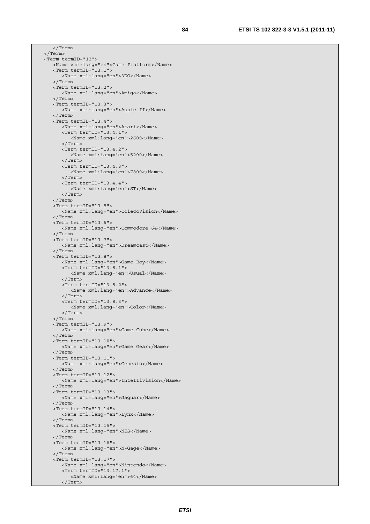</Term> </Term> <Term termID="13"> <Name xml:lang="en">Game Platform</Name> <Term termID="13.1"> <Name xml:lang="en">3DO</Name> </Term> <Term termID="13.2"> <Name xml:lang="en">Amiga</Name> </Term> <Term termID="13.3"> <Name xml:lang="en">Apple II</Name> </Term> <Term termID="13.4"> <Name xml:lang="en">Atari</Name> <Term termID="13.4.1"> <Name xml:lang="en">2600</Name> </Term> <Term termID="13.4.2"> <Name xml:lang="en">5200</Name> </Term> <Term termID="13.4.3"> <Name xml:lang="en">7800</Name> </Term> <Term termID="13.4.4"> <Name xml:lang="en">ST</Name> </Term> </Term> <Term termID="13.5"> <Name xml:lang="en">ColecoVision</Name> </Term> <Term termID="13.6"> <Name xml:lang="en">Commodore 64</Name> </Term> <Term termID="13.7"> <Name xml:lang="en">Dreamcast</Name> </Term> <Term termID="13.8"> <Name xml:lang="en">Game Boy</Name> <Term termID="13.8.1"> <Name xml:lang="en">Usual</Name> </Term> <Term termID="13.8.2"> <Name xml:lang="en">Advance</Name> </Term> <Term termID="13.8.3"> <Name xml:lang="en">Color</Name> </Term> </Term> <Term termID="13.9"> <Name xml:lang="en">Game Cube</Name> </Term> <Term termID="13.10"> <Name xml:lang="en">Game Gear</Name> </Term> <Term termID="13.11"> <Name xml:lang="en">Genesis</Name> </Term> <Term termID="13.12"> <Name xml:lang="en">Intellivision</Name> </Term> <Term termID="13.13"> <Name xml:lang="en">Jaguar</Name> </Term> <Term termID="13.14"> <Name xml:lang="en">Lynx</Name> </Term> <Term termID="13.15"> <Name xml:lang="en">NES</Name> </Term> <Term termID="13.16"> <Name xml:lang="en">N-Gage</Name> </Term> <Term termID="13.17"> <Name xml:lang="en">Nintendo</Name> <Term termID="13.17.1"> <Name xml:lang="en">64</Name>

</Term>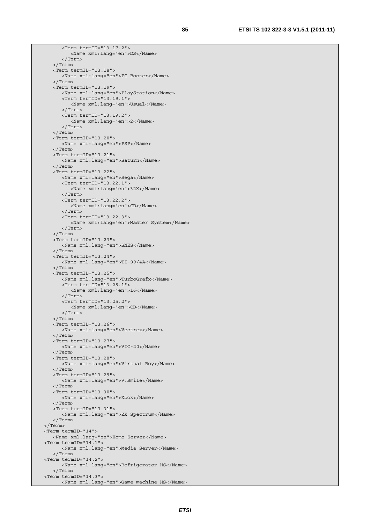<Term termID="13.17.2"> <Name xml:lang="en">DS</Name> </Term> </Term> <Term termID="13.18"> <Name xml:lang="en">PC Booter</Name> </Term> <Term termID="13.19"> <Name xml:lang="en">PlayStation</Name> <Term termID="13.19.1"> <Name xml:lang="en">Usual</Name> </Term> <Term termID="13.19.2"> <Name xml:lang="en">2</Name> </Term> </Term> <Term termID="13.20"> <Name xml:lang="en">PSP</Name> </Term> <Term termID="13.21"> <Name xml:lang="en">Saturn</Name> </Term> <Term termID="13.22"> <Name xml:lang="en">Sega</Name> <Term termID="13.22.1"> <Name xml:lang="en">32X</Name> </Term> <Term termID="13.22.2"> <Name xml:lang="en">CD</Name> </Term> <Term termID="13.22.3"> <Name xml:lang="en">Master System</Name> </Term> </Term> <Term termID="13.23"> <Name xml:lang="en">SNES</Name> </Term> <Term termID="13.24"> <Name xml:lang="en">TI-99/4A</Name> </Term> <Term termID="13.25"> <Name xml:lang="en">TurboGrafx</Name> <Term termID="13.25.1"> <Name xml:lang="en">16</Name> </Term> <Term termID="13.25.2"> <Name xml:lang="en">CD</Name> </Term> </Term> <Term termID="13.26"> <Name xml:lang="en">Vectrex</Name> </Term> <Term termID="13.27"> <Name xml:lang="en">VIC-20</Name> </Term> <Term termID="13.28"> <Name xml:lang="en">Virtual Boy</Name> </Term> <Term termID="13.29"> <Name xml:lang="en">V.Smile</Name> </Term> <Term termID="13.30"> <Name xml:lang="en">Xbox</Name> </Term> <Term termID="13.31"> <Name xml:lang="en">ZX Spectrum</Name> </Term> </Term> <Term termID="14"> <Name xml:lang="en">Home Server</Name> <Term termID="14.1"> <Name xml:lang="en">Media Server</Name> </Term> <Term termID="14.2"> <Name xml:lang="en">Refrigerator HS</Name> </Term> <Term termID="14.3"> <Name xml:lang="en">Game machine HS</Name>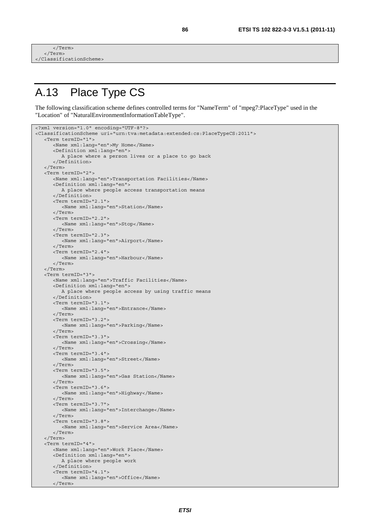```
\frac{1}{2} Term
     </Term> 
</ClassificationScheme>
```
</Term>

## A.13 Place Type CS

The following classification scheme defines controlled terms for "NameTerm" of "mpeg7:PlaceType" used in the "Location" of "NaturalEnvironmentInformationTableType".

```
<?xml version="1.0" encoding="UTF-8"?> 
<ClassificationScheme uri="urn:tva:metadata:extended:cs:PlaceTypeCS:2011"> 
    <Term termID="1"> 
       <Name xml:lang="en">My Home</Name> 
       <Definition xml:lang="en"> 
          A place where a person lives or a place to go back 
       </Definition> 
    </Term> 
    <Term termID="2"> 
       <Name xml:lang="en">Transportation Facilities</Name> 
       <Definition xml:lang="en"> 
          A place where people access transportation means 
       </Definition> 
       <Term termID="2.1"> 
          <Name xml:lang="en">Station</Name> 
       </Term> 
       <Term termID="2.2"> 
          <Name xml:lang="en">Stop</Name> 
       </Term> 
       <Term termID="2.3"> 
          <Name xml:lang="en">Airport</Name> 
       </Term> 
       <Term termID="2.4"> 
          <Name xml:lang="en">Harbour</Name> 
       </Term> 
    </Term> 
    <Term termID="3"> 
       <Name xml:lang="en">Traffic Facilities</Name> 
       <Definition xml:lang="en"> 
          A place where people access by using traffic means 
       </Definition> 
       <Term termID="3.1"> 
          <Name xml:lang="en">Entrance</Name> 
       </Term> 
       <Term termID="3.2"> 
          <Name xml:lang="en">Parking</Name> 
       </Term> 
       <Term termID="3.3"> 
          <Name xml:lang="en">Crossing</Name> 
       </Term> 
       <Term termID="3.4"> 
          <Name xml:lang="en">Street</Name> 
       </Term> 
       <Term termID="3.5"> 
          <Name xml:lang="en">Gas Station</Name> 
       </Term> 
       <Term termID="3.6"> 
          <Name xml:lang="en">Highway</Name> 
       </Term> 
       <Term termID="3.7"> 
          <Name xml:lang="en">Interchange</Name> 
       </Term> 
       <Term termID="3.8"> 
          <Name xml:lang="en">Service Area</Name> 
       </Term> 
    </Term> 
    <Term termID="4"> 
       <Name xml:lang="en">Work Place</Name> 
       <Definition xml:lang="en"> 
          A place where people work 
       </Definition> 
       <Term termID="4.1"> 
          <Name xml:lang="en">Office</Name>
```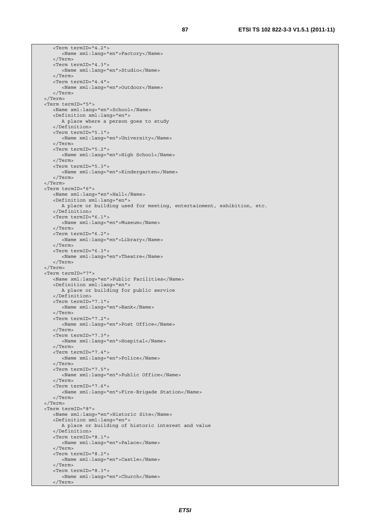<Term termID="4.2"> <Name xml:lang="en">Factory</Name> </Term> <Term termID="4.3"> <Name xml:lang="en">Studio</Name> </Term> <Term termID="4.4"> <Name xml:lang="en">Outdoor</Name> </Term> </Term> <Term termID="5"> <Name xml:lang="en">School</Name> <Definition xml:lang="en"> A place where a person goes to study </Definition> <Term termID="5.1"> <Name xml:lang="en">University</Name> </Term> <Term termID="5.2"> <Name xml:lang="en">High School</Name> </Term> <Term termID="5.3"> <Name xml:lang="en">Kindergarten</Name> </Term> </Term> <Term termID="6"> <Name xml:lang="en">Hall</Name> <Definition xml:lang="en"> A place or building used for meeting, entertainment, exhibition, etc. </Definition> <Term termID="6.1"> <Name xml:lang="en">Museum</Name> </Term> <Term termID="6.2"> <Name xml:lang="en">Library</Name> </Term> <Term termID="6.3"> <Name xml:lang="en">Theatre</Name> </Term> </Term> <Term termID="7"> <Name xml:lang="en">Public Facilities</Name> <Definition xml:lang="en"> A place or building for public service </Definition> <Term termID="7.1"> <Name xml:lang="en">Bank</Name> </Term> <Term termID="7.2"> <Name xml:lang="en">Post Office</Name> </Term> <Term termID="7.3"> <Name xml:lang="en">Hospital</Name>  $\sim$ /Term $\sim$  <Term termID="7.4"> <Name xml:lang="en">Police</Name> </Term> <Term termID="7.5"> <Name xml:lang="en">Public Office</Name> </Term> <Term termID="7.6"> <Name xml:lang="en">Fire-Brigade Station</Name> </Term> </Term> <Term termID="8"> <Name xml:lang="en">Historic Site</Name> <Definition xml:lang="en"> A place or building of historic interest and value </Definition> <Term termID="8.1"> <Name xml:lang="en">Palace</Name> </Term> <Term termID="8.2"> <Name xml:lang="en">Castle</Name> </Term> <Term termID="8.3"> <Name xml:lang="en">Church</Name> </Term>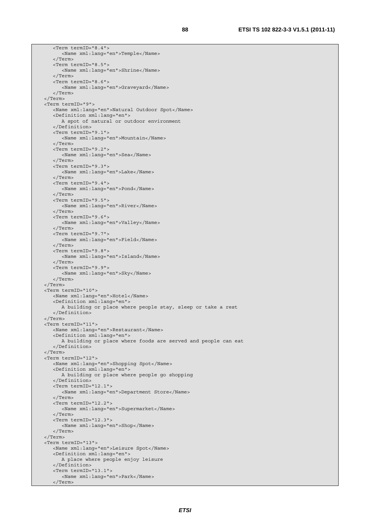<Term termID="8.4"> <Name xml:lang="en">Temple</Name> </Term> <Term termID="8.5"> <Name xml:lang="en">Shrine</Name> </Term> <Term termID="8.6"> <Name xml:lang="en">Graveyard</Name> </Term> </Term> <Term termID="9"> <Name xml:lang="en">Natural Outdoor Spot</Name> <Definition xml:lang="en"> A spot of natural or outdoor environment </Definition> <Term termID="9.1"> <Name xml:lang="en">Mountain</Name> </Term> <Term termID="9.2"> <Name xml:lang="en">Sea</Name> </Term> <Term termID="9.3"> <Name xml:lang="en">Lake</Name> </Term> <Term termID="9.4"> <Name xml:lang="en">Pond</Name> </Term> <Term termID="9.5"> <Name xml:lang="en">River</Name> </Term> <Term termID="9.6"> <Name xml:lang="en">Valley</Name> </Term> <Term termID="9.7"> <Name xml:lang="en">Field</Name> </Term> <Term termID="9.8"> <Name xml:lang="en">Island</Name> </Term> <Term termID="9.9"> <Name xml:lang="en">Sky</Name> </Term> </Term> <Term termID="10"> <Name xml:lang="en">Hotel</Name> <Definition xml:lang="en"> A building or place where people stay, sleep or take a rest </Definition> </Term> <Term termID="11"> <Name xml:lang="en">Restaurant</Name> <Definition xml:lang="en"> A building or place where foods are served and people can eat </Definition> </Term> <Term termID="12"> <Name xml:lang="en">Shopping Spot</Name> <Definition xml:lang="en"> A building or place where people go shopping </Definition> <Term termID="12.1"> <Name xml:lang="en">Department Store</Name> </Term> <Term termID="12.2"> <Name xml:lang="en">Supermarket</Name> </Term> <Term termID="12.3"> <Name xml:lang="en">Shop</Name> </Term> </Term> <Term termID="13"> <Name xml:lang="en">Leisure Spot</Name> <Definition xml:lang="en"> A place where people enjoy leisure </Definition> <Term termID="13.1"> <Name xml:lang="en">Park</Name> </Term>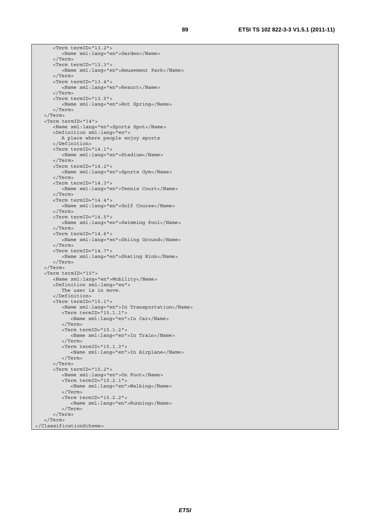<Term termID="13.2"> <Name xml:lang="en">Garden</Name> </Term> <Term termID="13.3"> <Name xml:lang="en">Amusement Park</Name> </Term> <Term termID="13.4"> <Name xml:lang="en">Resort</Name> </Term> <Term termID="13.5"> <Name xml:lang="en">Hot Spring</Name> </Term> </Term> <Term termID="14"> <Name xml:lang="en">Sports Spot</Name> <Definition xml:lang="en"> A place where people enjoy sports </Definition> <Term termID="14.1"> <Name xml:lang="en">Stadium</Name> </Term> <Term termID="14.2"> <Name xml:lang="en">Sports Gym</Name> </Term> <Term termID="14.3"> <Name xml:lang="en">Tennis Court</Name> </Term> <Term termID="14.4"> <Name xml:lang="en">Golf Course</Name> </Term> <Term termID="14.5"> <Name xml:lang="en">Swimming Pool</Name> </Term> <Term termID="14.6"> <Name xml:lang="en">Skiing Ground</Name> </Term> <Term termID="14.7"> <Name xml:lang="en">Skating Rink</Name> </Term> </Term> <Term termID="15"> <Name xml:lang="en">Mobility</Name> <Definition xml:lang="en"> The user is in move. </Definition> <Term termID="15.1"> <Name xml:lang="en">In Transportation</Name> <Term termID="15.1.1"> <Name xml:lang="en">In Car</Name> </Term> <Term termID="15.1.2"> <Name xml:lang="en">In Train</Name> </Term> <Term termID="15.1.3"> <Name xml:lang="en">In Airplane</Name> </Term> </Term> <Term termID="15.2"> <Name xml:lang="en">On Foot</Name> <Term termID="15.2.1"> <Name xml:lang="en">Walking</Name> </Term> <Term termID="15.2.2"> <Name xml:lang="en">Running</Name> </Term> </Term> </Term> </ClassificationScheme>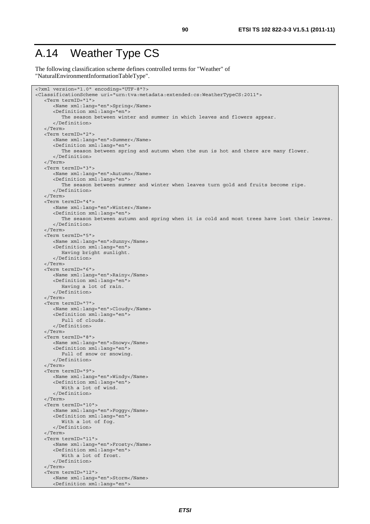#### A.14 Weather Type CS

The following classification scheme defines controlled terms for "Weather" of "NaturalEnvironmentInformationTableType".

```
<?xml version="1.0" encoding="UTF-8"?> 
<ClassificationScheme uri="urn:tva:metadata:extended:cs:WeatherTypeCS:2011"> 
    <Term termID="1"> 
       <Name xml:lang="en">Spring</Name> 
       <Definition xml:lang="en"> 
          The season between winter and summer in which leaves and flowers appear. 
       </Definition> 
    </Term> 
    <Term termID="2"> 
       <Name xml:lang="en">Summer</Name> 
       <Definition xml:lang="en"> 
          The season between spring and autumn when the sun is hot and there are many flower. 
       </Definition> 
    </Term> 
    <Term termID="3"> 
       <Name xml:lang="en">Autumn</Name> 
       <Definition xml:lang="en"> 
          The season between summer and winter when leaves turn gold and fruits become ripe. 
       </Definition> 
    </Term> 
    <Term termID="4"> 
       <Name xml:lang="en">Winter</Name> 
       <Definition xml:lang="en"> 
         The season between autumn and spring when it is cold and most trees have lost their leaves.
       </Definition> 
    </Term> 
    <Term termID="5"> 
       <Name xml:lang="en">Sunny</Name> 
       <Definition xml:lang="en"> 
          Having bright sunlight. 
       </Definition> 
    </Term> 
    <Term termID="6"> 
       <Name xml:lang="en">Rainy</Name> 
       <Definition xml:lang="en"> 
          Having a lot of rain. 
       </Definition> 
    </Term> 
    <Term termID="7"> 
       <Name xml:lang="en">Cloudy</Name> 
       <Definition xml:lang="en"> 
          Full of clouds. 
       </Definition> 
    </Term> 
    <Term termID="8"> 
       <Name xml:lang="en">Snowy</Name> 
       <Definition xml:lang="en"> 
          Full of snow or snowing. 
       </Definition> 
    </Term> 
    <Term termID="9"> 
       <Name xml:lang="en">Windy</Name> 
       <Definition xml:lang="en"> 
          With a lot of wind. 
       </Definition> 
    </Term> 
    <Term termID="10"> 
       <Name xml:lang="en">Foggy</Name> 
       <Definition xml:lang="en"> 
          With a lot of fog. 
       </Definition> 
    </Term> 
    <Term termID="11"> 
       <Name xml:lang="en">Frosty</Name> 
       <Definition xml:lang="en"> 
          With a lot of frost. 
       </Definition> 
    </Term> 
    <Term termID="12"> 
       <Name xml:lang="en">Storm</Name> 
       <Definition xml:lang="en">
```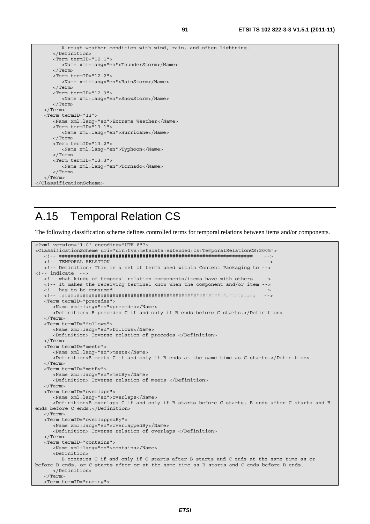```
 A rough weather condition with wind, rain, and often lightning. 
       </Definition> 
       <Term termID="12.1"> 
          <Name xml:lang="en">ThunderStorm</Name> 
       </Term> 
       <Term termID="12.2"> 
          <Name xml:lang="en">RainStorm</Name> 
       </Term> 
       <Term termID="12.3"> 
          <Name xml:lang="en">SnowStorm</Name> 
       </Term> 
    </Term> 
    <Term termID="13"> 
       <Name xml:lang="en">Extreme Weather</Name> 
       <Term termID="13.1"> 
          <Name xml:lang="en">Hurricane</Name> 
       </Term> 
       <Term termID="13.2"> 
          <Name xml:lang="en">Typhoon</Name> 
       </Term> 
       <Term termID="13.3"> 
          <Name xml:lang="en">Tornado</Name> 
       </Term> 
    </Term> 
</ClassificationScheme>
```
#### A.15 Temporal Relation CS

The following classification scheme defines controlled terms for temporal relations between items and/or components.

```
<?xml version="1.0" encoding="UTF-8"?> 
<ClassificationScheme uri="urn:tva:metadata:extended:cs:TemporalRelationCS:2005"> 
    <!-- ################################################################# --> 
   <!-- TEMPORAL RELATION
    <!-- Definition: This is a set of terms used within Content Packaging to --> 
<!-- indicate
    <!-- what kinds of temporal relation components/items have with others --> 
    <!-- It makes the receiving terminal know when the component and/or item --> 
   <!-- has to be consumed
    <!-- ################################################################## --> 
    <Term termID="precedes"> 
       <Name xml:lang="en">precedes</Name> 
       <Definition> B precedes C if and only if B ends before C starts.</Definition> 
    </Term> 
    <Term termID="follows"> 
       <Name xml:lang="en">follows</Name> 
       <Definition> Inverse relation of precedes </Definition> 
    </Term> 
    <Term termID="meets"> 
       <Name xml:lang="en">meets</Name> 
       <Definition>B meets C if and only if B ends at the same time as C starts.</Definition> 
    </Term> 
    <Term termID="metBy"> 
       <Name xml:lang="en">metBy</Name> 
       <Definition> Inverse relation of meets </Definition> 
    </Term> 
    <Term termID="overlaps"> 
       <Name xml:lang="en">overlaps</Name> 
       <Definition>B overlaps C if and only if B starts before C starts, B ends after C starts and B 
ends before C ends.</Definition> 
    </Term> 
    <Term termID="overlappedBy"> 
       <Name xml:lang="en">overlappedBy</Name> 
       <Definition> Inverse relation of overlaps </Definition> 
    </Term> 
    <Term termID="contains"> 
       <Name xml:lang="en">contains</Name> 
       <Definition> 
         B contains C if and only if C starts after B starts and C ends at the same time as or 
before B ends, or C starts after or at the same time as B starts and C ends before B ends. 
       </Definition> 
    </Term> 
    <Term termID="during">
```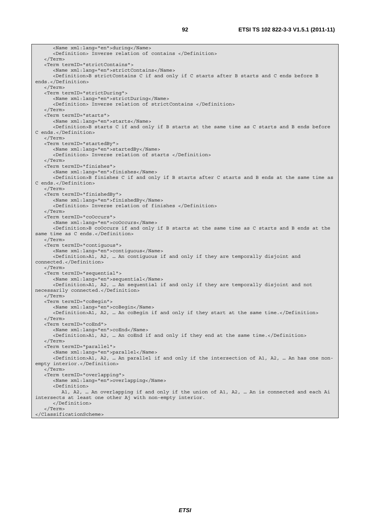<Name xml:lang="en">during</Name> <Definition> Inverse relation of contains </Definition> </Term> <Term termID="strictContains"> <Name xml:lang="en">strictContains</Name> <Definition>B strictContains C if and only if C starts after B starts and C ends before B ends.</Definition> </Term> <Term termID="strictDuring"> <Name xml:lang="en">strictDuring</Name> <Definition> Inverse relation of strictContains </Definition> </Term> <Term termID="starts"> <Name xml:lang="en">starts</Name> <Definition>B starts C if and only if B starts at the same time as C starts and B ends before C ends.</Definition> </Term> <Term termID="startedBy"> <Name xml:lang="en">startedBy</Name> <Definition> Inverse relation of starts </Definition> </Term> <Term termID="finishes"> <Name xml:lang="en">finishes</Name> <Definition>B finishes C if and only if B starts after C starts and B ends at the same time as C ends.</Definition> </Term> <Term termID="finishedBy"> <Name xml:lang="en">finishedBy</Name> <Definition> Inverse relation of finishes </Definition> </Term> <Term termID="coOccurs"> <Name xml:lang="en">coOccurs</Name> <Definition>B coOccurs if and only if B starts at the same time as C starts and B ends at the same time as C ends.</Definition> </Term> <Term termID="contiguous"> <Name xml:lang="en">contiguous</Name> <Definition>A1, A2, … An contiguous if and only if they are temporally disjoint and connected.</Definition> </Term> <Term termID="sequential"> <Name xml:lang="en">sequential</Name> <Definition>A1, A2, … An sequential if and only if they are temporally disjoint and not necessarily connected.</Definition> </Term> <Term termID="coBegin"> <Name xml:lang="en">coBegin</Name> <Definition>A1, A2, … An coBegin if and only if they start at the same time.</Definition> </Term> <Term termID="coEnd"> <Name xml:lang="en">coEnd</Name> <Definition>A1, A2, … An coEnd if and only if they end at the same time.</Definition> </Term> <Term termID="parallel"> <Name xml:lang="en">parallel</Name> <Definition>A1, A2, … An parallel if and only if the intersection of A1, A2, … An has one nonempty interior.</Definition> </Term> <Term termID="overlapping"> <Name xml:lang="en">overlapping</Name> <Definition> A1, A2, … An overlapping if and only if the union of A1, A2, … An is connected and each Ai intersects at least one other Aj with non-empty interior. </Definition> </Term> </ClassificationScheme>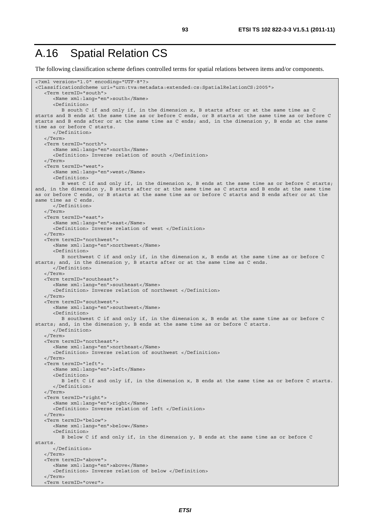#### A.16 Spatial Relation CS

The following classification scheme defines controlled terms for spatial relations between items and/or components.

```
<?xml version="1.0" encoding="UTF-8"?> 
<ClassificationScheme uri="urn:tva:metadata:extended:cs:SpatialRelationCS:2005"> 
    <Term termID="south"> 
       <Name xml:lang="en">south</Name> 
       <Definition> 
          B south C if and only if, in the dimension x, B starts after or at the same time as C 
starts and B ends at the same time as or before C ends, or B starts at the same time as or before C 
starts and B ends after or at the same time as C ends; and, in the dimension y, B ends at the same 
time as or before C starts. 
       </Definition> 
    </Term> 
    <Term termID="north"> 
       <Name xml:lang="en">north</Name> 
       <Definition> Inverse relation of south </Definition> 
    </Term> 
    <Term termID="west"> 
       <Name xml:lang="en">west</Name> 
       <Definition> 
          B west C if and only if, in the dimension x, B ends at the same time as or before C starts; 
and, in the dimension y, B starts after or at the same time as C starts and B ends at the same time 
as or before C ends, or B starts at the same time as or before C starts and B ends after or at the 
same time as C ends. 
       </Definition> 
    </Term> 
    <Term termID="east"> 
       <Name xml:lang="en">east</Name> 
       <Definition> Inverse relation of west </Definition> 
    </Term> 
    <Term termID="northwest"> 
       <Name xml:lang="en">northwest</Name> 
       <Definition> 
          B northwest C if and only if, in the dimension x, B ends at the same time as or before C 
starts; and, in the dimension y, B starts after or at the same time as C ends. 
       </Definition> 
    </Term> 
    <Term termID="southeast"> 
       <Name xml:lang="en">southeast</Name> 
       <Definition> Inverse relation of northwest </Definition> 
    </Term> 
    <Term termID="southwest"> 
       <Name xml:lang="en">southwest</Name> 
       <Definition> 
          B southwest C if and only if, in the dimension x, B ends at the same time as or before C 
starts; and, in the dimension y, B ends at the same time as or before C starts. 
       </Definition> 
    </Term> 
    <Term termID="northeast"> 
       <Name xml:lang="en">northeast</Name> 
       <Definition> Inverse relation of southwest </Definition> 
    </Term> 
    <Term termID="left"> 
       <Name xml:lang="en">left</Name> 
       <Definition> 
          B left C if and only if, in the dimension x, B ends at the same time as or before C starts. 
       </Definition> 
    </Term> 
    <Term termID="right"> 
       <Name xml:lang="en">right</Name> 
       <Definition> Inverse relation of left </Definition> 
    </Term> 
    <Term termID="below"> 
       <Name xml:lang="en">below</Name> 
       <Definition> 
          B below C if and only if, in the dimension y, B ends at the same time as or before C 
starts. 
       </Definition> 
    </Term> 
    <Term termID="above"> 
       <Name xml:lang="en">above</Name> 
       <Definition> Inverse relation of below </Definition> 
    </Term> 
    <Term termID="over">
```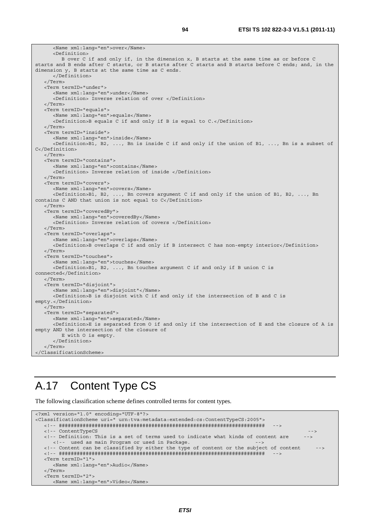<Name xml:lang="en">over</Name> <Definition> B over C if and only if, in the dimension x, B starts at the same time as or before C starts and B ends after C starts, or B starts after C starts and B starts before C ends; and, in the dimension y, B starts at the same time as C ends. </Definition> </Term> <Term termID="under"> <Name xml:lang="en">under</Name> <Definition> Inverse relation of over </Definition> </Term> <Term termID="equals"> <Name xml:lang="en">equals</Name> <Definition>B equals C if and only if B is equal to C.</Definition> </Term> <Term termID="inside"> <Name xml:lang="en">inside</Name> <Definition>B1, B2, ..., Bn is inside C if and only if the union of B1, ..., Bn is a subset of C</Definition> </Term> <Term termID="contains"> <Name xml:lang="en">contains</Name> <Definition> Inverse relation of inside </Definition> </Term> <Term termID="covers"> <Name xml:lang="en">covers</Name> <Definition>B1, B2, ..., Bn covers argument C if and only if the union of B1, B2, ..., Bn contains C AND that union is not equal to C</Definition> </Term> <Term termID="coveredBy"> <Name xml:lang="en">coveredBy</Name> <Definition> Inverse relation of covers </Definition> </Term> <Term termID="overlaps"> <Name xml:lang="en">overlaps</Name> <Definition>B overlaps C if and only if B intersect C has non-empty interior</Definition> </Term> <Term termID="touches"> <Name xml:lang="en">touches</Name> <Definition>B1, B2, ..., Bn touches argument C if and only if B union C is connected</Definition> </Term> <Term termID="disjoint"> <Name xml:lang="en">disjoint"</Name> <Definition>B is disjoint with C if and only if the intersection of B and C is empty.</Definition> </Term> <Term termID="separated"> <Name xml:lang="en">separated</Name> <Definition>E is separated from O if and only if the intersection of E and the closure of A is empty AND the intersection of the closure of E with O is empty. </Definition>  $\sim$ /Term $\sim$ </ClassificationScheme>

#### A.17 Content Type CS

The following classification scheme defines controlled terms for content types.

```
<?xml version="1.0" encoding="UTF-8"?> 
<ClassificationScheme uri=" urn:tva:metadata:extended:cs:ContentTypeCS:2005"> 
   <!-- ##################################################################### --> 
   <!-- ContentTypeCS --> 
  <!-- Definition: This is a set of terms used to indicate what kinds of content are
    <!-- used as main Program or used in Package.
   <!-- Content can be classified by either the type of content or the subject of content --> 
   <!-- ##################################################################### --> 
   <Term termID="1"> 
      <Name xml:lang="en">Audio</Name> 
   </Term> 
   <Term termID="2"> 
     <Name xml:lang="en">Video</Name>
```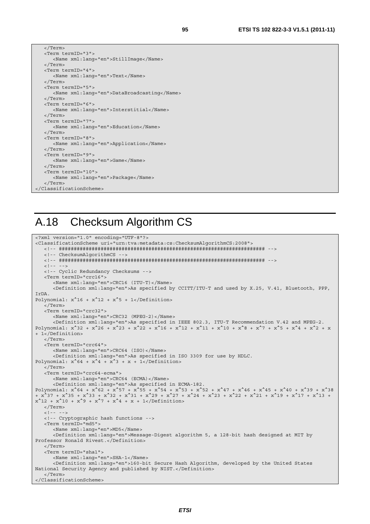| ۰, |        |
|----|--------|
| ٠  | I      |
| ٦  | I<br>I |

| <term termid="3"></term>                    |
|---------------------------------------------|
| <name xml:lang="en">StillImage</name>       |
| $\langle$ Term>                             |
| <term termid="4"></term>                    |
| <name xml:lang="en">Text</name>             |
| $\langle$ Term>                             |
| <term termid="5"></term>                    |
| <name xml:lanq="en">DataBroadcastinq</name> |
| $\langle$ Term>                             |
| <term termid="6"></term>                    |
| <name xml:lanq="en">Interstitial</name>     |
|                                             |
| <term termid="7"></term>                    |
| <name xml:lanq="en">Education</name>        |
| $\langle$ Term>                             |
| <term termid="8"></term>                    |
| <name xml:lang="en">Application</name>      |
| $\langle$ Term>                             |
| <term termid="9"></term>                    |
| <name xml:lang="en">Game</name>             |
|                                             |
| <term termid="10"></term>                   |
| <name xml:lang="en">Package</name>          |
|                                             |
|                                             |
|                                             |

#### A.18 Checksum Algorithm CS

```
<?xml version="1.0" encoding="UTF-8"?> 
<ClassificationScheme uri="urn:tva:metadata:cs:ChecksumAlgorithmCS:2008"> 
    <!-- ##################################################################### --> 
    <!-- ChecksumAlgorithmCS --> 
    <!-- ##################################################################### --> 
   \leq ! -- -->
    <!-- Cyclic Redundancy Checksums --> 
    <Term termID="crc16"> 
       <Name xml:lang="en">CRC16 (ITU-T)</Name> 
       <Definition xml:lang="en">As specified by CCITT/ITU-T and used by X.25, V.41, Bluetooth, PPP, 
IrDA. 
Polynomial: x^16 + x^12 + x^5 + 1</Definition>
    </Term> 
    <Term termID="crc32"> 
       <Name xml:lang="en">CRC32 (MPEG-2)</Name> 
       <Definition xml:lang="en">As specified in IEEE 802.3, ITU-T Recommendation V.42 and MPEG-2. 
Polynomial: x^332 + x^24 + x^23 + x^22 + x^216 + x^212 + x^211 + x^210 + x^8 + x^77 + x^65 + x^4 + x^22 + x^2+ 1</Definition> 
    </Term> 
    <Term termID="crc64"> 
       <Name xml:lang="en">CRC64 (ISO)</Name> 
       <Definition xml:lang="en">As specified in ISO 3309 for use by HDLC. 
Polynomial: x^64 + x^4 + x^3 + x + 1 </Term> 
    <Term termID="crc64-ecma"> 
       <Name xml:lang="en">CRC64 (ECMA)</Name> 
       <Definition xml:lang="en">As specified in ECMA-182. 
Polynomial: x^64 + x^62 + x^57 + x^55 + x^54 + x^53 + x^54 + x^47 + x^46 + x^45 + x^40 + x^39 + x^38+ x^37 + x^35 + x^33 + x^32 + x^31 + x^29 + x^27 + x^24 + x^23 + x^22 + x^21 + x^19 + x^17 + x^13 + 
x^12 + x^10 + x^9 + x^7 + x^4 + x + 1 </Definition>
    </Term> 
   \lt!! -- -->
    <!-- Cryptographic hash functions --> 
    <Term termID="md5"> 
       <Name xml:lang="en">MD5</Name> 
       <Definition xml:lang="en">Message-Digest algorithm 5, a 128-bit hash designed at MIT by 
Professor Ronald Rivest.</Definition> 
    </Term> 
    <Term termID="sha1"> 
       <Name xml:lang="en">SHA-1</Name> 
       <Definition xml:lang="en">160-bit Secure Hash Algorithm, developed by the United States 
National Security Agency and published by NIST.</Definition> 
    </Term> 
 </ClassificationScheme>
```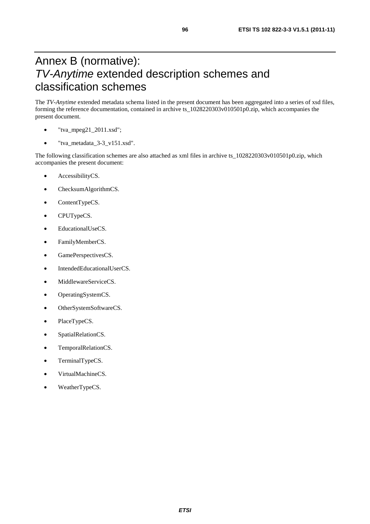## Annex B (normative): *TV-Anytime* extended description schemes and classification schemes

The *TV-Anytime* extended metadata schema listed in the present document has been aggregated into a series of xsd files, forming the reference documentation, contained in archive ts\_1028220303v010501p0.zip, which accompanies the present document.

- $"$ tva\_mpeg21\_2011.xsd";
- "tva\_metadata\_3-3\_v151.xsd".

The following classification schemes are also attached as xml files in archive ts\_1028220303v010501p0.zip, which accompanies the present document:

- AccessibilityCS.
- ChecksumAlgorithmCS.
- ContentTypeCS.
- CPUTypeCS.
- EducationalUseCS.
- FamilyMemberCS.
- GamePerspectivesCS.
- IntendedEducationalUserCS.
- MiddlewareServiceCS.
- OperatingSystemCS.
- OtherSystemSoftwareCS.
- PlaceTypeCS.
- SpatialRelationCS.
- TemporalRelationCS.
- TerminalTypeCS.
- VirtualMachineCS.
- WeatherTypeCS.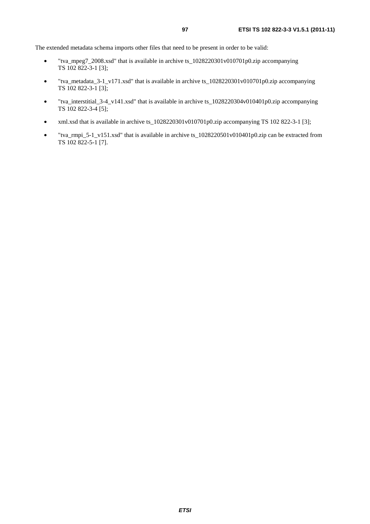The extended metadata schema imports other files that need to be present in order to be valid:

- "tva\_mpeg7\_2008.xsd" that is available in archive ts\_1028220301v010701p0.zip accompanying TS 102 822-3-1 [3];
- "tva\_metadata\_3-1\_v171.xsd" that is available in archive ts\_1028220301v010701p0.zip accompanying TS 102 822-3-1 [3];
- "tva\_interstitial\_3-4\_v141.xsd" that is available in archive ts\_1028220304v010401p0.zip accompanying TS 102 822-3-4 [5];
- xml.xsd that is available in archive ts\_1028220301v010701p0.zip accompanying TS 102 822-3-1 [3];
- "tva\_rmpi\_5-1\_v151.xsd" that is available in archive ts\_1028220501v010401p0.zip can be extracted from TS 102 822-5-1 [7].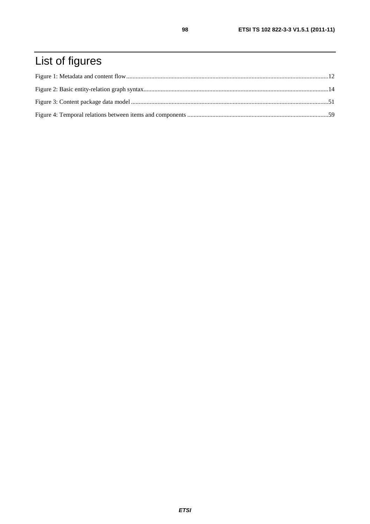# List of figures

98